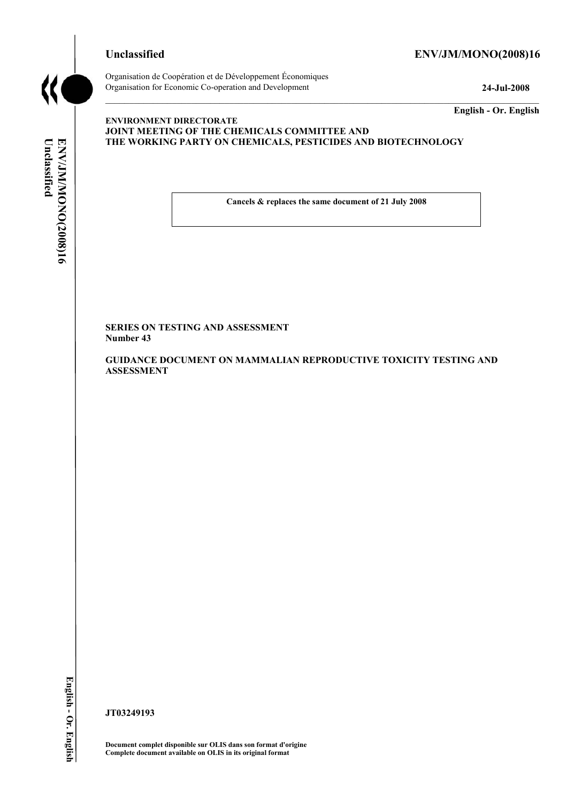

# **Unclassified ENV/JM/MONO(2008)16**

**Unclassified** 

ENV/JM/MONOC2008)16

Unclassified

Organisation de Coopération et de Développement Économiques Organisation for Economic Co-operation and Development **24-Jul-2008** 

**English - Or. English** 

## **ENVIRONMENT DIRECTORATE JOINT MEETING OF THE CHEMICALS COMMITTEE AND THE WORKING PARTY ON CHEMICALS, PESTICIDES AND BIOTECHNOLOGY**

**Cancels & replaces the same document of 21 July 2008** 

**SERIES ON TESTING AND ASSESSMENT Number 43** 

**GUIDANCE DOCUMENT ON MAMMALIAN REPRODUCTIVE TOXICITY TESTING AND ASSESSMENT** 

**JT03249193** 

**Document complet disponible sur OLIS dans son format d'origine Complete document available on OLIS in its original format**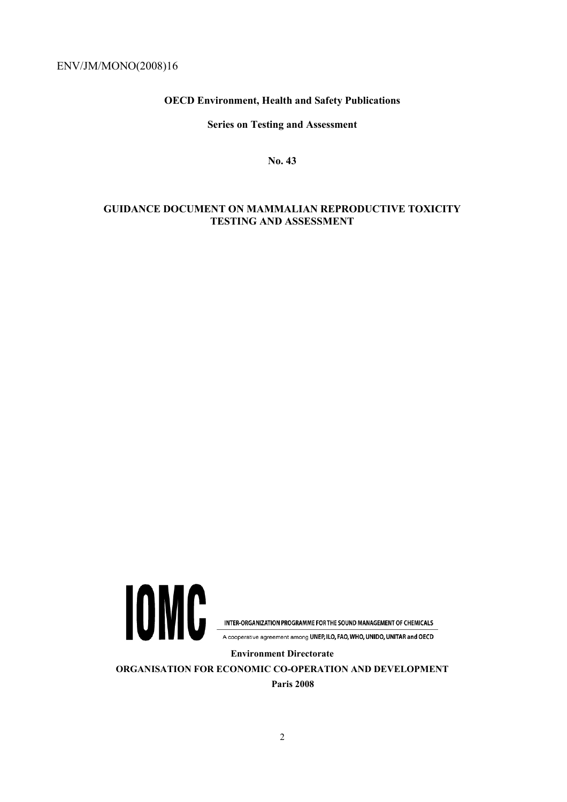**OECD Environment, Health and Safety Publications** 

**Series on Testing and Assessment** 

**No. 43** 

# **GUIDANCE DOCUMENT ON MAMMALIAN REPRODUCTIVE TOXICITY TESTING AND ASSESSMENT**



INTER-ORGANIZATION PROGRAMME FOR THE SOUND MANAGEMENT OF CHEMICALS

A cooperative agreement among UNEP, ILO, FAO, WHO, UNIDO, UNITAR and OECD

**Environment Directorate** 

**ORGANISATION FOR ECONOMIC CO-OPERATION AND DEVELOPMENT Paris 2008**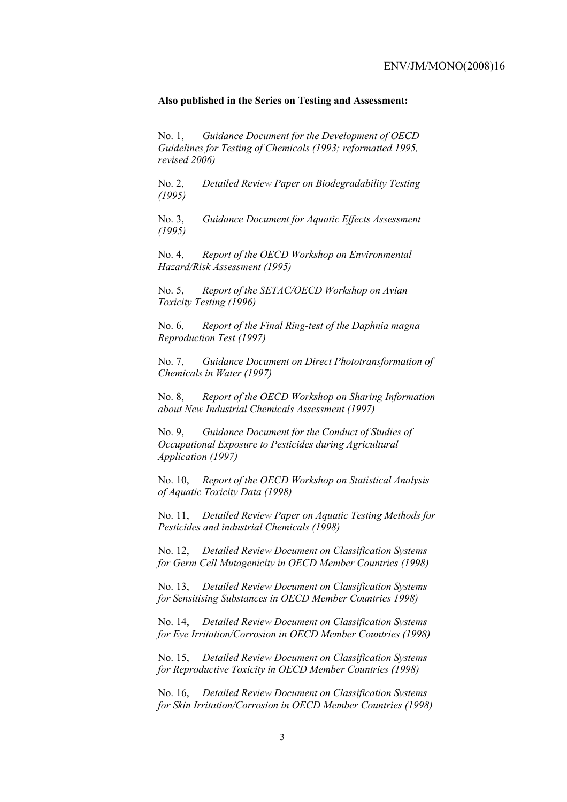#### **Also published in the Series on Testing and Assessment:**

No. 1, *Guidance Document for the Development of OECD Guidelines for Testing of Chemicals (1993; reformatted 1995, revised 2006)*

No. 2, *Detailed Review Paper on Biodegradability Testing (1995)*

No. 3, *Guidance Document for Aquatic Effects Assessment (1995)* 

No. 4, *Report of the OECD Workshop on Environmental Hazard/Risk Assessment (1995)*

No. 5, *Report of the SETAC/OECD Workshop on Avian Toxicity Testing (1996)*

No. 6, *Report of the Final Ring-test of the Daphnia magna Reproduction Test (1997)*

No. 7, *Guidance Document on Direct Phototransformation of Chemicals in Water (1997)* 

No. 8, *Report of the OECD Workshop on Sharing Information about New Industrial Chemicals Assessment (1997)*

No. 9, *Guidance Document for the Conduct of Studies of Occupational Exposure to Pesticides during Agricultural Application (1997)*

No. 10, *Report of the OECD Workshop on Statistical Analysis of Aquatic Toxicity Data (1998)*

No. 11, *Detailed Review Paper on Aquatic Testing Methods for Pesticides and industrial Chemicals (1998)*

No. 12, *Detailed Review Document on Classification Systems for Germ Cell Mutagenicity in OECD Member Countries (1998)*

No. 13, *Detailed Review Document on Classification Systems for Sensitising Substances in OECD Member Countries 1998)*

No. 14, *Detailed Review Document on Classification Systems for Eye Irritation/Corrosion in OECD Member Countries (1998)*

No. 15, *Detailed Review Document on Classification Systems for Reproductive Toxicity in OECD Member Countries (1998)*

No. 16, *Detailed Review Document on Classification Systems for Skin Irritation/Corrosion in OECD Member Countries (1998)*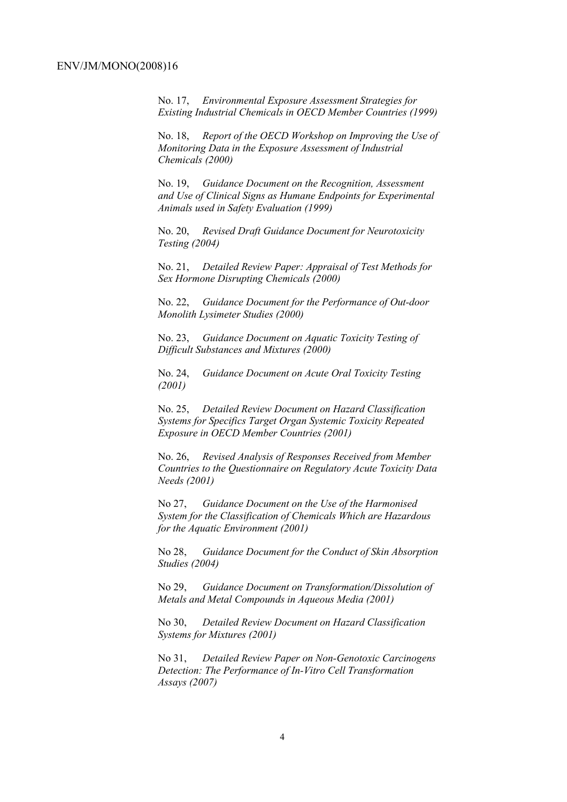No. 17, *Environmental Exposure Assessment Strategies for Existing Industrial Chemicals in OECD Member Countries (1999)*

No. 18, *Report of the OECD Workshop on Improving the Use of Monitoring Data in the Exposure Assessment of Industrial Chemicals (2000)*

No. 19, *Guidance Document on the Recognition, Assessment and Use of Clinical Signs as Humane Endpoints for Experimental Animals used in Safety Evaluation (1999)*

No. 20, *Revised Draft Guidance Document for Neurotoxicity Testing (2004)*

No. 21, *Detailed Review Paper: Appraisal of Test Methods for Sex Hormone Disrupting Chemicals (2000)*

No. 22, *Guidance Document for the Performance of Out-door Monolith Lysimeter Studies (2000)*

No. 23, *Guidance Document on Aquatic Toxicity Testing of Difficult Substances and Mixtures (2000)*

No. 24, *Guidance Document on Acute Oral Toxicity Testing (2001)*

No. 25, *Detailed Review Document on Hazard Classification Systems for Specifics Target Organ Systemic Toxicity Repeated Exposure in OECD Member Countries (2001)*

No. 26, *Revised Analysis of Responses Received from Member Countries to the Questionnaire on Regulatory Acute Toxicity Data Needs (2001)*

No 27, *Guidance Document on the Use of the Harmonised System for the Classification of Chemicals Which are Hazardous for the Aquatic Environment (2001)*

No 28, *Guidance Document for the Conduct of Skin Absorption Studies (2004)*

No 29, *Guidance Document on Transformation/Dissolution of Metals and Metal Compounds in Aqueous Media (2001)*

No 30, *Detailed Review Document on Hazard Classification Systems for Mixtures (2001)*

No 31, *Detailed Review Paper on Non-Genotoxic Carcinogens Detection: The Performance of In-Vitro Cell Transformation Assays (2007)*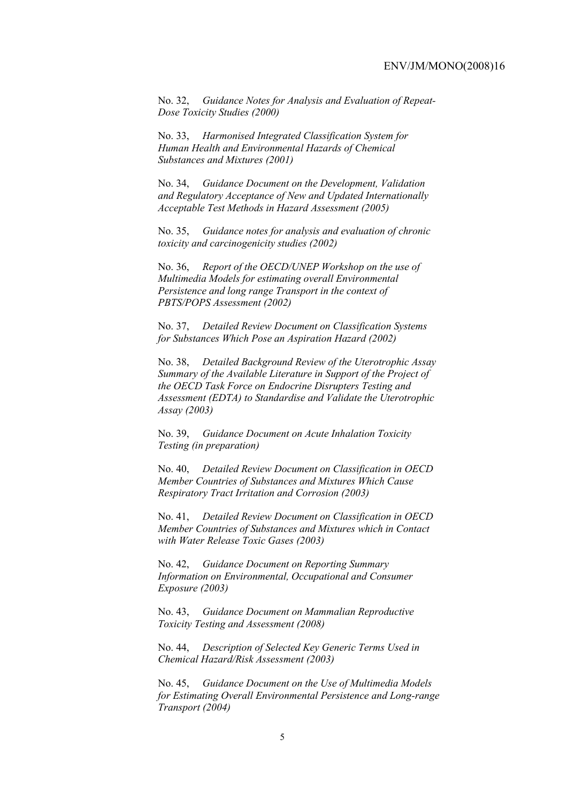No. 32, *Guidance Notes for Analysis and Evaluation of Repeat-Dose Toxicity Studies (2000)*

No. 33, *Harmonised Integrated Classification System for Human Health and Environmental Hazards of Chemical Substances and Mixtures (2001)*

No. 34, *Guidance Document on the Development, Validation and Regulatory Acceptance of New and Updated Internationally Acceptable Test Methods in Hazard Assessment (2005)*

No. 35, *Guidance notes for analysis and evaluation of chronic toxicity and carcinogenicity studies (2002)*

No. 36, *Report of the OECD/UNEP Workshop on the use of Multimedia Models for estimating overall Environmental Persistence and long range Transport in the context of PBTS/POPS Assessment (2002)*

No. 37, *Detailed Review Document on Classification Systems for Substances Which Pose an Aspiration Hazard (2002)*

No. 38, *Detailed Background Review of the Uterotrophic Assay Summary of the Available Literature in Support of the Project of the OECD Task Force on Endocrine Disrupters Testing and Assessment (EDTA) to Standardise and Validate the Uterotrophic Assay (2003)*

No. 39, *Guidance Document on Acute Inhalation Toxicity Testing (in preparation)*

No. 40, *Detailed Review Document on Classification in OECD Member Countries of Substances and Mixtures Which Cause Respiratory Tract Irritation and Corrosion (2003)*

No. 41, *Detailed Review Document on Classification in OECD Member Countries of Substances and Mixtures which in Contact with Water Release Toxic Gases (2003)*

No. 42, *Guidance Document on Reporting Summary Information on Environmental, Occupational and Consumer Exposure (2003)*

No. 43, *Guidance Document on Mammalian Reproductive Toxicity Testing and Assessment (2008)*

No. 44, *Description of Selected Key Generic Terms Used in Chemical Hazard/Risk Assessment (2003)* 

No. 45, *Guidance Document on the Use of Multimedia Models for Estimating Overall Environmental Persistence and Long-range Transport (2004)*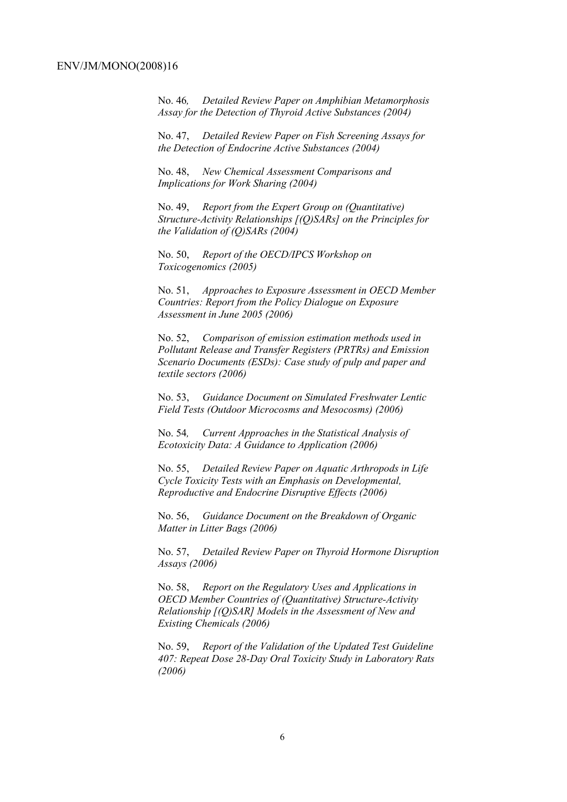No. 46*, Detailed Review Paper on Amphibian Metamorphosis Assay for the Detection of Thyroid Active Substances (2004)* 

No. 47, *Detailed Review Paper on Fish Screening Assays for the Detection of Endocrine Active Substances (2004)* 

No. 48, *New Chemical Assessment Comparisons and Implications for Work Sharing (2004)* 

No. 49, *Report from the Expert Group on (Quantitative) Structure-Activity Relationships [(Q)SARs] on the Principles for the Validation of (Q)SARs (2004)* 

No. 50, *Report of the OECD/IPCS Workshop on Toxicogenomics (2005)* 

No. 51, *Approaches to Exposure Assessment in OECD Member Countries: Report from the Policy Dialogue on Exposure Assessment in June 2005 (2006)* 

No. 52, *Comparison of emission estimation methods used in Pollutant Release and Transfer Registers (PRTRs) and Emission Scenario Documents (ESDs): Case study of pulp and paper and textile sectors (2006)* 

No. 53, *Guidance Document on Simulated Freshwater Lentic Field Tests (Outdoor Microcosms and Mesocosms) (2006)* 

No. 54*, Current Approaches in the Statistical Analysis of Ecotoxicity Data: A Guidance to Application (2006)* 

No. 55, *Detailed Review Paper on Aquatic Arthropods in Life Cycle Toxicity Tests with an Emphasis on Developmental, Reproductive and Endocrine Disruptive Effects (2006)* 

No. 56, *Guidance Document on the Breakdown of Organic Matter in Litter Bags (2006)* 

No. 57, *Detailed Review Paper on Thyroid Hormone Disruption Assays (2006)* 

No. 58, *Report on the Regulatory Uses and Applications in OECD Member Countries of (Quantitative) Structure-Activity Relationship [(Q)SAR] Models in the Assessment of New and Existing Chemicals (2006)* 

No. 59, *Report of the Validation of the Updated Test Guideline 407: Repeat Dose 28-Day Oral Toxicity Study in Laboratory Rats (2006)*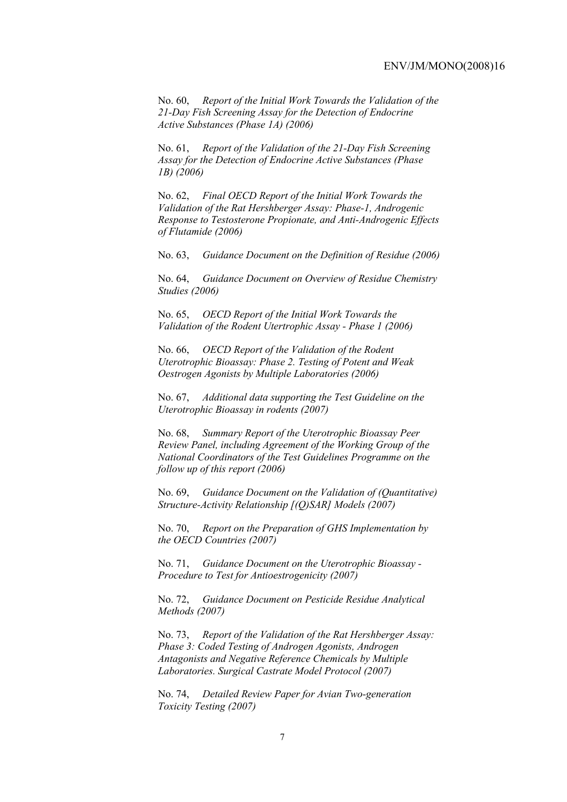No. 60, *Report of the Initial Work Towards the Validation of the 21-Day Fish Screening Assay for the Detection of Endocrine Active Substances (Phase 1A) (2006)* 

No. 61, *Report of the Validation of the 21-Day Fish Screening Assay for the Detection of Endocrine Active Substances (Phase 1B) (2006)* 

No. 62, *Final OECD Report of the Initial Work Towards the Validation of the Rat Hershberger Assay: Phase-1, Androgenic Response to Testosterone Propionate, and Anti-Androgenic Effects of Flutamide (2006)* 

No. 63, *Guidance Document on the Definition of Residue (2006)* 

No. 64, *Guidance Document on Overview of Residue Chemistry Studies (2006)* 

No. 65, *OECD Report of the Initial Work Towards the Validation of the Rodent Utertrophic Assay - Phase 1 (2006)* 

No. 66, *OECD Report of the Validation of the Rodent Uterotrophic Bioassay: Phase 2. Testing of Potent and Weak Oestrogen Agonists by Multiple Laboratories (2006)* 

No. 67, *Additional data supporting the Test Guideline on the Uterotrophic Bioassay in rodents (2007)* 

No. 68, *Summary Report of the Uterotrophic Bioassay Peer Review Panel, including Agreement of the Working Group of the National Coordinators of the Test Guidelines Programme on the follow up of this report (2006)* 

No. 69, *Guidance Document on the Validation of (Quantitative) Structure-Activity Relationship [(Q)SAR] Models (2007)* 

No. 70, *Report on the Preparation of GHS Implementation by the OECD Countries (2007)*

No. 71, *Guidance Document on the Uterotrophic Bioassay - Procedure to Test for Antioestrogenicity (2007)*

No. 72, *Guidance Document on Pesticide Residue Analytical Methods (2007)* 

No. 73, *Report of the Validation of the Rat Hershberger Assay: Phase 3: Coded Testing of Androgen Agonists, Androgen Antagonists and Negative Reference Chemicals by Multiple Laboratories. Surgical Castrate Model Protocol (2007)* 

No. 74, *Detailed Review Paper for Avian Two-generation Toxicity Testing (2007)*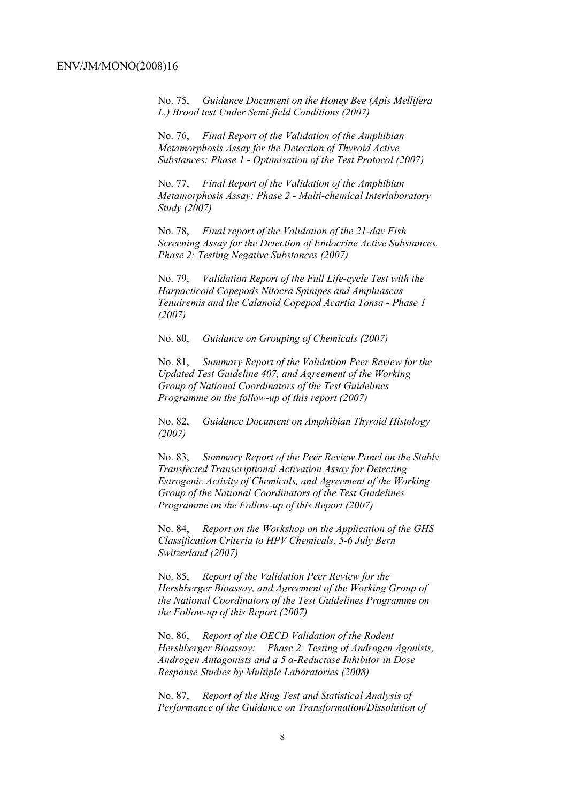No. 75, *Guidance Document on the Honey Bee (Apis Mellifera L.) Brood test Under Semi-field Conditions (2007)* 

No. 76, *Final Report of the Validation of the Amphibian Metamorphosis Assay for the Detection of Thyroid Active Substances: Phase 1 - Optimisation of the Test Protocol (2007)* 

No. 77, *Final Report of the Validation of the Amphibian Metamorphosis Assay: Phase 2 - Multi-chemical Interlaboratory Study (2007)* 

No. 78, *Final report of the Validation of the 21-day Fish Screening Assay for the Detection of Endocrine Active Substances. Phase 2: Testing Negative Substances (2007)* 

No. 79, *Validation Report of the Full Life-cycle Test with the Harpacticoid Copepods Nitocra Spinipes and Amphiascus Tenuiremis and the Calanoid Copepod Acartia Tonsa - Phase 1 (2007)* 

No. 80, *Guidance on Grouping of Chemicals (2007)* 

No. 81, *Summary Report of the Validation Peer Review for the Updated Test Guideline 407, and Agreement of the Working Group of National Coordinators of the Test Guidelines Programme on the follow-up of this report (2007)* 

No. 82, *Guidance Document on Amphibian Thyroid Histology (2007)* 

No. 83, *Summary Report of the Peer Review Panel on the Stably Transfected Transcriptional Activation Assay for Detecting Estrogenic Activity of Chemicals, and Agreement of the Working Group of the National Coordinators of the Test Guidelines Programme on the Follow-up of this Report (2007)* 

No. 84, *Report on the Workshop on the Application of the GHS Classification Criteria to HPV Chemicals, 5-6 July Bern Switzerland (2007)* 

No. 85, *Report of the Validation Peer Review for the Hershberger Bioassay, and Agreement of the Working Group of the National Coordinators of the Test Guidelines Programme on the Follow-up of this Report (2007)* 

No. 86, *Report of the OECD Validation of the Rodent Hershberger Bioassay: Phase 2: Testing of Androgen Agonists, Androgen Antagonists and a 5 α-Reductase Inhibitor in Dose Response Studies by Multiple Laboratories (2008)*

No. 87, *Report of the Ring Test and Statistical Analysis of Performance of the Guidance on Transformation/Dissolution of*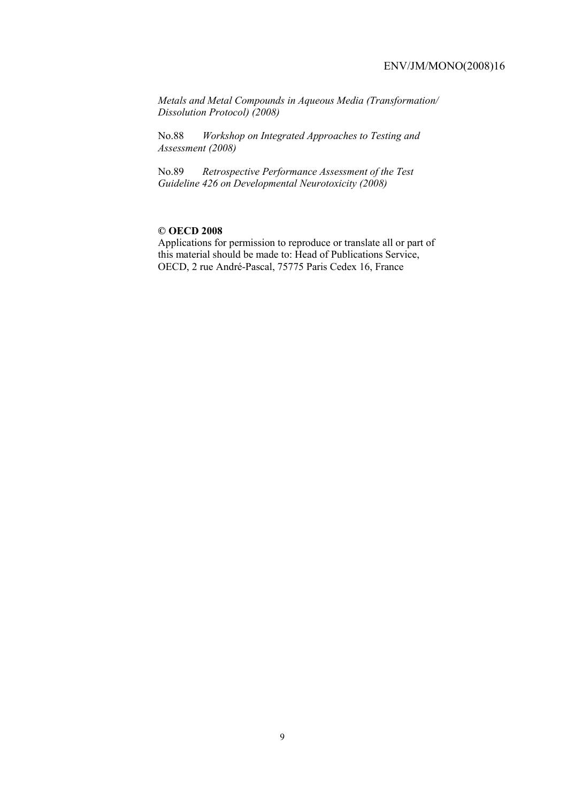*Metals and Metal Compounds in Aqueous Media (Transformation/ Dissolution Protocol) (2008)*

No.88 *Workshop on Integrated Approaches to Testing and Assessment (2008)* 

No.89 *Retrospective Performance Assessment of the Test Guideline 426 on Developmental Neurotoxicity (2008)* 

### **© OECD 2008**

Applications for permission to reproduce or translate all or part of this material should be made to: Head of Publications Service, OECD, 2 rue André-Pascal, 75775 Paris Cedex 16, France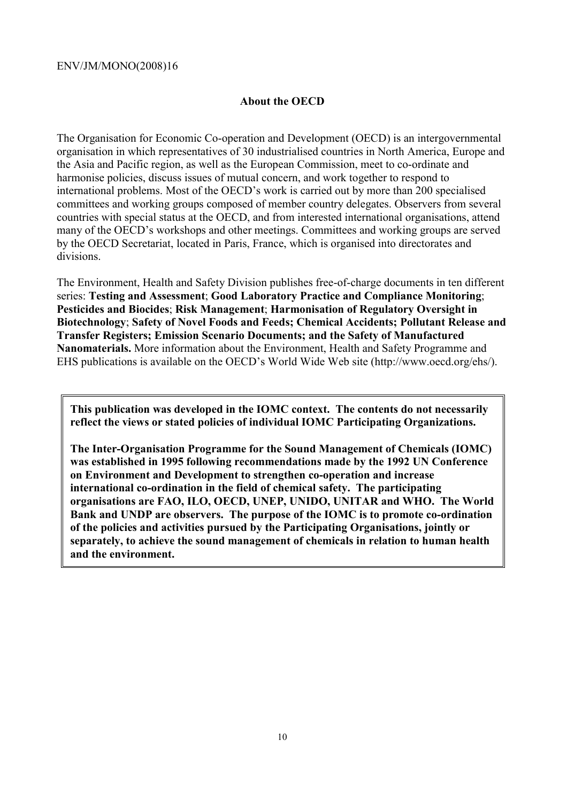# **About the OECD**

The Organisation for Economic Co-operation and Development (OECD) is an intergovernmental organisation in which representatives of 30 industrialised countries in North America, Europe and the Asia and Pacific region, as well as the European Commission, meet to co-ordinate and harmonise policies, discuss issues of mutual concern, and work together to respond to international problems. Most of the OECD's work is carried out by more than 200 specialised committees and working groups composed of member country delegates. Observers from several countries with special status at the OECD, and from interested international organisations, attend many of the OECD's workshops and other meetings. Committees and working groups are served by the OECD Secretariat, located in Paris, France, which is organised into directorates and divisions.

The Environment, Health and Safety Division publishes free-of-charge documents in ten different series: **Testing and Assessment**; **Good Laboratory Practice and Compliance Monitoring**; **Pesticides and Biocides**; **Risk Management**; **Harmonisation of Regulatory Oversight in Biotechnology**; **Safety of Novel Foods and Feeds; Chemical Accidents; Pollutant Release and Transfer Registers; Emission Scenario Documents; and the Safety of Manufactured Nanomaterials.** More information about the Environment, Health and Safety Programme and EHS publications is available on the OECD's World Wide Web site (http://www.oecd.org/ehs/).

**This publication was developed in the IOMC context. The contents do not necessarily reflect the views or stated policies of individual IOMC Participating Organizations.** 

**The Inter-Organisation Programme for the Sound Management of Chemicals (IOMC) was established in 1995 following recommendations made by the 1992 UN Conference on Environment and Development to strengthen co-operation and increase international co-ordination in the field of chemical safety. The participating organisations are FAO, ILO, OECD, UNEP, UNIDO, UNITAR and WHO. The World Bank and UNDP are observers. The purpose of the IOMC is to promote co-ordination of the policies and activities pursued by the Participating Organisations, jointly or separately, to achieve the sound management of chemicals in relation to human health and the environment.**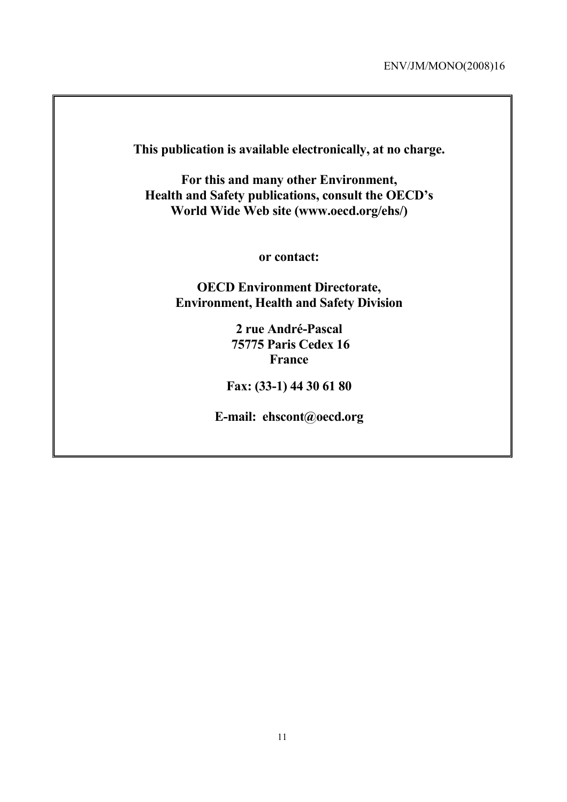**This publication is available electronically, at no charge.** 

**For this and many other Environment, Health and Safety publications, consult the OECD's World Wide Web site (www.oecd.org/ehs/)** 

**or contact:** 

**OECD Environment Directorate, Environment, Health and Safety Division**

> **2 rue André-Pascal 75775 Paris Cedex 16 France**

**Fax: (33-1) 44 30 61 80** 

**E-mail: ehscont@oecd.org**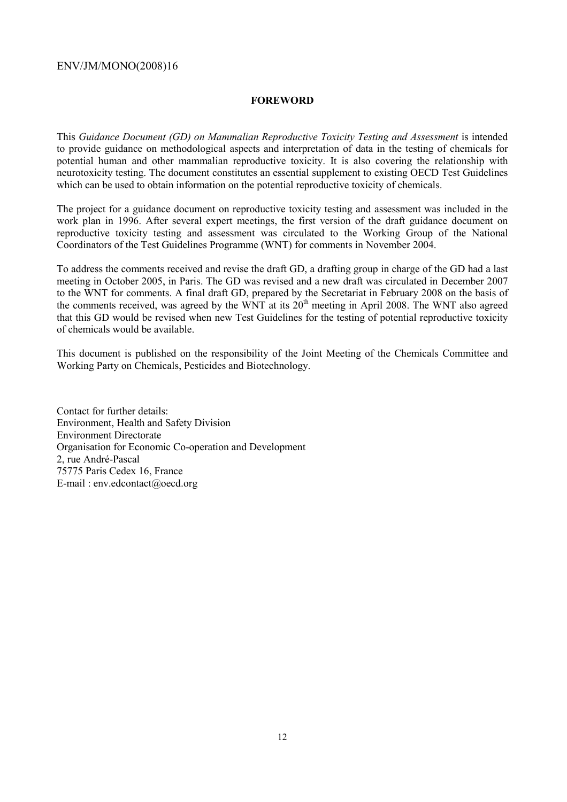## **FOREWORD**

This *Guidance Document (GD) on Mammalian Reproductive Toxicity Testing and Assessment* is intended to provide guidance on methodological aspects and interpretation of data in the testing of chemicals for potential human and other mammalian reproductive toxicity. It is also covering the relationship with neurotoxicity testing. The document constitutes an essential supplement to existing OECD Test Guidelines which can be used to obtain information on the potential reproductive toxicity of chemicals.

The project for a guidance document on reproductive toxicity testing and assessment was included in the work plan in 1996. After several expert meetings, the first version of the draft guidance document on reproductive toxicity testing and assessment was circulated to the Working Group of the National Coordinators of the Test Guidelines Programme (WNT) for comments in November 2004.

To address the comments received and revise the draft GD, a drafting group in charge of the GD had a last meeting in October 2005, in Paris. The GD was revised and a new draft was circulated in December 2007 to the WNT for comments. A final draft GD, prepared by the Secretariat in February 2008 on the basis of the comments received, was agreed by the WNT at its  $20<sup>th</sup>$  meeting in April 2008. The WNT also agreed that this GD would be revised when new Test Guidelines for the testing of potential reproductive toxicity of chemicals would be available.

This document is published on the responsibility of the Joint Meeting of the Chemicals Committee and Working Party on Chemicals, Pesticides and Biotechnology.

Contact for further details: Environment, Health and Safety Division Environment Directorate Organisation for Economic Co-operation and Development 2, rue André-Pascal 75775 Paris Cedex 16, France E-mail : env.edcontact@oecd.org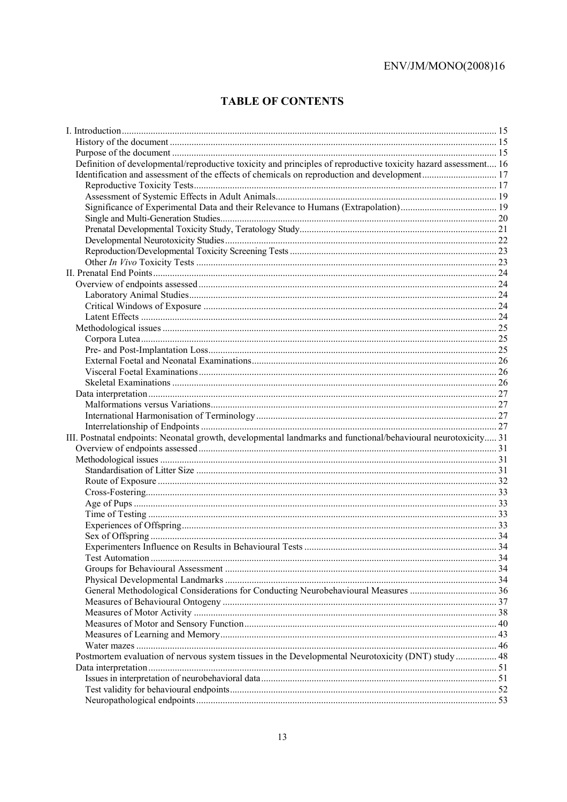# **TABLE OF CONTENTS**

| Definition of developmental/reproductive toxicity and principles of reproductive toxicity hazard assessment 16 |  |
|----------------------------------------------------------------------------------------------------------------|--|
|                                                                                                                |  |
|                                                                                                                |  |
|                                                                                                                |  |
|                                                                                                                |  |
|                                                                                                                |  |
|                                                                                                                |  |
|                                                                                                                |  |
|                                                                                                                |  |
|                                                                                                                |  |
|                                                                                                                |  |
|                                                                                                                |  |
|                                                                                                                |  |
|                                                                                                                |  |
|                                                                                                                |  |
|                                                                                                                |  |
|                                                                                                                |  |
|                                                                                                                |  |
|                                                                                                                |  |
|                                                                                                                |  |
|                                                                                                                |  |
|                                                                                                                |  |
|                                                                                                                |  |
|                                                                                                                |  |
|                                                                                                                |  |
| III. Postnatal endpoints: Neonatal growth, developmental landmarks and functional/behavioural neurotoxicity 31 |  |
|                                                                                                                |  |
|                                                                                                                |  |
|                                                                                                                |  |
|                                                                                                                |  |
|                                                                                                                |  |
|                                                                                                                |  |
|                                                                                                                |  |
|                                                                                                                |  |
|                                                                                                                |  |
|                                                                                                                |  |
|                                                                                                                |  |
|                                                                                                                |  |
|                                                                                                                |  |
|                                                                                                                |  |
|                                                                                                                |  |
|                                                                                                                |  |
|                                                                                                                |  |
|                                                                                                                |  |
|                                                                                                                |  |
|                                                                                                                |  |
|                                                                                                                |  |
| Postmortem evaluation of nervous system tissues in the Developmental Neurotoxicity (DNT) study 48              |  |
|                                                                                                                |  |
|                                                                                                                |  |
|                                                                                                                |  |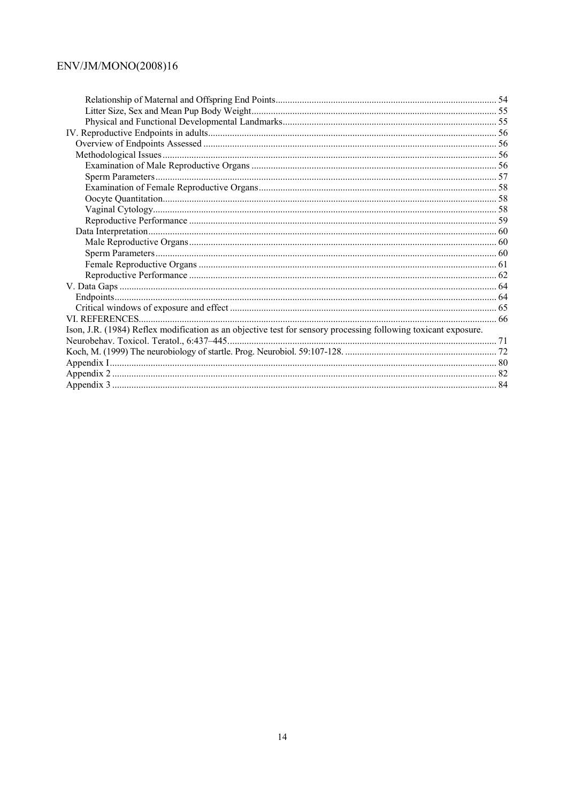| Ison, J.R. (1984) Reflex modification as an objective test for sensory processing following toxicant exposure. |  |
|----------------------------------------------------------------------------------------------------------------|--|
|                                                                                                                |  |
|                                                                                                                |  |
|                                                                                                                |  |
|                                                                                                                |  |
|                                                                                                                |  |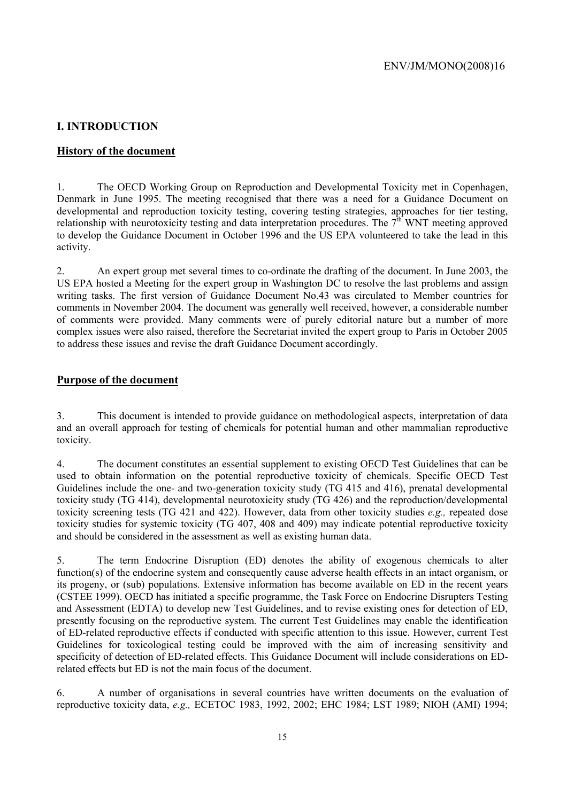# **I. INTRODUCTION**

# **History of the document**

1. The OECD Working Group on Reproduction and Developmental Toxicity met in Copenhagen, Denmark in June 1995. The meeting recognised that there was a need for a Guidance Document on developmental and reproduction toxicity testing, covering testing strategies, approaches for tier testing, relationship with neurotoxicity testing and data interpretation procedures. The  $7<sup>th</sup>$  WNT meeting approved to develop the Guidance Document in October 1996 and the US EPA volunteered to take the lead in this activity.

2. An expert group met several times to co-ordinate the drafting of the document. In June 2003, the US EPA hosted a Meeting for the expert group in Washington DC to resolve the last problems and assign writing tasks. The first version of Guidance Document No.43 was circulated to Member countries for comments in November 2004. The document was generally well received, however, a considerable number of comments were provided. Many comments were of purely editorial nature but a number of more complex issues were also raised, therefore the Secretariat invited the expert group to Paris in October 2005 to address these issues and revise the draft Guidance Document accordingly.

# **Purpose of the document**

3. This document is intended to provide guidance on methodological aspects, interpretation of data and an overall approach for testing of chemicals for potential human and other mammalian reproductive toxicity.

4. The document constitutes an essential supplement to existing OECD Test Guidelines that can be used to obtain information on the potential reproductive toxicity of chemicals. Specific OECD Test Guidelines include the one- and two-generation toxicity study (TG 415 and 416), prenatal developmental toxicity study (TG 414), developmental neurotoxicity study (TG 426) and the reproduction/developmental toxicity screening tests (TG 421 and 422). However, data from other toxicity studies *e.g.,* repeated dose toxicity studies for systemic toxicity (TG 407, 408 and 409) may indicate potential reproductive toxicity and should be considered in the assessment as well as existing human data.

5. The term Endocrine Disruption (ED) denotes the ability of exogenous chemicals to alter function(s) of the endocrine system and consequently cause adverse health effects in an intact organism, or its progeny, or (sub) populations. Extensive information has become available on ED in the recent years (CSTEE 1999). OECD has initiated a specific programme, the Task Force on Endocrine Disrupters Testing and Assessment (EDTA) to develop new Test Guidelines, and to revise existing ones for detection of ED, presently focusing on the reproductive system. The current Test Guidelines may enable the identification of ED-related reproductive effects if conducted with specific attention to this issue. However, current Test Guidelines for toxicological testing could be improved with the aim of increasing sensitivity and specificity of detection of ED-related effects. This Guidance Document will include considerations on EDrelated effects but ED is not the main focus of the document.

6. A number of organisations in several countries have written documents on the evaluation of reproductive toxicity data, *e.g.,* ECETOC 1983, 1992, 2002; EHC 1984; LST 1989; NIOH (AMI) 1994;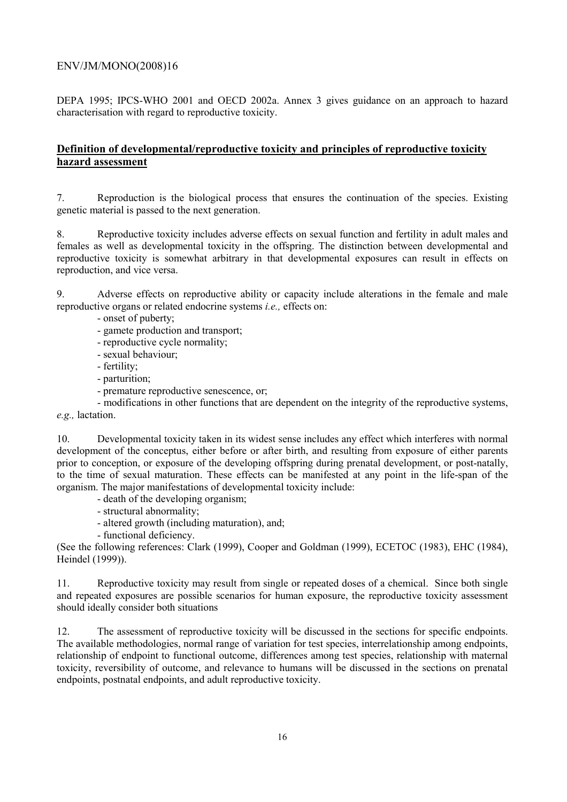DEPA 1995; IPCS-WHO 2001 and OECD 2002a. Annex 3 gives guidance on an approach to hazard characterisation with regard to reproductive toxicity.

# **Definition of developmental/reproductive toxicity and principles of reproductive toxicity hazard assessment**

7. Reproduction is the biological process that ensures the continuation of the species. Existing genetic material is passed to the next generation.

8. Reproductive toxicity includes adverse effects on sexual function and fertility in adult males and females as well as developmental toxicity in the offspring. The distinction between developmental and reproductive toxicity is somewhat arbitrary in that developmental exposures can result in effects on reproduction, and vice versa.

9. Adverse effects on reproductive ability or capacity include alterations in the female and male reproductive organs or related endocrine systems *i.e.,* effects on:

- onset of puberty;
- gamete production and transport;
- reproductive cycle normality;
- sexual behaviour;
- fertility;
- parturition;
- premature reproductive senescence, or;

 - modifications in other functions that are dependent on the integrity of the reproductive systems, *e.g.,* lactation.

10. Developmental toxicity taken in its widest sense includes any effect which interferes with normal development of the conceptus, either before or after birth, and resulting from exposure of either parents prior to conception, or exposure of the developing offspring during prenatal development, or post-natally, to the time of sexual maturation. These effects can be manifested at any point in the life-span of the organism. The major manifestations of developmental toxicity include:

- death of the developing organism;
- structural abnormality;
- altered growth (including maturation), and;
- functional deficiency.

(See the following references: Clark (1999), Cooper and Goldman (1999), ECETOC (1983), EHC (1984), Heindel (1999)).

11. Reproductive toxicity may result from single or repeated doses of a chemical. Since both single and repeated exposures are possible scenarios for human exposure, the reproductive toxicity assessment should ideally consider both situations

12. The assessment of reproductive toxicity will be discussed in the sections for specific endpoints. The available methodologies, normal range of variation for test species, interrelationship among endpoints, relationship of endpoint to functional outcome, differences among test species, relationship with maternal toxicity, reversibility of outcome, and relevance to humans will be discussed in the sections on prenatal endpoints, postnatal endpoints, and adult reproductive toxicity.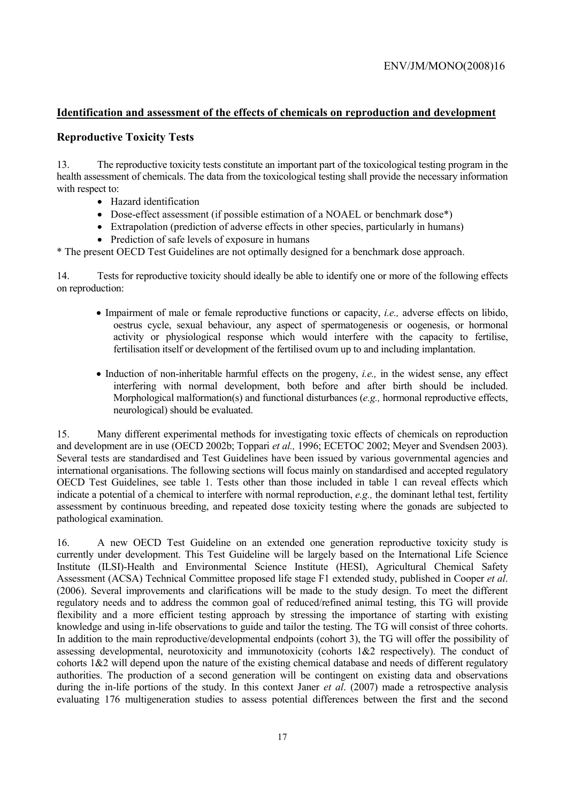# **Identification and assessment of the effects of chemicals on reproduction and development**

# **Reproductive Toxicity Tests**

13. The reproductive toxicity tests constitute an important part of the toxicological testing program in the health assessment of chemicals. The data from the toxicological testing shall provide the necessary information with respect to:

- Hazard identification
- Dose-effect assessment (if possible estimation of a NOAEL or benchmark dose\*)
- Extrapolation (prediction of adverse effects in other species, particularly in humans)
- Prediction of safe levels of exposure in humans

\* The present OECD Test Guidelines are not optimally designed for a benchmark dose approach.

14. Tests for reproductive toxicity should ideally be able to identify one or more of the following effects on reproduction:

- Impairment of male or female reproductive functions or capacity, *i.e.,* adverse effects on libido, oestrus cycle, sexual behaviour, any aspect of spermatogenesis or oogenesis, or hormonal activity or physiological response which would interfere with the capacity to fertilise, fertilisation itself or development of the fertilised ovum up to and including implantation.
- Induction of non-inheritable harmful effects on the progeny, *i.e.,* in the widest sense, any effect interfering with normal development, both before and after birth should be included. Morphological malformation(s) and functional disturbances (*e.g.,* hormonal reproductive effects, neurological) should be evaluated.

15. Many different experimental methods for investigating toxic effects of chemicals on reproduction and development are in use (OECD 2002b; Toppari *et al.,* 1996; ECETOC 2002; Meyer and Svendsen 2003). Several tests are standardised and Test Guidelines have been issued by various governmental agencies and international organisations. The following sections will focus mainly on standardised and accepted regulatory OECD Test Guidelines, see table 1. Tests other than those included in table 1 can reveal effects which indicate a potential of a chemical to interfere with normal reproduction, *e.g.,* the dominant lethal test, fertility assessment by continuous breeding, and repeated dose toxicity testing where the gonads are subjected to pathological examination.

16. A new OECD Test Guideline on an extended one generation reproductive toxicity study is currently under development. This Test Guideline will be largely based on the International Life Science Institute (ILSI)-Health and Environmental Science Institute (HESI), Agricultural Chemical Safety Assessment (ACSA) Technical Committee proposed life stage F1 extended study, published in Cooper *et al*. (2006). Several improvements and clarifications will be made to the study design. To meet the different regulatory needs and to address the common goal of reduced/refined animal testing, this TG will provide flexibility and a more efficient testing approach by stressing the importance of starting with existing knowledge and using in-life observations to guide and tailor the testing. The TG will consist of three cohorts. In addition to the main reproductive/developmental endpoints (cohort 3), the TG will offer the possibility of assessing developmental, neurotoxicity and immunotoxicity (cohorts 1&2 respectively). The conduct of cohorts  $1&2$  will depend upon the nature of the existing chemical database and needs of different regulatory authorities. The production of a second generation will be contingent on existing data and observations during the in-life portions of the study. In this context Janer *et al*. (2007) made a retrospective analysis evaluating 176 multigeneration studies to assess potential differences between the first and the second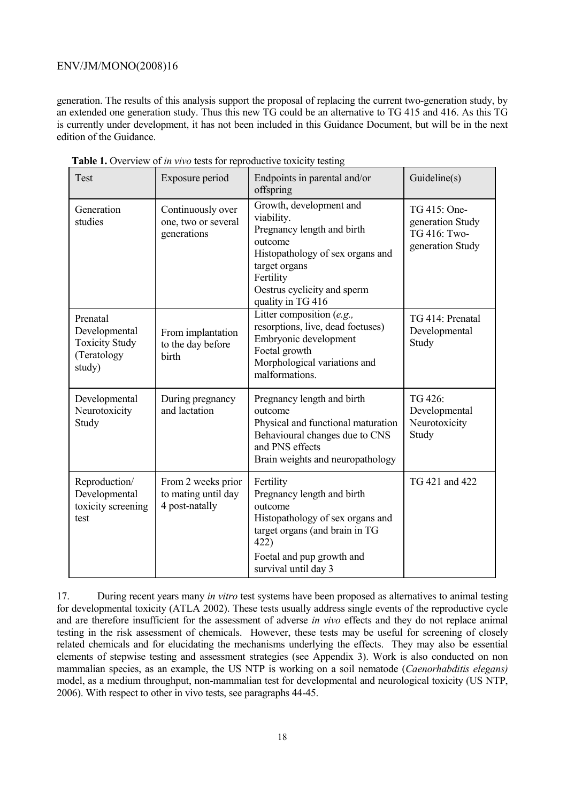generation. The results of this analysis support the proposal of replacing the current two-generation study, by an extended one generation study. Thus this new TG could be an alternative to TG 415 and 416. As this TG is currently under development, it has not been included in this Guidance Document, but will be in the next edition of the Guidance.

| Test                                                                        | Exposure period                                             | Endpoints in parental and/or<br>offspring                                                                                                                                                            | Guideline(s)                                                         |
|-----------------------------------------------------------------------------|-------------------------------------------------------------|------------------------------------------------------------------------------------------------------------------------------------------------------------------------------------------------------|----------------------------------------------------------------------|
| Generation<br>studies                                                       | Continuously over<br>one, two or several<br>generations     | Growth, development and<br>viability.<br>Pregnancy length and birth<br>outcome<br>Histopathology of sex organs and<br>target organs<br>Fertility<br>Oestrus cyclicity and sperm<br>quality in TG 416 | TG 415: One-<br>generation Study<br>TG 416: Two-<br>generation Study |
| Prenatal<br>Developmental<br><b>Toxicity Study</b><br>(Teratology<br>study) | From implantation<br>to the day before<br>birth             | Litter composition $(e.g.,$<br>resorptions, live, dead foetuses)<br>Embryonic development<br>Foetal growth<br>Morphological variations and<br>malformations.                                         | TG 414: Prenatal<br>Developmental<br>Study                           |
| Developmental<br>Neurotoxicity<br>Study                                     | During pregnancy<br>and lactation                           | Pregnancy length and birth<br>outcome<br>Physical and functional maturation<br>Behavioural changes due to CNS<br>and PNS effects<br>Brain weights and neuropathology                                 | TG 426:<br>Developmental<br>Neurotoxicity<br>Study                   |
| Reproduction/<br>Developmental<br>toxicity screening<br>test                | From 2 weeks prior<br>to mating until day<br>4 post-natally | Fertility<br>Pregnancy length and birth<br>outcome<br>Histopathology of sex organs and<br>target organs (and brain in TG<br>422)<br>Foetal and pup growth and<br>survival until day 3                | TG 421 and 422                                                       |

 **Table 1.** Overview of *in vivo* tests for reproductive toxicity testing

17. During recent years many *in vitro* test systems have been proposed as alternatives to animal testing for developmental toxicity (ATLA 2002). These tests usually address single events of the reproductive cycle and are therefore insufficient for the assessment of adverse *in vivo* effects and they do not replace animal testing in the risk assessment of chemicals. However, these tests may be useful for screening of closely related chemicals and for elucidating the mechanisms underlying the effects. They may also be essential elements of stepwise testing and assessment strategies (see Appendix 3). Work is also conducted on non mammalian species, as an example, the US NTP is working on a soil nematode (*Caenorhabditis elegans)* model, as a medium throughput, non-mammalian test for developmental and neurological toxicity (US NTP, 2006). With respect to other in vivo tests, see paragraphs 44-45.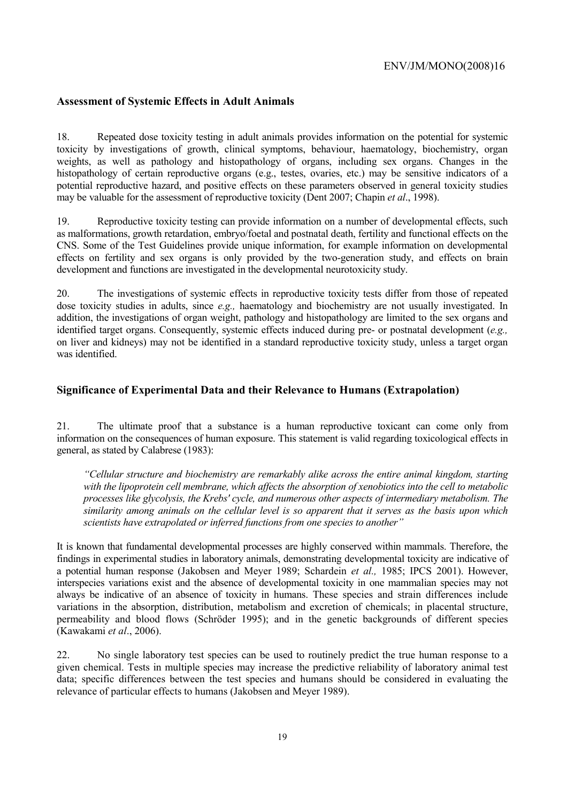## **Assessment of Systemic Effects in Adult Animals**

18. Repeated dose toxicity testing in adult animals provides information on the potential for systemic toxicity by investigations of growth, clinical symptoms, behaviour, haematology, biochemistry, organ weights, as well as pathology and histopathology of organs, including sex organs. Changes in the histopathology of certain reproductive organs (e.g., testes, ovaries, etc.) may be sensitive indicators of a potential reproductive hazard, and positive effects on these parameters observed in general toxicity studies may be valuable for the assessment of reproductive toxicity (Dent 2007; Chapin *et al*., 1998).

19. Reproductive toxicity testing can provide information on a number of developmental effects, such as malformations, growth retardation, embryo/foetal and postnatal death, fertility and functional effects on the CNS. Some of the Test Guidelines provide unique information, for example information on developmental effects on fertility and sex organs is only provided by the two-generation study, and effects on brain development and functions are investigated in the developmental neurotoxicity study.

20. The investigations of systemic effects in reproductive toxicity tests differ from those of repeated dose toxicity studies in adults, since *e.g.,* haematology and biochemistry are not usually investigated. In addition, the investigations of organ weight, pathology and histopathology are limited to the sex organs and identified target organs. Consequently, systemic effects induced during pre- or postnatal development (*e.g.,* on liver and kidneys) may not be identified in a standard reproductive toxicity study, unless a target organ was identified.

### **Significance of Experimental Data and their Relevance to Humans (Extrapolation)**

21. The ultimate proof that a substance is a human reproductive toxicant can come only from information on the consequences of human exposure. This statement is valid regarding toxicological effects in general, as stated by Calabrese (1983):

*"Cellular structure and biochemistry are remarkably alike across the entire animal kingdom, starting with the lipoprotein cell membrane, which affects the absorption of xenobiotics into the cell to metabolic processes like glycolysis, the Krebs' cycle, and numerous other aspects of intermediary metabolism. The similarity among animals on the cellular level is so apparent that it serves as the basis upon which scientists have extrapolated or inferred functions from one species to another"*

It is known that fundamental developmental processes are highly conserved within mammals. Therefore, the findings in experimental studies in laboratory animals, demonstrating developmental toxicity are indicative of a potential human response (Jakobsen and Meyer 1989; Schardein *et al.,* 1985; IPCS 2001). However, interspecies variations exist and the absence of developmental toxicity in one mammalian species may not always be indicative of an absence of toxicity in humans. These species and strain differences include variations in the absorption, distribution, metabolism and excretion of chemicals; in placental structure, permeability and blood flows (Schröder 1995); and in the genetic backgrounds of different species (Kawakami *et al*., 2006).

22. No single laboratory test species can be used to routinely predict the true human response to a given chemical. Tests in multiple species may increase the predictive reliability of laboratory animal test data; specific differences between the test species and humans should be considered in evaluating the relevance of particular effects to humans (Jakobsen and Meyer 1989).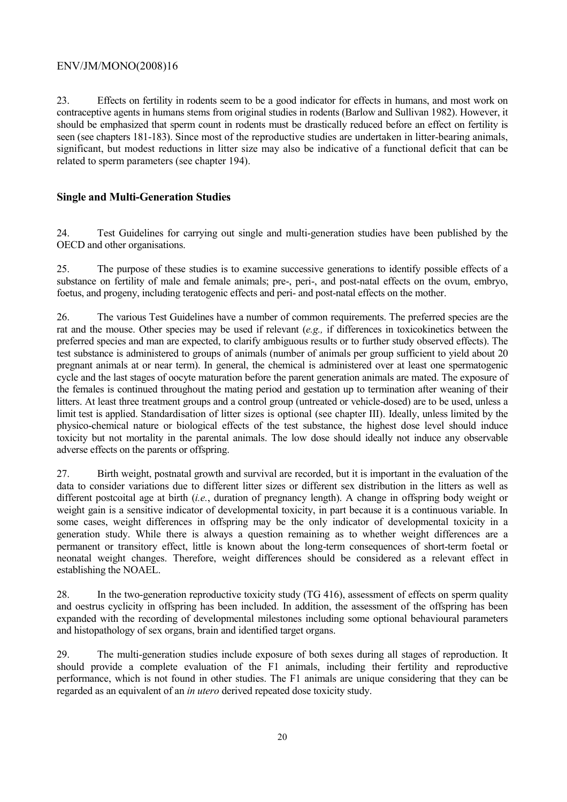23. Effects on fertility in rodents seem to be a good indicator for effects in humans, and most work on contraceptive agents in humans stems from original studies in rodents (Barlow and Sullivan 1982). However, it should be emphasized that sperm count in rodents must be drastically reduced before an effect on fertility is seen (see chapters 181-183). Since most of the reproductive studies are undertaken in litter-bearing animals, significant, but modest reductions in litter size may also be indicative of a functional deficit that can be related to sperm parameters (see chapter 194).

# **Single and Multi-Generation Studies**

24. Test Guidelines for carrying out single and multi-generation studies have been published by the OECD and other organisations.

25. The purpose of these studies is to examine successive generations to identify possible effects of a substance on fertility of male and female animals; pre-, peri-, and post-natal effects on the ovum, embryo, foetus, and progeny, including teratogenic effects and peri- and post-natal effects on the mother.

26. The various Test Guidelines have a number of common requirements. The preferred species are the rat and the mouse. Other species may be used if relevant (*e.g.,* if differences in toxicokinetics between the preferred species and man are expected, to clarify ambiguous results or to further study observed effects). The test substance is administered to groups of animals (number of animals per group sufficient to yield about 20 pregnant animals at or near term). In general, the chemical is administered over at least one spermatogenic cycle and the last stages of oocyte maturation before the parent generation animals are mated. The exposure of the females is continued throughout the mating period and gestation up to termination after weaning of their litters. At least three treatment groups and a control group (untreated or vehicle-dosed) are to be used, unless a limit test is applied. Standardisation of litter sizes is optional (see chapter III). Ideally, unless limited by the physico-chemical nature or biological effects of the test substance, the highest dose level should induce toxicity but not mortality in the parental animals. The low dose should ideally not induce any observable adverse effects on the parents or offspring.

27. Birth weight, postnatal growth and survival are recorded, but it is important in the evaluation of the data to consider variations due to different litter sizes or different sex distribution in the litters as well as different postcoital age at birth (*i.e.*, duration of pregnancy length). A change in offspring body weight or weight gain is a sensitive indicator of developmental toxicity, in part because it is a continuous variable. In some cases, weight differences in offspring may be the only indicator of developmental toxicity in a generation study. While there is always a question remaining as to whether weight differences are a permanent or transitory effect, little is known about the long-term consequences of short-term foetal or neonatal weight changes. Therefore, weight differences should be considered as a relevant effect in establishing the NOAEL.

28. In the two-generation reproductive toxicity study (TG 416), assessment of effects on sperm quality and oestrus cyclicity in offspring has been included. In addition, the assessment of the offspring has been expanded with the recording of developmental milestones including some optional behavioural parameters and histopathology of sex organs, brain and identified target organs.

29. The multi-generation studies include exposure of both sexes during all stages of reproduction. It should provide a complete evaluation of the F1 animals, including their fertility and reproductive performance, which is not found in other studies. The F1 animals are unique considering that they can be regarded as an equivalent of an *in utero* derived repeated dose toxicity study.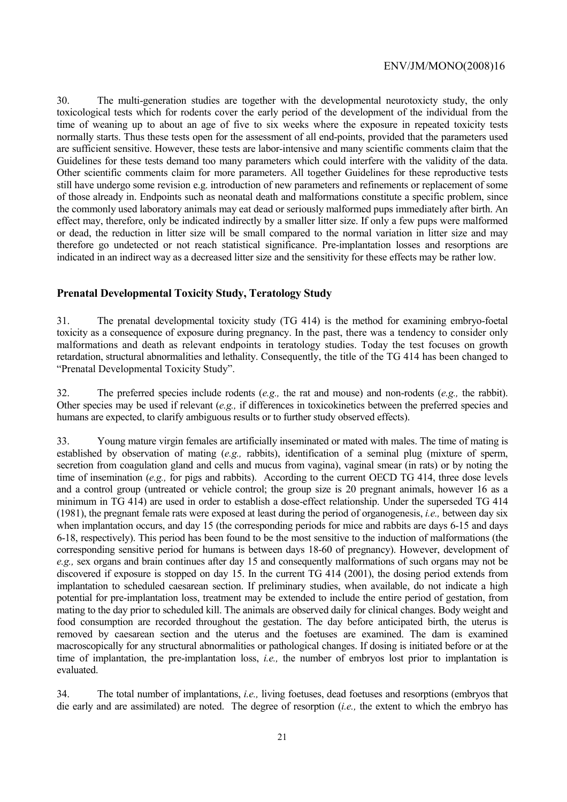30. The multi-generation studies are together with the developmental neurotoxicty study, the only toxicological tests which for rodents cover the early period of the development of the individual from the time of weaning up to about an age of five to six weeks where the exposure in repeated toxicity tests normally starts. Thus these tests open for the assessment of all end-points, provided that the parameters used are sufficient sensitive. However, these tests are labor-intensive and many scientific comments claim that the Guidelines for these tests demand too many parameters which could interfere with the validity of the data. Other scientific comments claim for more parameters. All together Guidelines for these reproductive tests still have undergo some revision e.g. introduction of new parameters and refinements or replacement of some of those already in. Endpoints such as neonatal death and malformations constitute a specific problem, since the commonly used laboratory animals may eat dead or seriously malformed pups immediately after birth. An effect may, therefore, only be indicated indirectly by a smaller litter size. If only a few pups were malformed or dead, the reduction in litter size will be small compared to the normal variation in litter size and may therefore go undetected or not reach statistical significance. Pre-implantation losses and resorptions are indicated in an indirect way as a decreased litter size and the sensitivity for these effects may be rather low.

#### **Prenatal Developmental Toxicity Study, Teratology Study**

31. The prenatal developmental toxicity study (TG 414) is the method for examining embryo-foetal toxicity as a consequence of exposure during pregnancy. In the past, there was a tendency to consider only malformations and death as relevant endpoints in teratology studies. Today the test focuses on growth retardation, structural abnormalities and lethality. Consequently, the title of the TG 414 has been changed to "Prenatal Developmental Toxicity Study".

32. The preferred species include rodents (*e.g.,* the rat and mouse) and non-rodents (*e.g.,* the rabbit). Other species may be used if relevant (*e.g.,* if differences in toxicokinetics between the preferred species and humans are expected, to clarify ambiguous results or to further study observed effects).

33. Young mature virgin females are artificially inseminated or mated with males. The time of mating is established by observation of mating (*e.g.,* rabbits), identification of a seminal plug (mixture of sperm, secretion from coagulation gland and cells and mucus from vagina), vaginal smear (in rats) or by noting the time of insemination (*e.g.,* for pigs and rabbits). According to the current OECD TG 414, three dose levels and a control group (untreated or vehicle control; the group size is 20 pregnant animals, however 16 as a minimum in TG 414) are used in order to establish a dose-effect relationship. Under the superseded TG 414 (1981), the pregnant female rats were exposed at least during the period of organogenesis, *i.e.,* between day six when implantation occurs, and day 15 (the corresponding periods for mice and rabbits are days 6-15 and days 6-18, respectively). This period has been found to be the most sensitive to the induction of malformations (the corresponding sensitive period for humans is between days 18-60 of pregnancy). However, development of *e.g.,* sex organs and brain continues after day 15 and consequently malformations of such organs may not be discovered if exposure is stopped on day 15. In the current TG 414 (2001), the dosing period extends from implantation to scheduled caesarean section. If preliminary studies, when available, do not indicate a high potential for pre-implantation loss, treatment may be extended to include the entire period of gestation, from mating to the day prior to scheduled kill. The animals are observed daily for clinical changes. Body weight and food consumption are recorded throughout the gestation. The day before anticipated birth, the uterus is removed by caesarean section and the uterus and the foetuses are examined. The dam is examined macroscopically for any structural abnormalities or pathological changes. If dosing is initiated before or at the time of implantation, the pre-implantation loss, *i.e.,* the number of embryos lost prior to implantation is evaluated.

34. The total number of implantations, *i.e.,* living foetuses, dead foetuses and resorptions (embryos that die early and are assimilated) are noted. The degree of resorption (*i.e.,* the extent to which the embryo has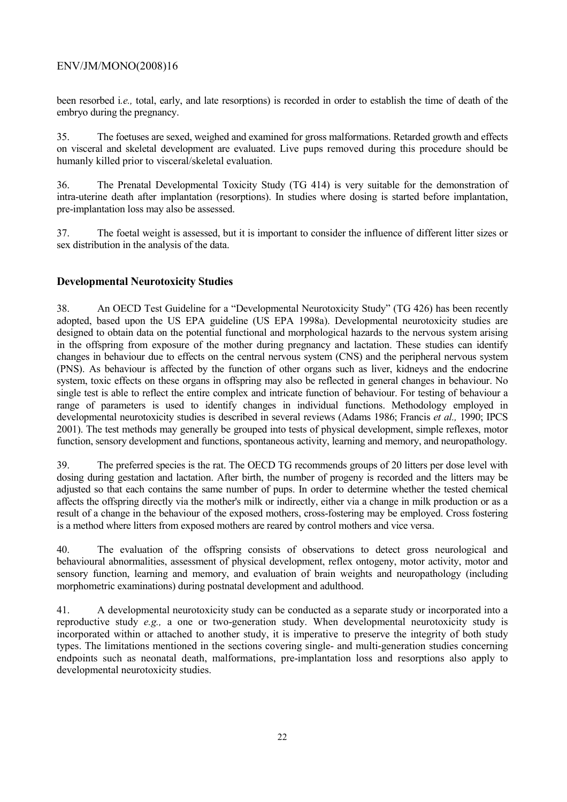been resorbed i*.e.,* total, early, and late resorptions) is recorded in order to establish the time of death of the embryo during the pregnancy.

35. The foetuses are sexed, weighed and examined for gross malformations. Retarded growth and effects on visceral and skeletal development are evaluated. Live pups removed during this procedure should be humanly killed prior to visceral/skeletal evaluation.

36. The Prenatal Developmental Toxicity Study (TG 414) is very suitable for the demonstration of intra-uterine death after implantation (resorptions). In studies where dosing is started before implantation, pre-implantation loss may also be assessed.

37. The foetal weight is assessed, but it is important to consider the influence of different litter sizes or sex distribution in the analysis of the data.

# **Developmental Neurotoxicity Studies**

38. An OECD Test Guideline for a "Developmental Neurotoxicity Study" (TG 426) has been recently adopted, based upon the US EPA guideline (US EPA 1998a). Developmental neurotoxicity studies are designed to obtain data on the potential functional and morphological hazards to the nervous system arising in the offspring from exposure of the mother during pregnancy and lactation. These studies can identify changes in behaviour due to effects on the central nervous system (CNS) and the peripheral nervous system (PNS). As behaviour is affected by the function of other organs such as liver, kidneys and the endocrine system, toxic effects on these organs in offspring may also be reflected in general changes in behaviour. No single test is able to reflect the entire complex and intricate function of behaviour. For testing of behaviour a range of parameters is used to identify changes in individual functions. Methodology employed in developmental neurotoxicity studies is described in several reviews (Adams 1986; Francis *et al.,* 1990; IPCS 2001). The test methods may generally be grouped into tests of physical development, simple reflexes, motor function, sensory development and functions, spontaneous activity, learning and memory, and neuropathology.

39. The preferred species is the rat. The OECD TG recommends groups of 20 litters per dose level with dosing during gestation and lactation. After birth, the number of progeny is recorded and the litters may be adjusted so that each contains the same number of pups. In order to determine whether the tested chemical affects the offspring directly via the mother's milk or indirectly, either via a change in milk production or as a result of a change in the behaviour of the exposed mothers, cross-fostering may be employed. Cross fostering is a method where litters from exposed mothers are reared by control mothers and vice versa.

40. The evaluation of the offspring consists of observations to detect gross neurological and behavioural abnormalities, assessment of physical development, reflex ontogeny, motor activity, motor and sensory function, learning and memory, and evaluation of brain weights and neuropathology (including morphometric examinations) during postnatal development and adulthood.

41. A developmental neurotoxicity study can be conducted as a separate study or incorporated into a reproductive study *e.g.,* a one or two-generation study. When developmental neurotoxicity study is incorporated within or attached to another study, it is imperative to preserve the integrity of both study types. The limitations mentioned in the sections covering single- and multi-generation studies concerning endpoints such as neonatal death, malformations, pre-implantation loss and resorptions also apply to developmental neurotoxicity studies.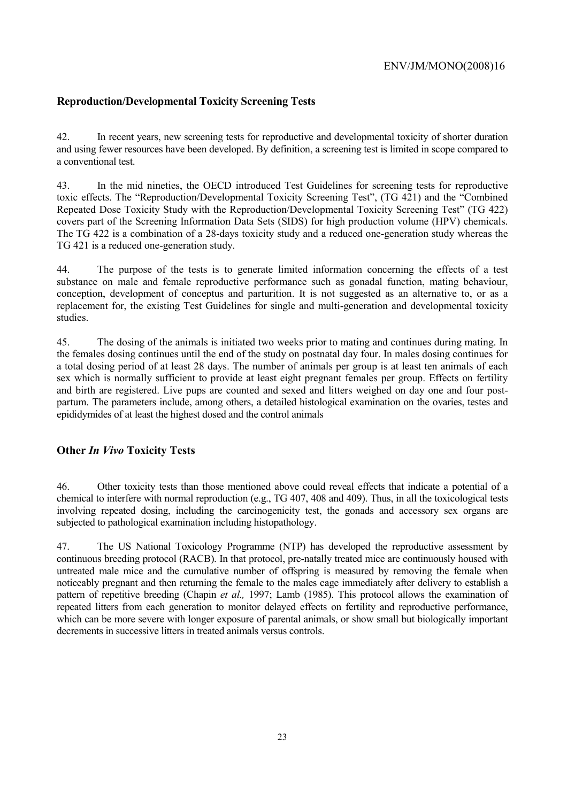# **Reproduction/Developmental Toxicity Screening Tests**

42. In recent years, new screening tests for reproductive and developmental toxicity of shorter duration and using fewer resources have been developed. By definition, a screening test is limited in scope compared to a conventional test.

43. In the mid nineties, the OECD introduced Test Guidelines for screening tests for reproductive toxic effects. The "Reproduction/Developmental Toxicity Screening Test", (TG 421) and the "Combined Repeated Dose Toxicity Study with the Reproduction/Developmental Toxicity Screening Test" (TG 422) covers part of the Screening Information Data Sets (SIDS) for high production volume (HPV) chemicals. The TG 422 is a combination of a 28-days toxicity study and a reduced one-generation study whereas the TG 421 is a reduced one-generation study.

44. The purpose of the tests is to generate limited information concerning the effects of a test substance on male and female reproductive performance such as gonadal function, mating behaviour, conception, development of conceptus and parturition. It is not suggested as an alternative to, or as a replacement for, the existing Test Guidelines for single and multi-generation and developmental toxicity studies.

45. The dosing of the animals is initiated two weeks prior to mating and continues during mating. In the females dosing continues until the end of the study on postnatal day four. In males dosing continues for a total dosing period of at least 28 days. The number of animals per group is at least ten animals of each sex which is normally sufficient to provide at least eight pregnant females per group. Effects on fertility and birth are registered. Live pups are counted and sexed and litters weighed on day one and four postpartum. The parameters include, among others, a detailed histological examination on the ovaries, testes and epididymides of at least the highest dosed and the control animals

# **Other** *In Vivo* **Toxicity Tests**

46. Other toxicity tests than those mentioned above could reveal effects that indicate a potential of a chemical to interfere with normal reproduction (e.g., TG 407, 408 and 409). Thus, in all the toxicological tests involving repeated dosing, including the carcinogenicity test, the gonads and accessory sex organs are subjected to pathological examination including histopathology.

47. The US National Toxicology Programme (NTP) has developed the reproductive assessment by continuous breeding protocol (RACB). In that protocol, pre-natally treated mice are continuously housed with untreated male mice and the cumulative number of offspring is measured by removing the female when noticeably pregnant and then returning the female to the males cage immediately after delivery to establish a pattern of repetitive breeding (Chapin *et al.,* 1997; Lamb (1985). This protocol allows the examination of repeated litters from each generation to monitor delayed effects on fertility and reproductive performance, which can be more severe with longer exposure of parental animals, or show small but biologically important decrements in successive litters in treated animals versus controls.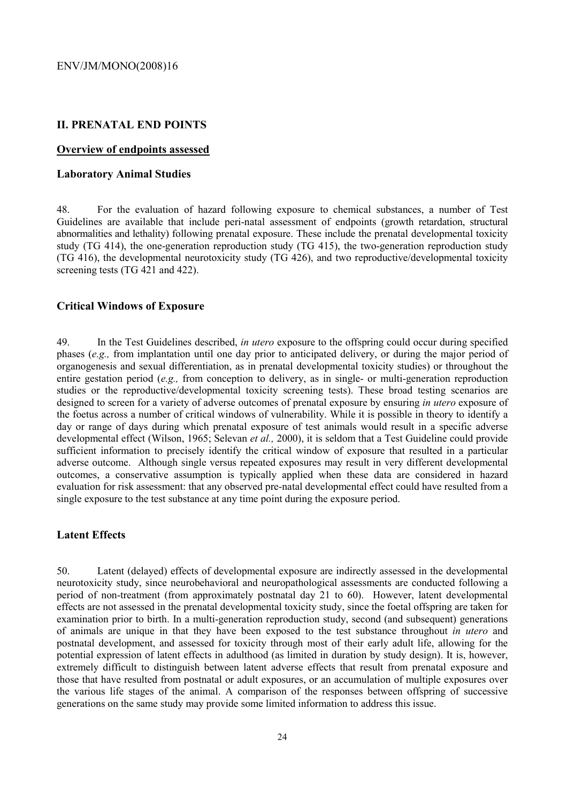### **II. PRENATAL END POINTS**

#### **Overview of endpoints assessed**

#### **Laboratory Animal Studies**

48. For the evaluation of hazard following exposure to chemical substances, a number of Test Guidelines are available that include peri-natal assessment of endpoints (growth retardation, structural abnormalities and lethality) following prenatal exposure. These include the prenatal developmental toxicity study (TG 414), the one-generation reproduction study (TG 415), the two-generation reproduction study (TG 416), the developmental neurotoxicity study (TG 426), and two reproductive/developmental toxicity screening tests (TG 421 and 422).

### **Critical Windows of Exposure**

49. In the Test Guidelines described, *in utero* exposure to the offspring could occur during specified phases (*e.g.,* from implantation until one day prior to anticipated delivery, or during the major period of organogenesis and sexual differentiation, as in prenatal developmental toxicity studies) or throughout the entire gestation period (*e.g.,* from conception to delivery, as in single- or multi-generation reproduction studies or the reproductive/developmental toxicity screening tests). These broad testing scenarios are designed to screen for a variety of adverse outcomes of prenatal exposure by ensuring *in utero* exposure of the foetus across a number of critical windows of vulnerability. While it is possible in theory to identify a day or range of days during which prenatal exposure of test animals would result in a specific adverse developmental effect (Wilson, 1965; Selevan *et al.,* 2000), it is seldom that a Test Guideline could provide sufficient information to precisely identify the critical window of exposure that resulted in a particular adverse outcome. Although single versus repeated exposures may result in very different developmental outcomes, a conservative assumption is typically applied when these data are considered in hazard evaluation for risk assessment: that any observed pre-natal developmental effect could have resulted from a single exposure to the test substance at any time point during the exposure period.

#### **Latent Effects**

50. Latent (delayed) effects of developmental exposure are indirectly assessed in the developmental neurotoxicity study, since neurobehavioral and neuropathological assessments are conducted following a period of non-treatment (from approximately postnatal day 21 to 60). However, latent developmental effects are not assessed in the prenatal developmental toxicity study, since the foetal offspring are taken for examination prior to birth. In a multi-generation reproduction study, second (and subsequent) generations of animals are unique in that they have been exposed to the test substance throughout *in utero* and postnatal development, and assessed for toxicity through most of their early adult life, allowing for the potential expression of latent effects in adulthood (as limited in duration by study design). It is, however, extremely difficult to distinguish between latent adverse effects that result from prenatal exposure and those that have resulted from postnatal or adult exposures, or an accumulation of multiple exposures over the various life stages of the animal. A comparison of the responses between offspring of successive generations on the same study may provide some limited information to address this issue.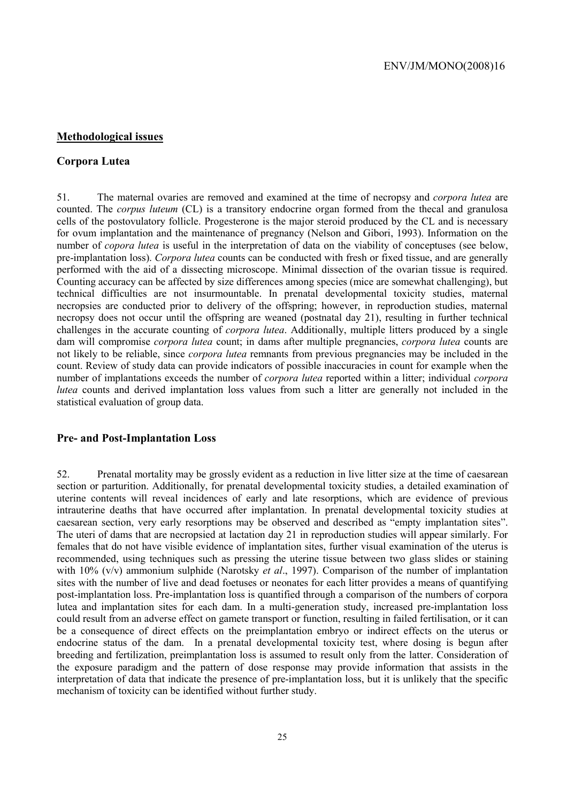# **Methodological issues**

## **Corpora Lutea**

51. The maternal ovaries are removed and examined at the time of necropsy and *corpora lutea* are counted. The *corpus luteum* (CL) is a transitory endocrine organ formed from the thecal and granulosa cells of the postovulatory follicle. Progesterone is the major steroid produced by the CL and is necessary for ovum implantation and the maintenance of pregnancy (Nelson and Gibori, 1993). Information on the number of *copora lutea* is useful in the interpretation of data on the viability of conceptuses (see below, pre-implantation loss). *Corpora lutea* counts can be conducted with fresh or fixed tissue, and are generally performed with the aid of a dissecting microscope. Minimal dissection of the ovarian tissue is required. Counting accuracy can be affected by size differences among species (mice are somewhat challenging), but technical difficulties are not insurmountable. In prenatal developmental toxicity studies, maternal necropsies are conducted prior to delivery of the offspring; however, in reproduction studies, maternal necropsy does not occur until the offspring are weaned (postnatal day 21), resulting in further technical challenges in the accurate counting of *corpora lutea*. Additionally, multiple litters produced by a single dam will compromise *corpora lutea* count; in dams after multiple pregnancies, *corpora lutea* counts are not likely to be reliable, since *corpora lutea* remnants from previous pregnancies may be included in the count. Review of study data can provide indicators of possible inaccuracies in count for example when the number of implantations exceeds the number of *corpora lutea* reported within a litter; individual *corpora lutea* counts and derived implantation loss values from such a litter are generally not included in the statistical evaluation of group data.

#### **Pre- and Post-Implantation Loss**

52. Prenatal mortality may be grossly evident as a reduction in live litter size at the time of caesarean section or parturition. Additionally, for prenatal developmental toxicity studies, a detailed examination of uterine contents will reveal incidences of early and late resorptions, which are evidence of previous intrauterine deaths that have occurred after implantation. In prenatal developmental toxicity studies at caesarean section, very early resorptions may be observed and described as "empty implantation sites". The uteri of dams that are necropsied at lactation day 21 in reproduction studies will appear similarly. For females that do not have visible evidence of implantation sites, further visual examination of the uterus is recommended, using techniques such as pressing the uterine tissue between two glass slides or staining with 10% (v/v) ammonium sulphide (Narotsky *et al*., 1997). Comparison of the number of implantation sites with the number of live and dead foetuses or neonates for each litter provides a means of quantifying post-implantation loss. Pre-implantation loss is quantified through a comparison of the numbers of corpora lutea and implantation sites for each dam. In a multi-generation study, increased pre-implantation loss could result from an adverse effect on gamete transport or function, resulting in failed fertilisation, or it can be a consequence of direct effects on the preimplantation embryo or indirect effects on the uterus or endocrine status of the dam. In a prenatal developmental toxicity test, where dosing is begun after breeding and fertilization, preimplantation loss is assumed to result only from the latter. Consideration of the exposure paradigm and the pattern of dose response may provide information that assists in the interpretation of data that indicate the presence of pre-implantation loss, but it is unlikely that the specific mechanism of toxicity can be identified without further study.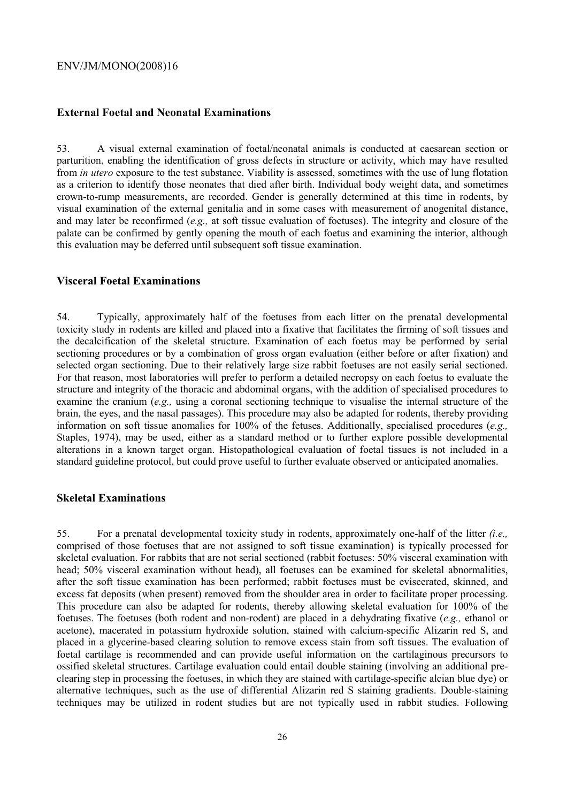### **External Foetal and Neonatal Examinations**

53. A visual external examination of foetal/neonatal animals is conducted at caesarean section or parturition, enabling the identification of gross defects in structure or activity, which may have resulted from *in utero* exposure to the test substance. Viability is assessed, sometimes with the use of lung flotation as a criterion to identify those neonates that died after birth. Individual body weight data, and sometimes crown-to-rump measurements, are recorded. Gender is generally determined at this time in rodents, by visual examination of the external genitalia and in some cases with measurement of anogenital distance, and may later be reconfirmed (*e.g.,* at soft tissue evaluation of foetuses). The integrity and closure of the palate can be confirmed by gently opening the mouth of each foetus and examining the interior, although this evaluation may be deferred until subsequent soft tissue examination.

#### **Visceral Foetal Examinations**

54. Typically, approximately half of the foetuses from each litter on the prenatal developmental toxicity study in rodents are killed and placed into a fixative that facilitates the firming of soft tissues and the decalcification of the skeletal structure. Examination of each foetus may be performed by serial sectioning procedures or by a combination of gross organ evaluation (either before or after fixation) and selected organ sectioning. Due to their relatively large size rabbit foetuses are not easily serial sectioned. For that reason, most laboratories will prefer to perform a detailed necropsy on each foetus to evaluate the structure and integrity of the thoracic and abdominal organs, with the addition of specialised procedures to examine the cranium (*e.g.,* using a coronal sectioning technique to visualise the internal structure of the brain, the eyes, and the nasal passages). This procedure may also be adapted for rodents, thereby providing information on soft tissue anomalies for 100% of the fetuses. Additionally, specialised procedures (*e.g.,* Staples, 1974), may be used, either as a standard method or to further explore possible developmental alterations in a known target organ. Histopathological evaluation of foetal tissues is not included in a standard guideline protocol, but could prove useful to further evaluate observed or anticipated anomalies.

### **Skeletal Examinations**

55. For a prenatal developmental toxicity study in rodents, approximately one-half of the litter *(i.e.,* comprised of those foetuses that are not assigned to soft tissue examination) is typically processed for skeletal evaluation. For rabbits that are not serial sectioned (rabbit foetuses: 50% visceral examination with head; 50% visceral examination without head), all foetuses can be examined for skeletal abnormalities, after the soft tissue examination has been performed; rabbit foetuses must be eviscerated, skinned, and excess fat deposits (when present) removed from the shoulder area in order to facilitate proper processing. This procedure can also be adapted for rodents, thereby allowing skeletal evaluation for 100% of the foetuses. The foetuses (both rodent and non-rodent) are placed in a dehydrating fixative (*e.g.,* ethanol or acetone), macerated in potassium hydroxide solution, stained with calcium-specific Alizarin red S, and placed in a glycerine-based clearing solution to remove excess stain from soft tissues. The evaluation of foetal cartilage is recommended and can provide useful information on the cartilaginous precursors to ossified skeletal structures. Cartilage evaluation could entail double staining (involving an additional preclearing step in processing the foetuses, in which they are stained with cartilage-specific alcian blue dye) or alternative techniques, such as the use of differential Alizarin red S staining gradients. Double-staining techniques may be utilized in rodent studies but are not typically used in rabbit studies. Following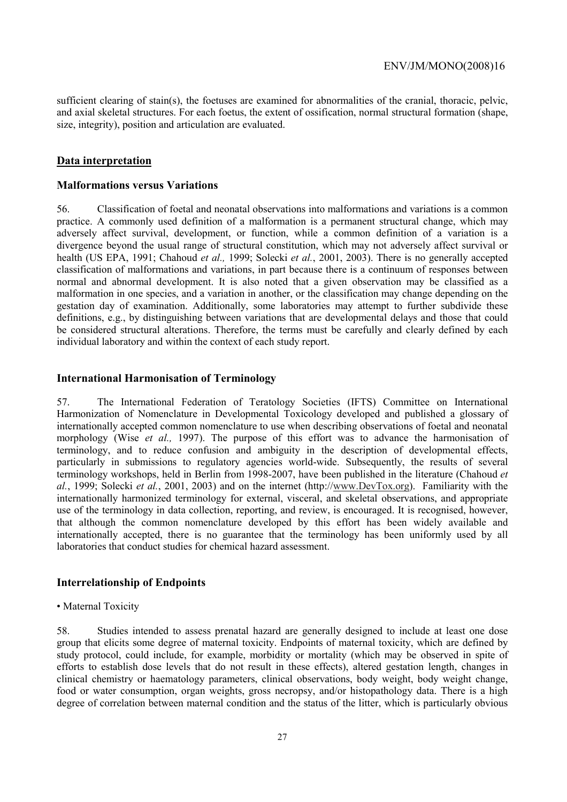sufficient clearing of stain(s), the foetuses are examined for abnormalities of the cranial, thoracic, pelvic, and axial skeletal structures. For each foetus, the extent of ossification, normal structural formation (shape, size, integrity), position and articulation are evaluated.

### **Data interpretation**

#### **Malformations versus Variations**

56. Classification of foetal and neonatal observations into malformations and variations is a common practice. A commonly used definition of a malformation is a permanent structural change, which may adversely affect survival, development, or function, while a common definition of a variation is a divergence beyond the usual range of structural constitution, which may not adversely affect survival or health (US EPA, 1991; Chahoud *et al.,* 1999; Solecki *et al.*, 2001, 2003). There is no generally accepted classification of malformations and variations, in part because there is a continuum of responses between normal and abnormal development. It is also noted that a given observation may be classified as a malformation in one species, and a variation in another, or the classification may change depending on the gestation day of examination. Additionally, some laboratories may attempt to further subdivide these definitions, e.g., by distinguishing between variations that are developmental delays and those that could be considered structural alterations. Therefore, the terms must be carefully and clearly defined by each individual laboratory and within the context of each study report.

#### **International Harmonisation of Terminology**

57. The International Federation of Teratology Societies (IFTS) Committee on International Harmonization of Nomenclature in Developmental Toxicology developed and published a glossary of internationally accepted common nomenclature to use when describing observations of foetal and neonatal morphology (Wise *et al.,* 1997). The purpose of this effort was to advance the harmonisation of terminology, and to reduce confusion and ambiguity in the description of developmental effects, particularly in submissions to regulatory agencies world-wide. Subsequently, the results of several terminology workshops, held in Berlin from 1998-2007, have been published in the literature (Chahoud *et al.*, 1999; Solecki *et al.*, 2001, 2003) and on the internet (http://www.DevTox.org). Familiarity with the internationally harmonized terminology for external, visceral, and skeletal observations, and appropriate use of the terminology in data collection, reporting, and review, is encouraged. It is recognised, however, that although the common nomenclature developed by this effort has been widely available and internationally accepted, there is no guarantee that the terminology has been uniformly used by all laboratories that conduct studies for chemical hazard assessment.

### **Interrelationship of Endpoints**

#### • Maternal Toxicity

58. Studies intended to assess prenatal hazard are generally designed to include at least one dose group that elicits some degree of maternal toxicity. Endpoints of maternal toxicity, which are defined by study protocol, could include, for example, morbidity or mortality (which may be observed in spite of efforts to establish dose levels that do not result in these effects), altered gestation length, changes in clinical chemistry or haematology parameters, clinical observations, body weight, body weight change, food or water consumption, organ weights, gross necropsy, and/or histopathology data. There is a high degree of correlation between maternal condition and the status of the litter, which is particularly obvious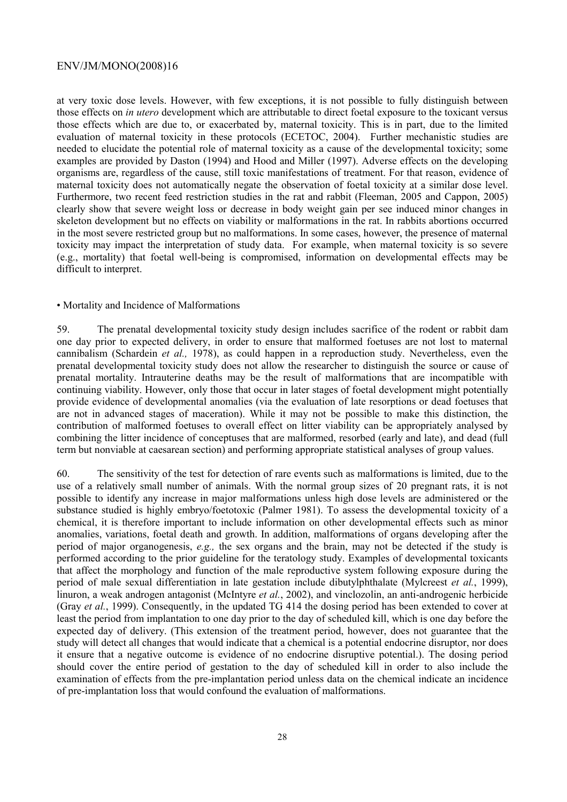at very toxic dose levels. However, with few exceptions, it is not possible to fully distinguish between those effects on *in utero* development which are attributable to direct foetal exposure to the toxicant versus those effects which are due to, or exacerbated by, maternal toxicity. This is in part, due to the limited evaluation of maternal toxicity in these protocols (ECETOC, 2004). Further mechanistic studies are needed to elucidate the potential role of maternal toxicity as a cause of the developmental toxicity; some examples are provided by Daston (1994) and Hood and Miller (1997). Adverse effects on the developing organisms are, regardless of the cause, still toxic manifestations of treatment. For that reason, evidence of maternal toxicity does not automatically negate the observation of foetal toxicity at a similar dose level. Furthermore, two recent feed restriction studies in the rat and rabbit (Fleeman, 2005 and Cappon, 2005) clearly show that severe weight loss or decrease in body weight gain per see induced minor changes in skeleton development but no effects on viability or malformations in the rat. In rabbits abortions occurred in the most severe restricted group but no malformations. In some cases, however, the presence of maternal toxicity may impact the interpretation of study data. For example, when maternal toxicity is so severe (e.g., mortality) that foetal well-being is compromised, information on developmental effects may be difficult to interpret.

#### • Mortality and Incidence of Malformations

59. The prenatal developmental toxicity study design includes sacrifice of the rodent or rabbit dam one day prior to expected delivery, in order to ensure that malformed foetuses are not lost to maternal cannibalism (Schardein *et al.,* 1978), as could happen in a reproduction study. Nevertheless, even the prenatal developmental toxicity study does not allow the researcher to distinguish the source or cause of prenatal mortality. Intrauterine deaths may be the result of malformations that are incompatible with continuing viability. However, only those that occur in later stages of foetal development might potentially provide evidence of developmental anomalies (via the evaluation of late resorptions or dead foetuses that are not in advanced stages of maceration). While it may not be possible to make this distinction, the contribution of malformed foetuses to overall effect on litter viability can be appropriately analysed by combining the litter incidence of conceptuses that are malformed, resorbed (early and late), and dead (full term but nonviable at caesarean section) and performing appropriate statistical analyses of group values.

60. The sensitivity of the test for detection of rare events such as malformations is limited, due to the use of a relatively small number of animals. With the normal group sizes of 20 pregnant rats, it is not possible to identify any increase in major malformations unless high dose levels are administered or the substance studied is highly embryo/foetotoxic (Palmer 1981). To assess the developmental toxicity of a chemical, it is therefore important to include information on other developmental effects such as minor anomalies, variations, foetal death and growth. In addition, malformations of organs developing after the period of major organogenesis, *e.g.,* the sex organs and the brain, may not be detected if the study is performed according to the prior guideline for the teratology study. Examples of developmental toxicants that affect the morphology and function of the male reproductive system following exposure during the period of male sexual differentiation in late gestation include dibutylphthalate (Mylcreest *et al.*, 1999), linuron, a weak androgen antagonist (McIntyre *et al.*, 2002), and vinclozolin, an anti-androgenic herbicide (Gray *et al.*, 1999). Consequently, in the updated TG 414 the dosing period has been extended to cover at least the period from implantation to one day prior to the day of scheduled kill, which is one day before the expected day of delivery. (This extension of the treatment period, however, does not guarantee that the study will detect all changes that would indicate that a chemical is a potential endocrine disruptor, nor does it ensure that a negative outcome is evidence of no endocrine disruptive potential.). The dosing period should cover the entire period of gestation to the day of scheduled kill in order to also include the examination of effects from the pre-implantation period unless data on the chemical indicate an incidence of pre-implantation loss that would confound the evaluation of malformations.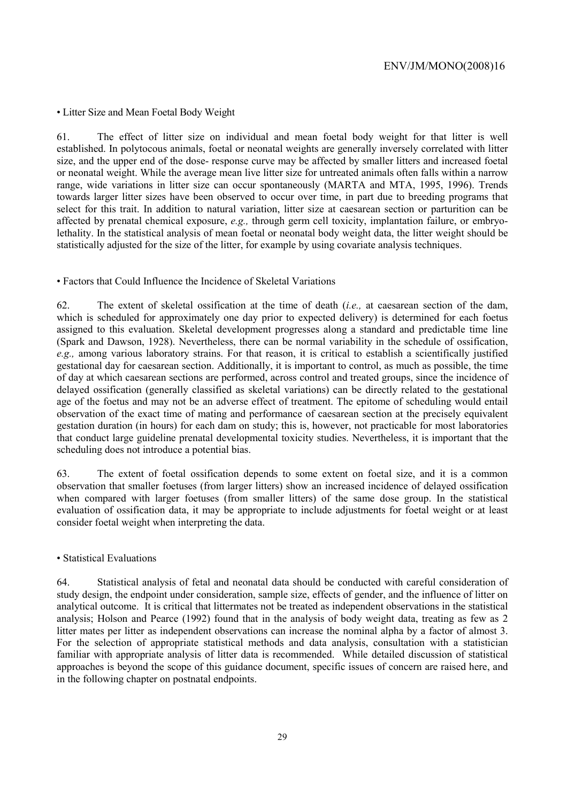• Litter Size and Mean Foetal Body Weight

61. The effect of litter size on individual and mean foetal body weight for that litter is well established. In polytocous animals, foetal or neonatal weights are generally inversely correlated with litter size, and the upper end of the dose- response curve may be affected by smaller litters and increased foetal or neonatal weight. While the average mean live litter size for untreated animals often falls within a narrow range, wide variations in litter size can occur spontaneously (MARTA and MTA, 1995, 1996). Trends towards larger litter sizes have been observed to occur over time, in part due to breeding programs that select for this trait. In addition to natural variation, litter size at caesarean section or parturition can be affected by prenatal chemical exposure, *e.g.,* through germ cell toxicity, implantation failure, or embryolethality. In the statistical analysis of mean foetal or neonatal body weight data, the litter weight should be statistically adjusted for the size of the litter, for example by using covariate analysis techniques.

### • Factors that Could Influence the Incidence of Skeletal Variations

62. The extent of skeletal ossification at the time of death (*i.e.,* at caesarean section of the dam, which is scheduled for approximately one day prior to expected delivery) is determined for each foetus assigned to this evaluation. Skeletal development progresses along a standard and predictable time line (Spark and Dawson, 1928). Nevertheless, there can be normal variability in the schedule of ossification, *e.g.,* among various laboratory strains. For that reason, it is critical to establish a scientifically justified gestational day for caesarean section. Additionally, it is important to control, as much as possible, the time of day at which caesarean sections are performed, across control and treated groups, since the incidence of delayed ossification (generally classified as skeletal variations) can be directly related to the gestational age of the foetus and may not be an adverse effect of treatment. The epitome of scheduling would entail observation of the exact time of mating and performance of caesarean section at the precisely equivalent gestation duration (in hours) for each dam on study; this is, however, not practicable for most laboratories that conduct large guideline prenatal developmental toxicity studies. Nevertheless, it is important that the scheduling does not introduce a potential bias.

63. The extent of foetal ossification depends to some extent on foetal size, and it is a common observation that smaller foetuses (from larger litters) show an increased incidence of delayed ossification when compared with larger foetuses (from smaller litters) of the same dose group. In the statistical evaluation of ossification data, it may be appropriate to include adjustments for foetal weight or at least consider foetal weight when interpreting the data.

#### • Statistical Evaluations

64. Statistical analysis of fetal and neonatal data should be conducted with careful consideration of study design, the endpoint under consideration, sample size, effects of gender, and the influence of litter on analytical outcome. It is critical that littermates not be treated as independent observations in the statistical analysis; Holson and Pearce (1992) found that in the analysis of body weight data, treating as few as 2 litter mates per litter as independent observations can increase the nominal alpha by a factor of almost 3. For the selection of appropriate statistical methods and data analysis, consultation with a statistician familiar with appropriate analysis of litter data is recommended. While detailed discussion of statistical approaches is beyond the scope of this guidance document, specific issues of concern are raised here, and in the following chapter on postnatal endpoints.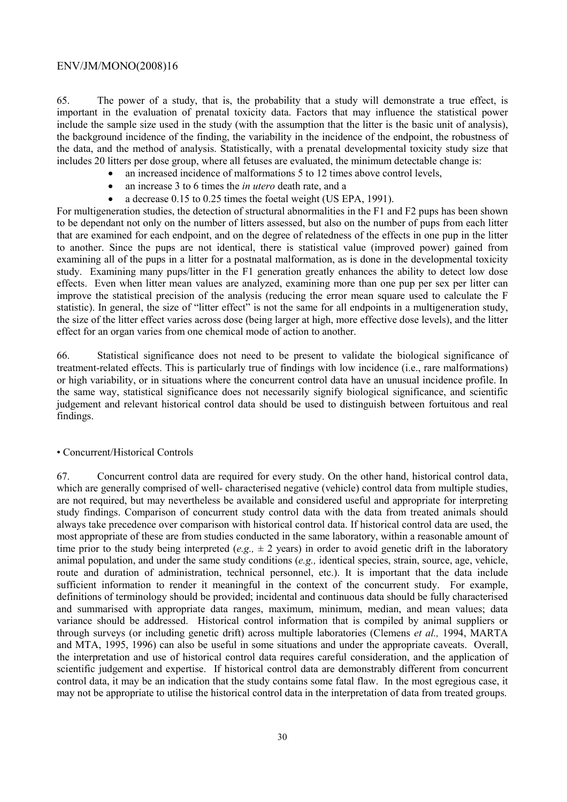65. The power of a study, that is, the probability that a study will demonstrate a true effect, is important in the evaluation of prenatal toxicity data. Factors that may influence the statistical power include the sample size used in the study (with the assumption that the litter is the basic unit of analysis), the background incidence of the finding, the variability in the incidence of the endpoint, the robustness of the data, and the method of analysis. Statistically, with a prenatal developmental toxicity study size that includes 20 litters per dose group, where all fetuses are evaluated, the minimum detectable change is:

- an increased incidence of malformations 5 to 12 times above control levels,
- an increase 3 to 6 times the *in utero* death rate, and a
- a decrease 0.15 to 0.25 times the foetal weight (US EPA, 1991).

For multigeneration studies, the detection of structural abnormalities in the F1 and F2 pups has been shown to be dependant not only on the number of litters assessed, but also on the number of pups from each litter that are examined for each endpoint, and on the degree of relatedness of the effects in one pup in the litter to another. Since the pups are not identical, there is statistical value (improved power) gained from examining all of the pups in a litter for a postnatal malformation, as is done in the developmental toxicity study. Examining many pups/litter in the F1 generation greatly enhances the ability to detect low dose effects. Even when litter mean values are analyzed, examining more than one pup per sex per litter can improve the statistical precision of the analysis (reducing the error mean square used to calculate the F statistic). In general, the size of "litter effect" is not the same for all endpoints in a multigeneration study, the size of the litter effect varies across dose (being larger at high, more effective dose levels), and the litter effect for an organ varies from one chemical mode of action to another.

66. Statistical significance does not need to be present to validate the biological significance of treatment-related effects. This is particularly true of findings with low incidence (i.e., rare malformations) or high variability, or in situations where the concurrent control data have an unusual incidence profile. In the same way, statistical significance does not necessarily signify biological significance, and scientific judgement and relevant historical control data should be used to distinguish between fortuitous and real findings.

#### • Concurrent/Historical Controls

67. Concurrent control data are required for every study. On the other hand, historical control data, which are generally comprised of well- characterised negative (vehicle) control data from multiple studies, are not required, but may nevertheless be available and considered useful and appropriate for interpreting study findings. Comparison of concurrent study control data with the data from treated animals should always take precedence over comparison with historical control data. If historical control data are used, the most appropriate of these are from studies conducted in the same laboratory, within a reasonable amount of time prior to the study being interpreted (*e.g.*,  $\pm 2$  years) in order to avoid genetic drift in the laboratory animal population, and under the same study conditions (*e.g.,* identical species, strain, source, age, vehicle, route and duration of administration, technical personnel, etc.). It is important that the data include sufficient information to render it meaningful in the context of the concurrent study. For example, definitions of terminology should be provided; incidental and continuous data should be fully characterised and summarised with appropriate data ranges, maximum, minimum, median, and mean values; data variance should be addressed. Historical control information that is compiled by animal suppliers or through surveys (or including genetic drift) across multiple laboratories (Clemens *et al.,* 1994, MARTA and MTA, 1995, 1996) can also be useful in some situations and under the appropriate caveats. Overall, the interpretation and use of historical control data requires careful consideration, and the application of scientific judgement and expertise. If historical control data are demonstrably different from concurrent control data, it may be an indication that the study contains some fatal flaw. In the most egregious case, it may not be appropriate to utilise the historical control data in the interpretation of data from treated groups.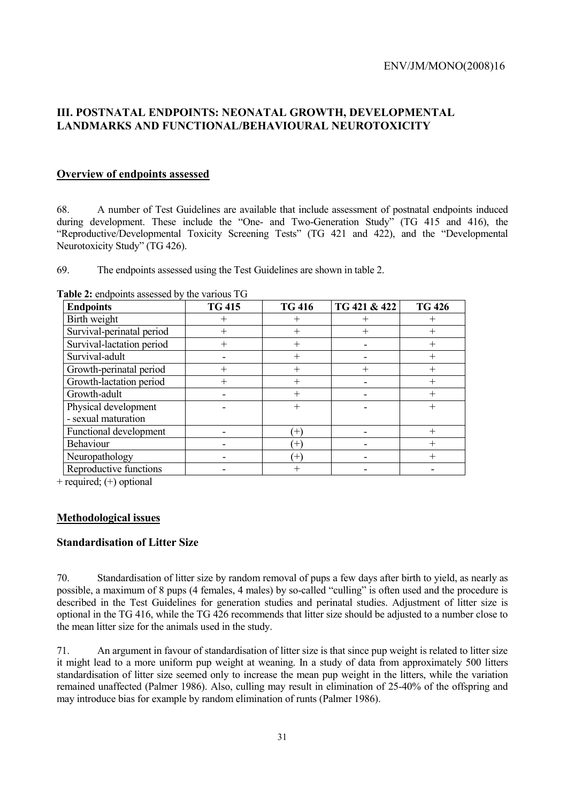# **III. POSTNATAL ENDPOINTS: NEONATAL GROWTH, DEVELOPMENTAL LANDMARKS AND FUNCTIONAL/BEHAVIOURAL NEUROTOXICITY**

# **Overview of endpoints assessed**

68. A number of Test Guidelines are available that include assessment of postnatal endpoints induced during development. These include the "One- and Two-Generation Study" (TG 415 and 416), the "Reproductive/Developmental Toxicity Screening Tests" (TG 421 and 422), and the "Developmental Neurotoxicity Study" (TG 426).

69. The endpoints assessed using the Test Guidelines are shown in table 2.

| <b>Endpoints</b>              | <b>TG 415</b> | <b>TG 416</b> | TG 421 & 422 | <b>TG 426</b>       |
|-------------------------------|---------------|---------------|--------------|---------------------|
| Birth weight                  |               | $\mathrm{+}$  | $\, +$       | $\hspace{.011cm} +$ |
| Survival-perinatal period     |               | $^{+}$        |              | $\hspace{.011cm} +$ |
| Survival-lactation period     |               |               |              |                     |
| Survival-adult                |               |               |              | $^{+}$              |
| Growth-perinatal period       |               | $^{+}$        | ┿            | $^+$                |
| Growth-lactation period       |               | $^+$          |              |                     |
| Growth-adult                  |               |               |              | $^{+}$              |
| Physical development          |               | $\mathrm{+}$  |              | $^+$                |
| - sexual maturation           |               |               |              |                     |
| <b>Functional development</b> |               | $^{+}$        |              | $^{+}$              |
| Behaviour                     |               | $^{+}$        |              |                     |
| Neuropathology                |               | $^{+}$        |              | $^+$                |
| Reproductive functions        |               |               |              |                     |

**Table 2:** endpoints assessed by the various TG

+ required; (+) optional

### **Methodological issues**

### **Standardisation of Litter Size**

70. Standardisation of litter size by random removal of pups a few days after birth to yield, as nearly as possible, a maximum of 8 pups (4 females, 4 males) by so-called "culling" is often used and the procedure is described in the Test Guidelines for generation studies and perinatal studies. Adjustment of litter size is optional in the TG 416, while the TG 426 recommends that litter size should be adjusted to a number close to the mean litter size for the animals used in the study.

71. An argument in favour of standardisation of litter size is that since pup weight is related to litter size it might lead to a more uniform pup weight at weaning. In a study of data from approximately 500 litters standardisation of litter size seemed only to increase the mean pup weight in the litters, while the variation remained unaffected (Palmer 1986). Also, culling may result in elimination of 25-40% of the offspring and may introduce bias for example by random elimination of runts (Palmer 1986).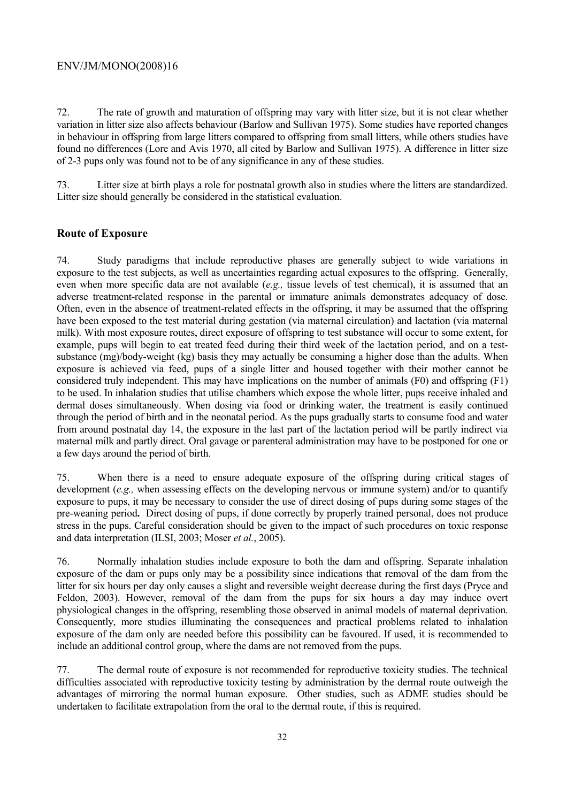72. The rate of growth and maturation of offspring may vary with litter size, but it is not clear whether variation in litter size also affects behaviour (Barlow and Sullivan 1975). Some studies have reported changes in behaviour in offspring from large litters compared to offspring from small litters, while others studies have found no differences (Lore and Avis 1970, all cited by Barlow and Sullivan 1975). A difference in litter size of 2-3 pups only was found not to be of any significance in any of these studies.

73. Litter size at birth plays a role for postnatal growth also in studies where the litters are standardized. Litter size should generally be considered in the statistical evaluation.

# **Route of Exposure**

74. Study paradigms that include reproductive phases are generally subject to wide variations in exposure to the test subjects, as well as uncertainties regarding actual exposures to the offspring. Generally, even when more specific data are not available (*e.g.,* tissue levels of test chemical), it is assumed that an adverse treatment-related response in the parental or immature animals demonstrates adequacy of dose. Often, even in the absence of treatment-related effects in the offspring, it may be assumed that the offspring have been exposed to the test material during gestation (via maternal circulation) and lactation (via maternal milk). With most exposure routes, direct exposure of offspring to test substance will occur to some extent, for example, pups will begin to eat treated feed during their third week of the lactation period, and on a testsubstance (mg)/body-weight (kg) basis they may actually be consuming a higher dose than the adults. When exposure is achieved via feed, pups of a single litter and housed together with their mother cannot be considered truly independent. This may have implications on the number of animals (F0) and offspring (F1) to be used. In inhalation studies that utilise chambers which expose the whole litter, pups receive inhaled and dermal doses simultaneously. When dosing via food or drinking water, the treatment is easily continued through the period of birth and in the neonatal period. As the pups gradually starts to consume food and water from around postnatal day 14, the exposure in the last part of the lactation period will be partly indirect via maternal milk and partly direct. Oral gavage or parenteral administration may have to be postponed for one or a few days around the period of birth.

75. When there is a need to ensure adequate exposure of the offspring during critical stages of development (*e.g.*, when assessing effects on the developing nervous or immune system) and/or to quantify exposure to pups, it may be necessary to consider the use of direct dosing of pups during some stages of the pre-weaning period**.** Direct dosing of pups, if done correctly by properly trained personal, does not produce stress in the pups. Careful consideration should be given to the impact of such procedures on toxic response and data interpretation (ILSI, 2003; Moser *et al.*, 2005).

76. Normally inhalation studies include exposure to both the dam and offspring. Separate inhalation exposure of the dam or pups only may be a possibility since indications that removal of the dam from the litter for six hours per day only causes a slight and reversible weight decrease during the first days (Pryce and Feldon, 2003). However, removal of the dam from the pups for six hours a day may induce overt physiological changes in the offspring, resembling those observed in animal models of maternal deprivation. Consequently, more studies illuminating the consequences and practical problems related to inhalation exposure of the dam only are needed before this possibility can be favoured. If used, it is recommended to include an additional control group, where the dams are not removed from the pups.

77. The dermal route of exposure is not recommended for reproductive toxicity studies. The technical difficulties associated with reproductive toxicity testing by administration by the dermal route outweigh the advantages of mirroring the normal human exposure. Other studies, such as ADME studies should be undertaken to facilitate extrapolation from the oral to the dermal route, if this is required.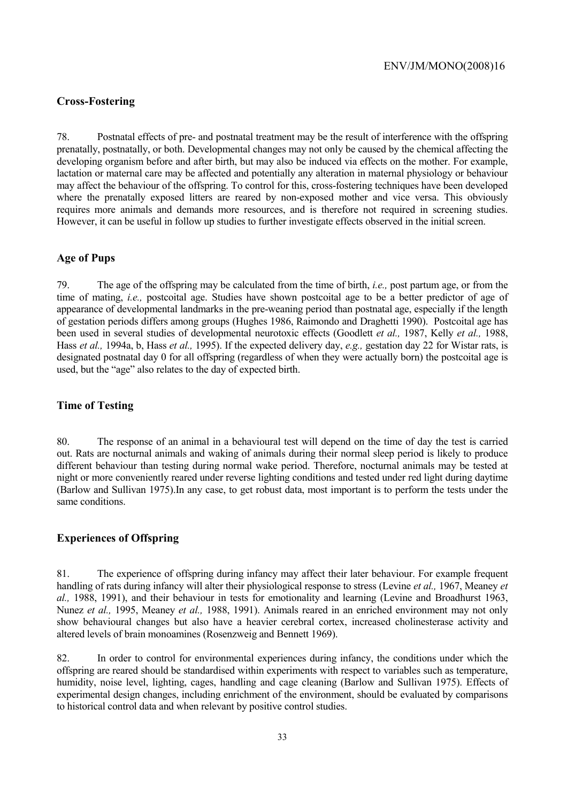### **Cross-Fostering**

78. Postnatal effects of pre- and postnatal treatment may be the result of interference with the offspring prenatally, postnatally, or both. Developmental changes may not only be caused by the chemical affecting the developing organism before and after birth, but may also be induced via effects on the mother. For example, lactation or maternal care may be affected and potentially any alteration in maternal physiology or behaviour may affect the behaviour of the offspring. To control for this, cross-fostering techniques have been developed where the prenatally exposed litters are reared by non-exposed mother and vice versa. This obviously requires more animals and demands more resources, and is therefore not required in screening studies. However, it can be useful in follow up studies to further investigate effects observed in the initial screen.

### **Age of Pups**

79. The age of the offspring may be calculated from the time of birth, *i.e.,* post partum age, or from the time of mating, *i.e.,* postcoital age. Studies have shown postcoital age to be a better predictor of age of appearance of developmental landmarks in the pre-weaning period than postnatal age, especially if the length of gestation periods differs among groups (Hughes 1986, Raimondo and Draghetti 1990). Postcoital age has been used in several studies of developmental neurotoxic effects (Goodlett *et al.,* 1987, Kelly *et al.,* 1988, Hass *et al.,* 1994a, b, Hass *et al.,* 1995). If the expected delivery day, *e.g.,* gestation day 22 for Wistar rats, is designated postnatal day 0 for all offspring (regardless of when they were actually born) the postcoital age is used, but the "age" also relates to the day of expected birth.

# **Time of Testing**

80. The response of an animal in a behavioural test will depend on the time of day the test is carried out. Rats are nocturnal animals and waking of animals during their normal sleep period is likely to produce different behaviour than testing during normal wake period. Therefore, nocturnal animals may be tested at night or more conveniently reared under reverse lighting conditions and tested under red light during daytime (Barlow and Sullivan 1975).In any case, to get robust data, most important is to perform the tests under the same conditions.

### **Experiences of Offspring**

81. The experience of offspring during infancy may affect their later behaviour. For example frequent handling of rats during infancy will alter their physiological response to stress (Levine *et al.,* 1967, Meaney *et al.,* 1988, 1991), and their behaviour in tests for emotionality and learning (Levine and Broadhurst 1963, Nunez *et al.,* 1995, Meaney *et al.,* 1988, 1991). Animals reared in an enriched environment may not only show behavioural changes but also have a heavier cerebral cortex, increased cholinesterase activity and altered levels of brain monoamines (Rosenzweig and Bennett 1969).

82. In order to control for environmental experiences during infancy, the conditions under which the offspring are reared should be standardised within experiments with respect to variables such as temperature, humidity, noise level, lighting, cages, handling and cage cleaning (Barlow and Sullivan 1975). Effects of experimental design changes, including enrichment of the environment, should be evaluated by comparisons to historical control data and when relevant by positive control studies.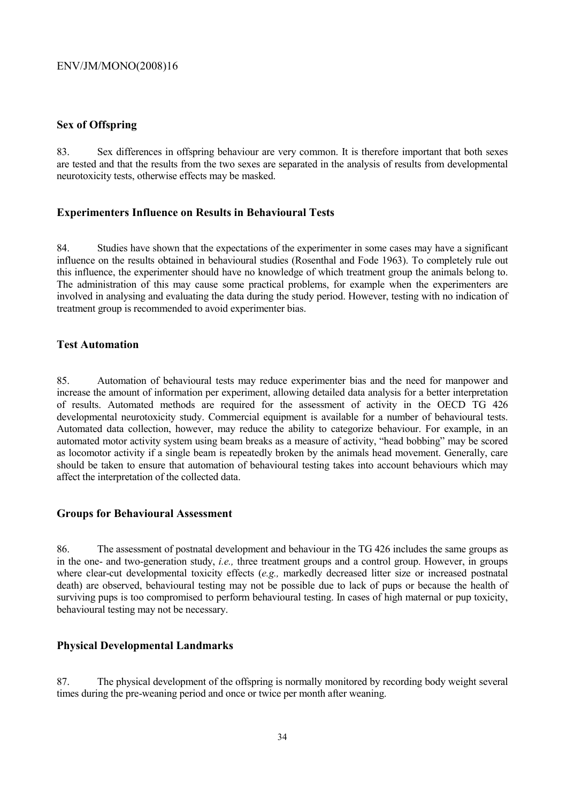## **Sex of Offspring**

83. Sex differences in offspring behaviour are very common. It is therefore important that both sexes are tested and that the results from the two sexes are separated in the analysis of results from developmental neurotoxicity tests, otherwise effects may be masked.

# **Experimenters Influence on Results in Behavioural Tests**

84. Studies have shown that the expectations of the experimenter in some cases may have a significant influence on the results obtained in behavioural studies (Rosenthal and Fode 1963). To completely rule out this influence, the experimenter should have no knowledge of which treatment group the animals belong to. The administration of this may cause some practical problems, for example when the experimenters are involved in analysing and evaluating the data during the study period. However, testing with no indication of treatment group is recommended to avoid experimenter bias.

# **Test Automation**

85. Automation of behavioural tests may reduce experimenter bias and the need for manpower and increase the amount of information per experiment, allowing detailed data analysis for a better interpretation of results. Automated methods are required for the assessment of activity in the OECD TG 426 developmental neurotoxicity study. Commercial equipment is available for a number of behavioural tests. Automated data collection, however, may reduce the ability to categorize behaviour. For example, in an automated motor activity system using beam breaks as a measure of activity, "head bobbing" may be scored as locomotor activity if a single beam is repeatedly broken by the animals head movement. Generally, care should be taken to ensure that automation of behavioural testing takes into account behaviours which may affect the interpretation of the collected data.

### **Groups for Behavioural Assessment**

86. The assessment of postnatal development and behaviour in the TG 426 includes the same groups as in the one- and two-generation study, *i.e.,* three treatment groups and a control group. However, in groups where clear-cut developmental toxicity effects (*e.g.,* markedly decreased litter size or increased postnatal death) are observed, behavioural testing may not be possible due to lack of pups or because the health of surviving pups is too compromised to perform behavioural testing. In cases of high maternal or pup toxicity, behavioural testing may not be necessary.

# **Physical Developmental Landmarks**

87. The physical development of the offspring is normally monitored by recording body weight several times during the pre-weaning period and once or twice per month after weaning.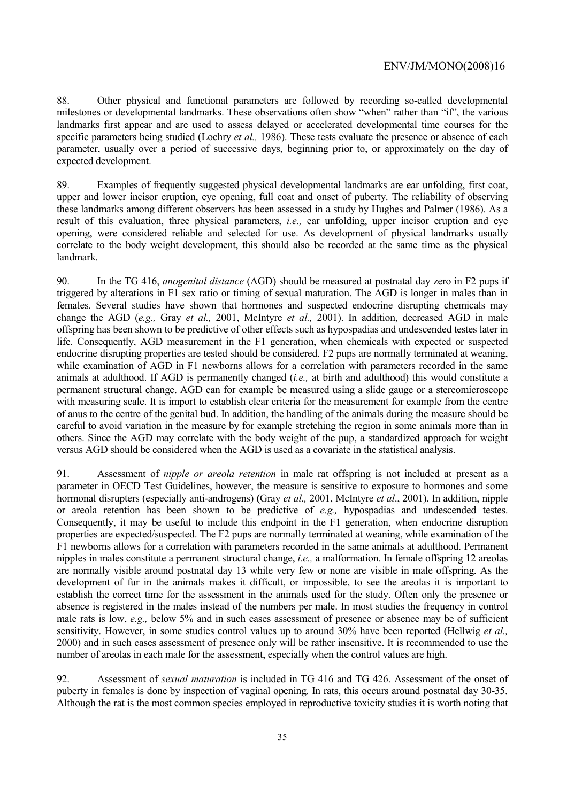88. Other physical and functional parameters are followed by recording so-called developmental milestones or developmental landmarks. These observations often show "when" rather than "if", the various landmarks first appear and are used to assess delayed or accelerated developmental time courses for the specific parameters being studied (Lochry *et al.,* 1986). These tests evaluate the presence or absence of each parameter, usually over a period of successive days, beginning prior to, or approximately on the day of expected development.

89. Examples of frequently suggested physical developmental landmarks are ear unfolding, first coat, upper and lower incisor eruption, eye opening, full coat and onset of puberty. The reliability of observing these landmarks among different observers has been assessed in a study by Hughes and Palmer (1986). As a result of this evaluation, three physical parameters, *i.e.,* ear unfolding, upper incisor eruption and eye opening, were considered reliable and selected for use. As development of physical landmarks usually correlate to the body weight development, this should also be recorded at the same time as the physical landmark.

90. In the TG 416, *anogenital distance* (AGD) should be measured at postnatal day zero in F2 pups if triggered by alterations in F1 sex ratio or timing of sexual maturation. The AGD is longer in males than in females. Several studies have shown that hormones and suspected endocrine disrupting chemicals may change the AGD (*e.g.,* Gray *et al.,* 2001, McIntyre *et al.,* 2001). In addition, decreased AGD in male offspring has been shown to be predictive of other effects such as hypospadias and undescended testes later in life. Consequently, AGD measurement in the F1 generation, when chemicals with expected or suspected endocrine disrupting properties are tested should be considered. F2 pups are normally terminated at weaning, while examination of AGD in F1 newborns allows for a correlation with parameters recorded in the same animals at adulthood. If AGD is permanently changed (*i.e.,* at birth and adulthood) this would constitute a permanent structural change. AGD can for example be measured using a slide gauge or a stereomicroscope with measuring scale. It is import to establish clear criteria for the measurement for example from the centre of anus to the centre of the genital bud. In addition, the handling of the animals during the measure should be careful to avoid variation in the measure by for example stretching the region in some animals more than in others. Since the AGD may correlate with the body weight of the pup, a standardized approach for weight versus AGD should be considered when the AGD is used as a covariate in the statistical analysis.

91. Assessment of *nipple or areola retention* in male rat offspring is not included at present as a parameter in OECD Test Guidelines, however, the measure is sensitive to exposure to hormones and some hormonal disrupters (especially anti-androgens) **(**Gray *et al.,* 2001, McIntyre *et al*., 2001). In addition, nipple or areola retention has been shown to be predictive of *e.g.,* hypospadias and undescended testes. Consequently, it may be useful to include this endpoint in the F1 generation, when endocrine disruption properties are expected/suspected. The F2 pups are normally terminated at weaning, while examination of the F1 newborns allows for a correlation with parameters recorded in the same animals at adulthood. Permanent nipples in males constitute a permanent structural change, *i.e.,* a malformation. In female offspring 12 areolas are normally visible around postnatal day 13 while very few or none are visible in male offspring. As the development of fur in the animals makes it difficult, or impossible, to see the areolas it is important to establish the correct time for the assessment in the animals used for the study. Often only the presence or absence is registered in the males instead of the numbers per male. In most studies the frequency in control male rats is low, *e.g.*, below 5% and in such cases assessment of presence or absence may be of sufficient sensitivity. However, in some studies control values up to around 30% have been reported (Hellwig *et al.,* 2000) and in such cases assessment of presence only will be rather insensitive. It is recommended to use the number of areolas in each male for the assessment, especially when the control values are high.

92. Assessment of *sexual maturation* is included in TG 416 and TG 426. Assessment of the onset of puberty in females is done by inspection of vaginal opening. In rats, this occurs around postnatal day 30-35. Although the rat is the most common species employed in reproductive toxicity studies it is worth noting that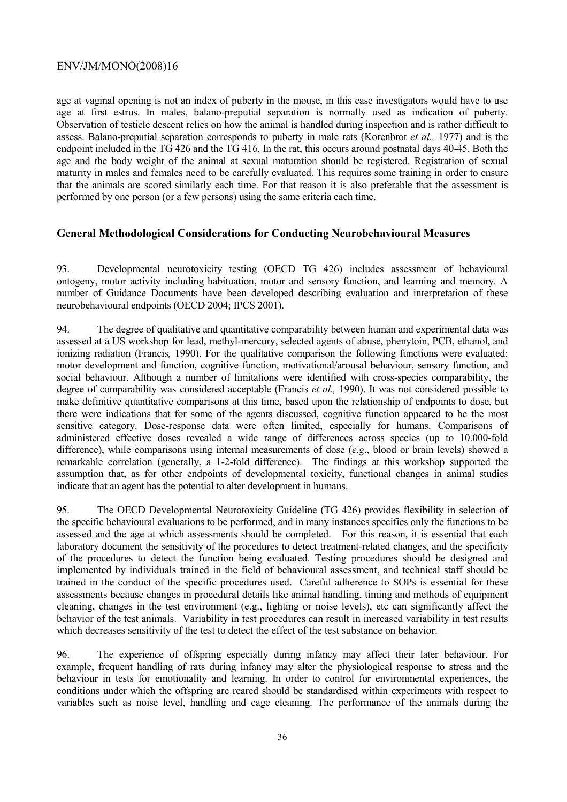age at vaginal opening is not an index of puberty in the mouse, in this case investigators would have to use age at first estrus. In males, balano-preputial separation is normally used as indication of puberty. Observation of testicle descent relies on how the animal is handled during inspection and is rather difficult to assess. Balano-preputial separation corresponds to puberty in male rats (Korenbrot *et al.,* 1977) and is the endpoint included in the TG 426 and the TG 416. In the rat, this occurs around postnatal days 40-45. Both the age and the body weight of the animal at sexual maturation should be registered. Registration of sexual maturity in males and females need to be carefully evaluated. This requires some training in order to ensure that the animals are scored similarly each time. For that reason it is also preferable that the assessment is performed by one person (or a few persons) using the same criteria each time.

# **General Methodological Considerations for Conducting Neurobehavioural Measures**

93. Developmental neurotoxicity testing (OECD TG 426) includes assessment of behavioural ontogeny, motor activity including habituation, motor and sensory function, and learning and memory. A number of Guidance Documents have been developed describing evaluation and interpretation of these neurobehavioural endpoints (OECD 2004; IPCS 2001).

94. The degree of qualitative and quantitative comparability between human and experimental data was assessed at a US workshop for lead, methyl-mercury, selected agents of abuse, phenytoin, PCB, ethanol, and ionizing radiation (Francis*,* 1990). For the qualitative comparison the following functions were evaluated: motor development and function, cognitive function, motivational/arousal behaviour, sensory function, and social behaviour. Although a number of limitations were identified with cross-species comparability, the degree of comparability was considered acceptable (Francis *et al.,* 1990). It was not considered possible to make definitive quantitative comparisons at this time, based upon the relationship of endpoints to dose, but there were indications that for some of the agents discussed, cognitive function appeared to be the most sensitive category. Dose-response data were often limited, especially for humans. Comparisons of administered effective doses revealed a wide range of differences across species (up to 10.000-fold difference), while comparisons using internal measurements of dose (*e.g*., blood or brain levels) showed a remarkable correlation (generally, a 1-2-fold difference). The findings at this workshop supported the assumption that, as for other endpoints of developmental toxicity, functional changes in animal studies indicate that an agent has the potential to alter development in humans.

95. The OECD Developmental Neurotoxicity Guideline (TG 426) provides flexibility in selection of the specific behavioural evaluations to be performed, and in many instances specifies only the functions to be assessed and the age at which assessments should be completed. For this reason, it is essential that each laboratory document the sensitivity of the procedures to detect treatment-related changes, and the specificity of the procedures to detect the function being evaluated. Testing procedures should be designed and implemented by individuals trained in the field of behavioural assessment, and technical staff should be trained in the conduct of the specific procedures used. Careful adherence to SOPs is essential for these assessments because changes in procedural details like animal handling, timing and methods of equipment cleaning, changes in the test environment (e.g., lighting or noise levels), etc can significantly affect the behavior of the test animals. Variability in test procedures can result in increased variability in test results which decreases sensitivity of the test to detect the effect of the test substance on behavior.

96. The experience of offspring especially during infancy may affect their later behaviour. For example, frequent handling of rats during infancy may alter the physiological response to stress and the behaviour in tests for emotionality and learning. In order to control for environmental experiences, the conditions under which the offspring are reared should be standardised within experiments with respect to variables such as noise level, handling and cage cleaning. The performance of the animals during the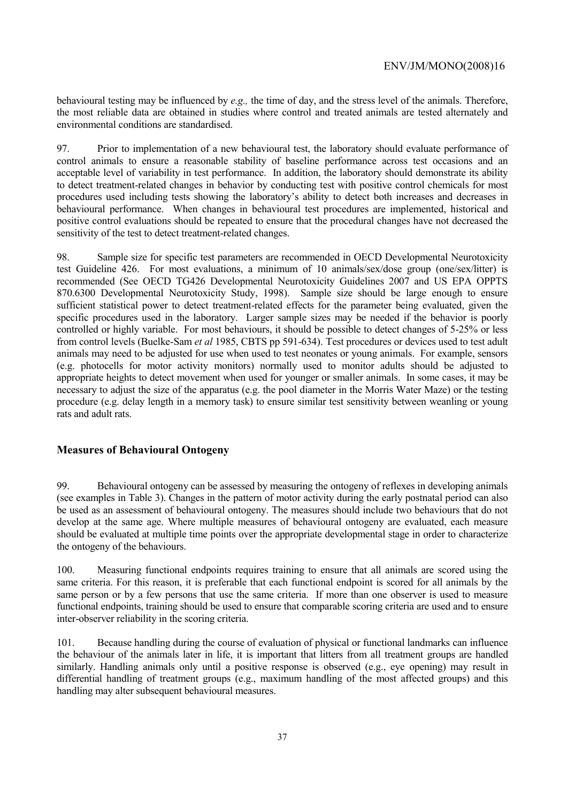behavioural testing may be influenced by *e.g.,* the time of day, and the stress level of the animals. Therefore, the most reliable data are obtained in studies where control and treated animals are tested alternately and environmental conditions are standardised.

97. Prior to implementation of a new behavioural test, the laboratory should evaluate performance of control animals to ensure a reasonable stability of baseline performance across test occasions and an acceptable level of variability in test performance. In addition, the laboratory should demonstrate its ability to detect treatment-related changes in behavior by conducting test with positive control chemicals for most procedures used including tests showing the laboratory's ability to detect both increases and decreases in behavioural performance. When changes in behavioural test procedures are implemented, historical and positive control evaluations should be repeated to ensure that the procedural changes have not decreased the sensitivity of the test to detect treatment-related changes.

98. Sample size for specific test parameters are recommended in OECD Developmental Neurotoxicity test Guideline 426. For most evaluations, a minimum of 10 animals/sex/dose group (one/sex/litter) is recommended (See OECD TG426 Developmental Neurotoxicity Guidelines 2007 and US EPA OPPTS 870.6300 Developmental Neurotoxicity Study, 1998). Sample size should be large enough to ensure sufficient statistical power to detect treatment-related effects for the parameter being evaluated, given the specific procedures used in the laboratory. Larger sample sizes may be needed if the behavior is poorly controlled or highly variable. For most behaviours, it should be possible to detect changes of 5-25% or less from control levels (Buelke-Sam *et al* 1985, CBTS pp 591-634). Test procedures or devices used to test adult animals may need to be adjusted for use when used to test neonates or young animals. For example, sensors (e.g. photocells for motor activity monitors) normally used to monitor adults should be adjusted to appropriate heights to detect movement when used for younger or smaller animals. In some cases, it may be necessary to adjust the size of the apparatus (e.g. the pool diameter in the Morris Water Maze) or the testing procedure (e.g. delay length in a memory task) to ensure similar test sensitivity between weanling or young rats and adult rats.

# **Measures of Behavioural Ontogeny**

99. Behavioural ontogeny can be assessed by measuring the ontogeny of reflexes in developing animals (see examples in Table 3). Changes in the pattern of motor activity during the early postnatal period can also be used as an assessment of behavioural ontogeny. The measures should include two behaviours that do not develop at the same age. Where multiple measures of behavioural ontogeny are evaluated, each measure should be evaluated at multiple time points over the appropriate developmental stage in order to characterize the ontogeny of the behaviours.

100. Measuring functional endpoints requires training to ensure that all animals are scored using the same criteria. For this reason, it is preferable that each functional endpoint is scored for all animals by the same person or by a few persons that use the same criteria. If more than one observer is used to measure functional endpoints, training should be used to ensure that comparable scoring criteria are used and to ensure inter-observer reliability in the scoring criteria.

101. Because handling during the course of evaluation of physical or functional landmarks can influence the behaviour of the animals later in life, it is important that litters from all treatment groups are handled similarly. Handling animals only until a positive response is observed (e.g., eye opening) may result in differential handling of treatment groups (e.g., maximum handling of the most affected groups) and this handling may alter subsequent behavioural measures.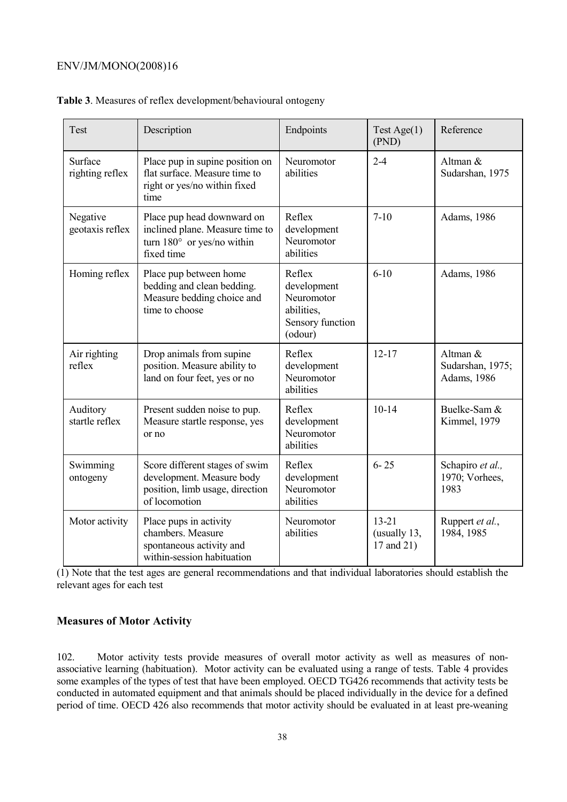| Test                        | Description                                                                                                      | Endpoints                                                                        | Test Age $(1)$<br>(PND)                 | Reference                                   |
|-----------------------------|------------------------------------------------------------------------------------------------------------------|----------------------------------------------------------------------------------|-----------------------------------------|---------------------------------------------|
| Surface<br>righting reflex  | Place pup in supine position on<br>flat surface. Measure time to<br>right or yes/no within fixed<br>time         | Neuromotor<br>abilities                                                          | $2 - 4$                                 | Altman &<br>Sudarshan, 1975                 |
| Negative<br>geotaxis reflex | Place pup head downward on<br>inclined plane. Measure time to<br>turn $180^\circ$ or yes/no within<br>fixed time | Reflex<br>development<br>Neuromotor<br>abilities                                 | $7-10$                                  | Adams, 1986                                 |
| Homing reflex               | Place pup between home<br>bedding and clean bedding.<br>Measure bedding choice and<br>time to choose             | Reflex<br>development<br>Neuromotor<br>abilities,<br>Sensory function<br>(odour) | $6-10$                                  | Adams, 1986                                 |
| Air righting<br>reflex      | Drop animals from supine<br>position. Measure ability to<br>land on four feet, yes or no                         | Reflex<br>development<br>Neuromotor<br>abilities                                 | $12 - 17$                               | Altman &<br>Sudarshan, 1975;<br>Adams, 1986 |
| Auditory<br>startle reflex  | Present sudden noise to pup.<br>Measure startle response, yes<br>or no                                           | Reflex<br>development<br>Neuromotor<br>abilities                                 | $10-14$                                 | Buelke-Sam &<br>Kimmel, 1979                |
| Swimming<br>ontogeny        | Score different stages of swim<br>development. Measure body<br>position, limb usage, direction<br>of locomotion  | Reflex<br>development<br>Neuromotor<br>abilities                                 | $6 - 25$                                | Schapiro et al.,<br>1970; Vorhees,<br>1983  |
| Motor activity              | Place pups in activity<br>chambers. Measure<br>spontaneous activity and<br>within-session habituation            | Neuromotor<br>abilities                                                          | $13 - 21$<br>(usually 13,<br>17 and 21) | Ruppert et al.,<br>1984, 1985               |

| Table 3. Measures of reflex development/behavioural ontogeny |  |  |  |  |  |  |  |
|--------------------------------------------------------------|--|--|--|--|--|--|--|
|--------------------------------------------------------------|--|--|--|--|--|--|--|

(1) Note that the test ages are general recommendations and that individual laboratories should establish the relevant ages for each test

# **Measures of Motor Activity**

102. Motor activity tests provide measures of overall motor activity as well as measures of nonassociative learning (habituation). Motor activity can be evaluated using a range of tests. Table 4 provides some examples of the types of test that have been employed. OECD TG426 recommends that activity tests be conducted in automated equipment and that animals should be placed individually in the device for a defined period of time. OECD 426 also recommends that motor activity should be evaluated in at least pre-weaning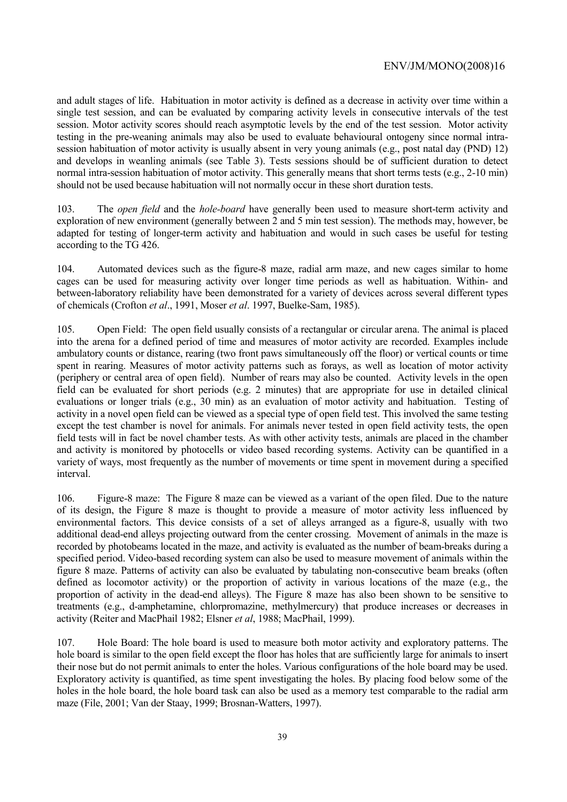and adult stages of life. Habituation in motor activity is defined as a decrease in activity over time within a single test session, and can be evaluated by comparing activity levels in consecutive intervals of the test session. Motor activity scores should reach asymptotic levels by the end of the test session. Motor activity testing in the pre-weaning animals may also be used to evaluate behavioural ontogeny since normal intrasession habituation of motor activity is usually absent in very young animals (e.g., post natal day (PND) 12) and develops in weanling animals (see Table 3). Tests sessions should be of sufficient duration to detect normal intra-session habituation of motor activity. This generally means that short terms tests (e.g., 2-10 min) should not be used because habituation will not normally occur in these short duration tests.

103. The *open field* and the *hole-board* have generally been used to measure short-term activity and exploration of new environment (generally between 2 and 5 min test session). The methods may, however, be adapted for testing of longer-term activity and habituation and would in such cases be useful for testing according to the TG 426.

104. Automated devices such as the figure-8 maze, radial arm maze, and new cages similar to home cages can be used for measuring activity over longer time periods as well as habituation. Within- and between-laboratory reliability have been demonstrated for a variety of devices across several different types of chemicals (Crofton *et al*., 1991, Moser *et al*. 1997, Buelke-Sam, 1985).

105. Open Field: The open field usually consists of a rectangular or circular arena. The animal is placed into the arena for a defined period of time and measures of motor activity are recorded. Examples include ambulatory counts or distance, rearing (two front paws simultaneously off the floor) or vertical counts or time spent in rearing. Measures of motor activity patterns such as forays, as well as location of motor activity (periphery or central area of open field). Number of rears may also be counted. Activity levels in the open field can be evaluated for short periods (e.g. 2 minutes) that are appropriate for use in detailed clinical evaluations or longer trials (e.g., 30 min) as an evaluation of motor activity and habituation. Testing of activity in a novel open field can be viewed as a special type of open field test. This involved the same testing except the test chamber is novel for animals. For animals never tested in open field activity tests, the open field tests will in fact be novel chamber tests. As with other activity tests, animals are placed in the chamber and activity is monitored by photocells or video based recording systems. Activity can be quantified in a variety of ways, most frequently as the number of movements or time spent in movement during a specified interval.

106. Figure-8 maze: The Figure 8 maze can be viewed as a variant of the open filed. Due to the nature of its design, the Figure 8 maze is thought to provide a measure of motor activity less influenced by environmental factors. This device consists of a set of alleys arranged as a figure-8, usually with two additional dead-end alleys projecting outward from the center crossing. Movement of animals in the maze is recorded by photobeams located in the maze, and activity is evaluated as the number of beam-breaks during a specified period. Video-based recording system can also be used to measure movement of animals within the figure 8 maze. Patterns of activity can also be evaluated by tabulating non-consecutive beam breaks (often defined as locomotor activity) or the proportion of activity in various locations of the maze (e.g., the proportion of activity in the dead-end alleys). The Figure 8 maze has also been shown to be sensitive to treatments (e.g., d-amphetamine, chlorpromazine, methylmercury) that produce increases or decreases in activity (Reiter and MacPhail 1982; Elsner *et al*, 1988; MacPhail, 1999).

107. Hole Board: The hole board is used to measure both motor activity and exploratory patterns. The hole board is similar to the open field except the floor has holes that are sufficiently large for animals to insert their nose but do not permit animals to enter the holes. Various configurations of the hole board may be used. Exploratory activity is quantified, as time spent investigating the holes. By placing food below some of the holes in the hole board, the hole board task can also be used as a memory test comparable to the radial arm maze (File, 2001; Van der Staay, 1999; Brosnan-Watters, 1997).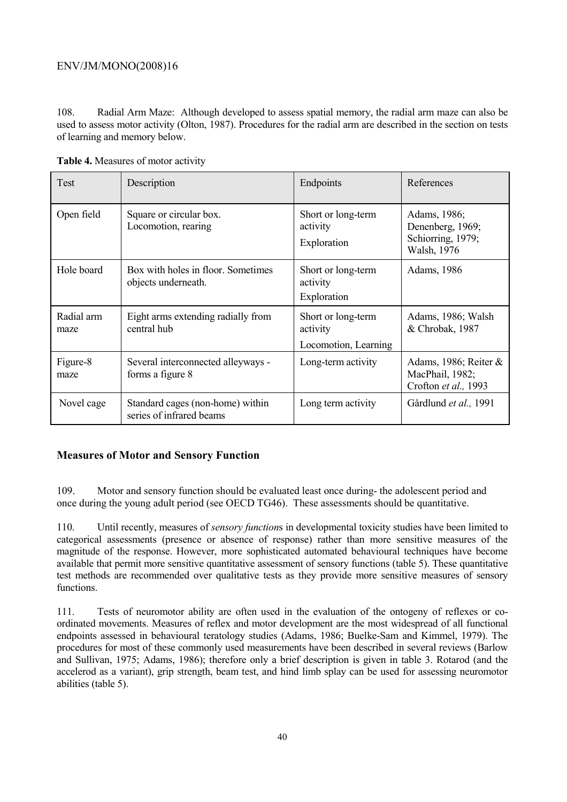108. Radial Arm Maze: Although developed to assess spatial memory, the radial arm maze can also be used to assess motor activity (Olton, 1987). Procedures for the radial arm are described in the section on tests of learning and memory below.

| <b>Test</b>        | Description                                                  | Endpoints                                              | References                                                           |
|--------------------|--------------------------------------------------------------|--------------------------------------------------------|----------------------------------------------------------------------|
| Open field         | Square or circular box.<br>Locomotion, rearing               | Short or long-term<br>activity<br>Exploration          | Adams, 1986;<br>Denenberg, 1969;<br>Schiorring, 1979;<br>Walsh, 1976 |
| Hole board         | Box with holes in floor. Sometimes<br>objects underneath.    | Short or long-term<br>activity<br>Exploration          | Adams, 1986                                                          |
| Radial arm<br>maze | Eight arms extending radially from<br>central hub            | Short or long-term<br>activity<br>Locomotion, Learning | Adams, 1986; Walsh<br>& Chrobak, 1987                                |
| Figure-8<br>maze   | Several interconnected alleyways -<br>forms a figure 8       | Long-term activity                                     | Adams, 1986; Reiter $\&$<br>MacPhail, 1982;<br>Crofton et al., 1993  |
| Novel cage         | Standard cages (non-home) within<br>series of infrared beams | Long term activity                                     | Gårdlund et al., 1991                                                |

**Table 4.** Measures of motor activity

# **Measures of Motor and Sensory Function**

109. Motor and sensory function should be evaluated least once during- the adolescent period and once during the young adult period (see OECD TG46). These assessments should be quantitative.

110. Until recently, measures of *sensory function*s in developmental toxicity studies have been limited to categorical assessments (presence or absence of response) rather than more sensitive measures of the magnitude of the response. However, more sophisticated automated behavioural techniques have become available that permit more sensitive quantitative assessment of sensory functions (table 5). These quantitative test methods are recommended over qualitative tests as they provide more sensitive measures of sensory functions.

111. Tests of neuromotor ability are often used in the evaluation of the ontogeny of reflexes or coordinated movements. Measures of reflex and motor development are the most widespread of all functional endpoints assessed in behavioural teratology studies (Adams, 1986; Buelke-Sam and Kimmel, 1979). The procedures for most of these commonly used measurements have been described in several reviews (Barlow and Sullivan, 1975; Adams, 1986); therefore only a brief description is given in table 3. Rotarod (and the accelerod as a variant), grip strength, beam test, and hind limb splay can be used for assessing neuromotor abilities (table 5).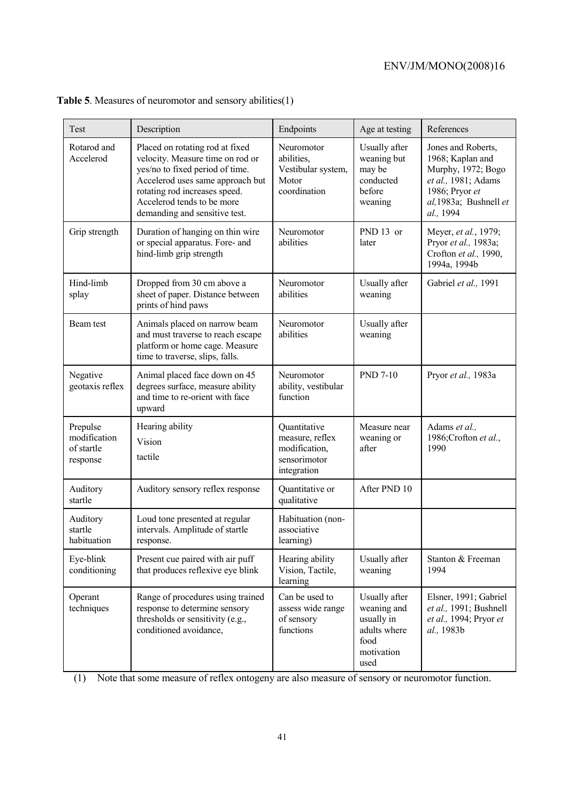| Test                                               | Description                                                                                                                                                                                                                                | Endpoints                                                                       | Age at testing                                                                           | References                                                                                                                                   |
|----------------------------------------------------|--------------------------------------------------------------------------------------------------------------------------------------------------------------------------------------------------------------------------------------------|---------------------------------------------------------------------------------|------------------------------------------------------------------------------------------|----------------------------------------------------------------------------------------------------------------------------------------------|
| Rotarod and<br>Accelerod                           | Placed on rotating rod at fixed<br>velocity. Measure time on rod or<br>yes/no to fixed period of time.<br>Accelerod uses same approach but<br>rotating rod increases speed.<br>Accelerod tends to be more<br>demanding and sensitive test. | Neuromotor<br>abilities,<br>Vestibular system,<br>Motor<br>coordination         | Usually after<br>weaning but<br>may be<br>conducted<br>before<br>weaning                 | Jones and Roberts,<br>1968; Kaplan and<br>Murphy, 1972; Bogo<br>et al., 1981; Adams<br>1986; Pryor et<br>al, 1983a; Bushnell et<br>al., 1994 |
| Grip strength                                      | Duration of hanging on thin wire<br>or special apparatus. Fore- and<br>hind-limb grip strength                                                                                                                                             | Neuromotor<br>abilities                                                         | PND 13 or<br>later                                                                       | Meyer, et al., 1979;<br>Pryor et al., 1983a;<br>Crofton et al., 1990,<br>1994a, 1994b                                                        |
| Hind-limb<br>splay                                 | Dropped from 30 cm above a<br>sheet of paper. Distance between<br>prints of hind paws                                                                                                                                                      | Neuromotor<br>abilities                                                         | Usually after<br>weaning                                                                 | Gabriel et al., 1991                                                                                                                         |
| Beam test                                          | Animals placed on narrow beam<br>and must traverse to reach escape<br>platform or home cage. Measure<br>time to traverse, slips, falls.                                                                                                    | Neuromotor<br>abilities                                                         | Usually after<br>weaning                                                                 |                                                                                                                                              |
| Negative<br>geotaxis reflex                        | Animal placed face down on 45<br>degrees surface, measure ability<br>and time to re-orient with face<br>upward                                                                                                                             | Neuromotor<br>ability, vestibular<br>function                                   | <b>PND 7-10</b>                                                                          | Pryor et al., 1983a                                                                                                                          |
| Prepulse<br>modification<br>of startle<br>response | Hearing ability<br>Vision<br>tactile                                                                                                                                                                                                       | Quantitative<br>measure, reflex<br>modification,<br>sensorimotor<br>integration | Measure near<br>weaning or<br>after                                                      | Adams et al.,<br>1986;Crofton et al.,<br>1990                                                                                                |
| Auditory<br>startle                                | Auditory sensory reflex response                                                                                                                                                                                                           | Quantitative or<br>qualitative                                                  | After PND 10                                                                             |                                                                                                                                              |
| Auditory<br>startle<br>habituation                 | Loud tone presented at regular<br>intervals. Amplitude of startle<br>response.                                                                                                                                                             | Habituation (non-<br>associative<br>learning)                                   |                                                                                          |                                                                                                                                              |
| Eye-blink<br>conditioning                          | Present cue paired with air puff<br>that produces reflexive eye blink                                                                                                                                                                      | Hearing ability<br>Vision, Tactile,<br>learning                                 | Usually after<br>weaning                                                                 | Stanton & Freeman<br>1994                                                                                                                    |
| Operant<br>techniques                              | Range of procedures using trained<br>response to determine sensory<br>thresholds or sensitivity (e.g.,<br>conditioned avoidance,                                                                                                           | Can be used to<br>assess wide range<br>of sensory<br>functions                  | Usually after<br>weaning and<br>usually in<br>adults where<br>food<br>motivation<br>used | Elsner, 1991; Gabriel<br>et al., 1991; Bushnell<br>et al., 1994; Pryor et<br>al., 1983b                                                      |

# **Table 5**. Measures of neuromotor and sensory abilities(1)

(1) Note that some measure of reflex ontogeny are also measure of sensory or neuromotor function.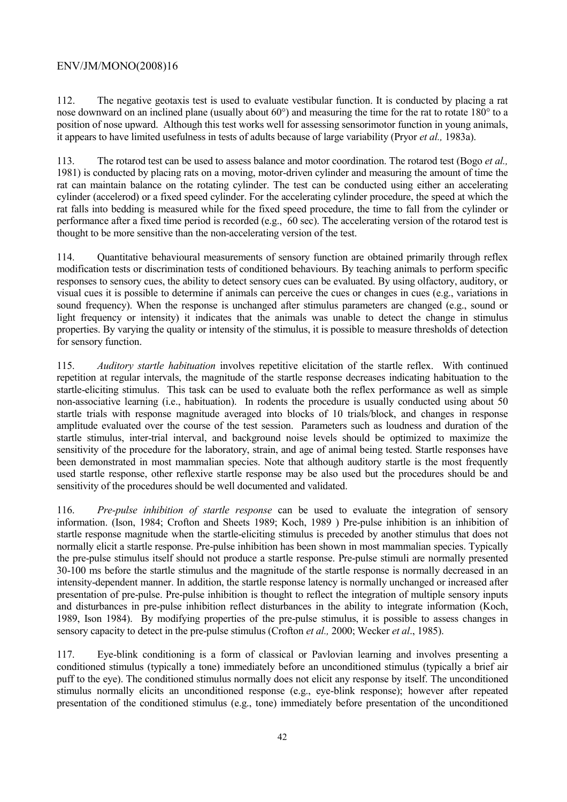112. The negative geotaxis test is used to evaluate vestibular function. It is conducted by placing a rat nose downward on an inclined plane (usually about 60°) and measuring the time for the rat to rotate 180° to a position of nose upward. Although this test works well for assessing sensorimotor function in young animals, it appears to have limited usefulness in tests of adults because of large variability (Pryor *et al.,* 1983a).

113. The rotarod test can be used to assess balance and motor coordination. The rotarod test (Bogo *et al.,* 1981) is conducted by placing rats on a moving, motor-driven cylinder and measuring the amount of time the rat can maintain balance on the rotating cylinder. The test can be conducted using either an accelerating cylinder (accelerod) or a fixed speed cylinder. For the accelerating cylinder procedure, the speed at which the rat falls into bedding is measured while for the fixed speed procedure, the time to fall from the cylinder or performance after a fixed time period is recorded (e.g., 60 sec). The accelerating version of the rotarod test is thought to be more sensitive than the non-accelerating version of the test.

114. Quantitative behavioural measurements of sensory function are obtained primarily through reflex modification tests or discrimination tests of conditioned behaviours. By teaching animals to perform specific responses to sensory cues, the ability to detect sensory cues can be evaluated. By using olfactory, auditory, or visual cues it is possible to determine if animals can perceive the cues or changes in cues (e.g., variations in sound frequency). When the response is unchanged after stimulus parameters are changed (e.g., sound or light frequency or intensity) it indicates that the animals was unable to detect the change in stimulus properties. By varying the quality or intensity of the stimulus, it is possible to measure thresholds of detection for sensory function.

115. *Auditory startle habituation* involves repetitive elicitation of the startle reflex. With continued repetition at regular intervals, the magnitude of the startle response decreases indicating habituation to the startle-eliciting stimulus. This task can be used to evaluate both the reflex performance as well as simple non-associative learning (i.e., habituation). In rodents the procedure is usually conducted using about 50 startle trials with response magnitude averaged into blocks of 10 trials/block, and changes in response amplitude evaluated over the course of the test session. Parameters such as loudness and duration of the startle stimulus, inter-trial interval, and background noise levels should be optimized to maximize the sensitivity of the procedure for the laboratory, strain, and age of animal being tested. Startle responses have been demonstrated in most mammalian species. Note that although auditory startle is the most frequently used startle response, other reflexive startle response may be also used but the procedures should be and sensitivity of the procedures should be well documented and validated.

116. *Pre-pulse inhibition of startle response* can be used to evaluate the integration of sensory information. (Ison, 1984; Crofton and Sheets 1989; Koch, 1989 ) Pre-pulse inhibition is an inhibition of startle response magnitude when the startle-eliciting stimulus is preceded by another stimulus that does not normally elicit a startle response. Pre-pulse inhibition has been shown in most mammalian species. Typically the pre-pulse stimulus itself should not produce a startle response. Pre-pulse stimuli are normally presented 30-100 ms before the startle stimulus and the magnitude of the startle response is normally decreased in an intensity-dependent manner. In addition, the startle response latency is normally unchanged or increased after presentation of pre-pulse. Pre-pulse inhibition is thought to reflect the integration of multiple sensory inputs and disturbances in pre-pulse inhibition reflect disturbances in the ability to integrate information (Koch, 1989, Ison 1984). By modifying properties of the pre-pulse stimulus, it is possible to assess changes in sensory capacity to detect in the pre-pulse stimulus (Crofton *et al.,* 2000; Wecker *et al*., 1985).

117. Eye-blink conditioning is a form of classical or Pavlovian learning and involves presenting a conditioned stimulus (typically a tone) immediately before an unconditioned stimulus (typically a brief air puff to the eye). The conditioned stimulus normally does not elicit any response by itself. The unconditioned stimulus normally elicits an unconditioned response (e.g., eye-blink response); however after repeated presentation of the conditioned stimulus (e.g., tone) immediately before presentation of the unconditioned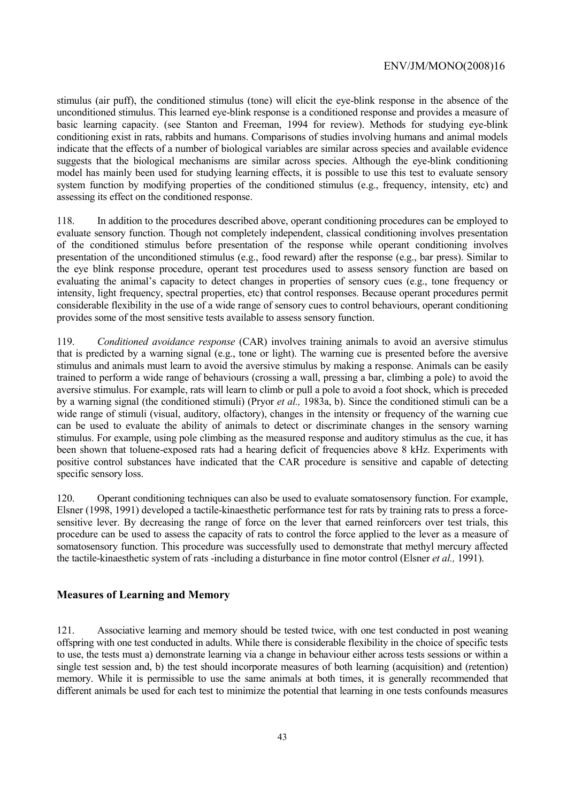stimulus (air puff), the conditioned stimulus (tone) will elicit the eye-blink response in the absence of the unconditioned stimulus. This learned eye-blink response is a conditioned response and provides a measure of basic learning capacity. (see Stanton and Freeman, 1994 for review). Methods for studying eye-blink conditioning exist in rats, rabbits and humans. Comparisons of studies involving humans and animal models indicate that the effects of a number of biological variables are similar across species and available evidence suggests that the biological mechanisms are similar across species. Although the eye-blink conditioning model has mainly been used for studying learning effects, it is possible to use this test to evaluate sensory system function by modifying properties of the conditioned stimulus (e.g., frequency, intensity, etc) and assessing its effect on the conditioned response.

118. In addition to the procedures described above, operant conditioning procedures can be employed to evaluate sensory function. Though not completely independent, classical conditioning involves presentation of the conditioned stimulus before presentation of the response while operant conditioning involves presentation of the unconditioned stimulus (e.g., food reward) after the response (e.g., bar press). Similar to the eye blink response procedure, operant test procedures used to assess sensory function are based on evaluating the animal's capacity to detect changes in properties of sensory cues (e.g., tone frequency or intensity, light frequency, spectral properties, etc) that control responses. Because operant procedures permit considerable flexibility in the use of a wide range of sensory cues to control behaviours, operant conditioning provides some of the most sensitive tests available to assess sensory function.

119. *Conditioned avoidance response* (CAR) involves training animals to avoid an aversive stimulus that is predicted by a warning signal (e.g., tone or light). The warning cue is presented before the aversive stimulus and animals must learn to avoid the aversive stimulus by making a response. Animals can be easily trained to perform a wide range of behaviours (crossing a wall, pressing a bar, climbing a pole) to avoid the aversive stimulus. For example, rats will learn to climb or pull a pole to avoid a foot shock, which is preceded by a warning signal (the conditioned stimuli) (Pryor *et al.,* 1983a, b). Since the conditioned stimuli can be a wide range of stimuli (visual, auditory, olfactory), changes in the intensity or frequency of the warning cue can be used to evaluate the ability of animals to detect or discriminate changes in the sensory warning stimulus. For example, using pole climbing as the measured response and auditory stimulus as the cue, it has been shown that toluene-exposed rats had a hearing deficit of frequencies above 8 kHz. Experiments with positive control substances have indicated that the CAR procedure is sensitive and capable of detecting specific sensory loss.

120. Operant conditioning techniques can also be used to evaluate somatosensory function. For example, Elsner (1998, 1991) developed a tactile-kinaesthetic performance test for rats by training rats to press a forcesensitive lever. By decreasing the range of force on the lever that earned reinforcers over test trials, this procedure can be used to assess the capacity of rats to control the force applied to the lever as a measure of somatosensory function. This procedure was successfully used to demonstrate that methyl mercury affected the tactile-kinaesthetic system of rats -including a disturbance in fine motor control (Elsner *et al.,* 1991).

### **Measures of Learning and Memory**

121. Associative learning and memory should be tested twice, with one test conducted in post weaning offspring with one test conducted in adults. While there is considerable flexibility in the choice of specific tests to use, the tests must a) demonstrate learning via a change in behaviour either across tests sessions or within a single test session and, b) the test should incorporate measures of both learning (acquisition) and (retention) memory. While it is permissible to use the same animals at both times, it is generally recommended that different animals be used for each test to minimize the potential that learning in one tests confounds measures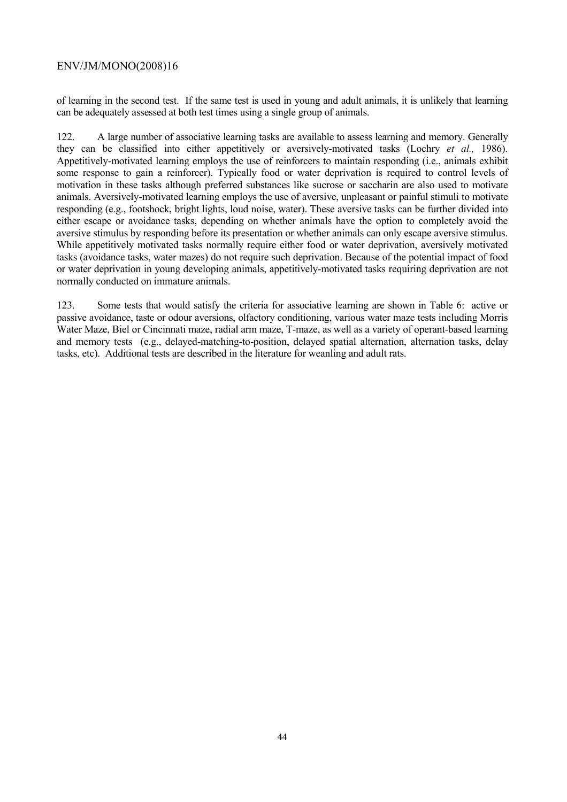of learning in the second test. If the same test is used in young and adult animals, it is unlikely that learning can be adequately assessed at both test times using a single group of animals.

122. A large number of associative learning tasks are available to assess learning and memory. Generally they can be classified into either appetitively or aversively-motivated tasks (Lochry *et al.,* 1986). Appetitively-motivated learning employs the use of reinforcers to maintain responding (i.e., animals exhibit some response to gain a reinforcer). Typically food or water deprivation is required to control levels of motivation in these tasks although preferred substances like sucrose or saccharin are also used to motivate animals. Aversively-motivated learning employs the use of aversive, unpleasant or painful stimuli to motivate responding (e.g., footshock, bright lights, loud noise, water). These aversive tasks can be further divided into either escape or avoidance tasks, depending on whether animals have the option to completely avoid the aversive stimulus by responding before its presentation or whether animals can only escape aversive stimulus. While appetitively motivated tasks normally require either food or water deprivation, aversively motivated tasks (avoidance tasks, water mazes) do not require such deprivation. Because of the potential impact of food or water deprivation in young developing animals, appetitively-motivated tasks requiring deprivation are not normally conducted on immature animals.

123. Some tests that would satisfy the criteria for associative learning are shown in Table 6: active or passive avoidance, taste or odour aversions, olfactory conditioning, various water maze tests including Morris Water Maze, Biel or Cincinnati maze, radial arm maze, T-maze, as well as a variety of operant-based learning and memory tests (e.g., delayed-matching-to-position, delayed spatial alternation, alternation tasks, delay tasks, etc). Additional tests are described in the literature for weanling and adult rats.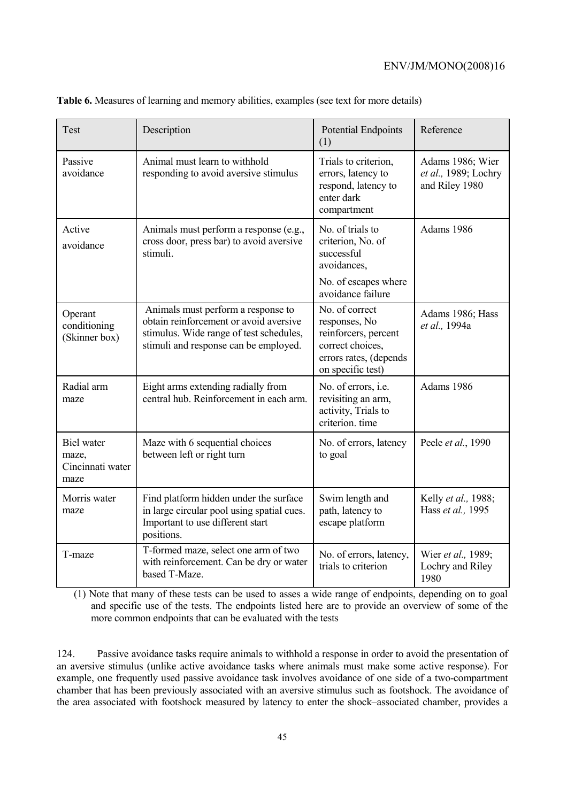| Test                                                   | Description                                                                                                                                                      | <b>Potential Endpoints</b><br>(1)                                                                                          | Reference                                                  |
|--------------------------------------------------------|------------------------------------------------------------------------------------------------------------------------------------------------------------------|----------------------------------------------------------------------------------------------------------------------------|------------------------------------------------------------|
| Passive<br>avoidance                                   | Animal must learn to withhold<br>responding to avoid aversive stimulus                                                                                           | Trials to criterion,<br>errors, latency to<br>respond, latency to<br>enter dark<br>compartment                             | Adams 1986; Wier<br>et al., 1989; Lochry<br>and Riley 1980 |
| Active<br>avoidance                                    | Animals must perform a response (e.g.,<br>cross door, press bar) to avoid aversive<br>stimuli.                                                                   | No. of trials to<br>criterion, No. of<br>successful<br>avoidances,<br>No. of escapes where<br>avoidance failure            | Adams 1986                                                 |
| Operant<br>conditioning<br>(Skinner box)               | Animals must perform a response to<br>obtain reinforcement or avoid aversive<br>stimulus. Wide range of test schedules,<br>stimuli and response can be employed. | No. of correct<br>responses, No<br>reinforcers, percent<br>correct choices,<br>errors rates, (depends<br>on specific test) | Adams 1986; Hass<br>et al., 1994a                          |
| Radial arm<br>maze                                     | Eight arms extending radially from<br>central hub. Reinforcement in each arm.                                                                                    | No. of errors, <i>i.e.</i><br>revisiting an arm,<br>activity, Trials to<br>criterion. time                                 | Adams 1986                                                 |
| <b>Biel</b> water<br>maze,<br>Cincinnati water<br>maze | Maze with 6 sequential choices<br>between left or right turn                                                                                                     | No. of errors, latency<br>to goal                                                                                          | Peele et al., 1990                                         |
| Morris water<br>maze                                   | Find platform hidden under the surface<br>in large circular pool using spatial cues.<br>Important to use different start<br>positions.                           | Swim length and<br>path, latency to<br>escape platform                                                                     | Kelly et al., 1988;<br>Hass et al., 1995                   |
| T-maze                                                 | T-formed maze, select one arm of two<br>with reinforcement. Can be dry or water<br>based T-Maze.                                                                 | No. of errors, latency,<br>trials to criterion                                                                             | Wier et al., 1989;<br>Lochry and Riley<br>1980             |

**Table 6.** Measures of learning and memory abilities, examples (see text for more details)

(1) Note that many of these tests can be used to asses a wide range of endpoints, depending on to goal and specific use of the tests. The endpoints listed here are to provide an overview of some of the more common endpoints that can be evaluated with the tests

124. Passive avoidance tasks require animals to withhold a response in order to avoid the presentation of an aversive stimulus (unlike active avoidance tasks where animals must make some active response). For example, one frequently used passive avoidance task involves avoidance of one side of a two-compartment chamber that has been previously associated with an aversive stimulus such as footshock. The avoidance of the area associated with footshock measured by latency to enter the shock–associated chamber, provides a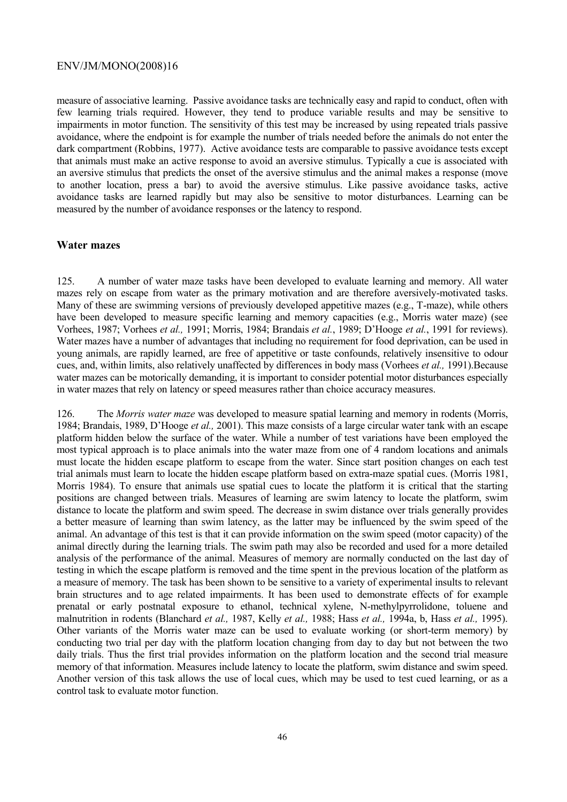measure of associative learning. Passive avoidance tasks are technically easy and rapid to conduct, often with few learning trials required. However, they tend to produce variable results and may be sensitive to impairments in motor function. The sensitivity of this test may be increased by using repeated trials passive avoidance, where the endpoint is for example the number of trials needed before the animals do not enter the dark compartment (Robbins, 1977). Active avoidance tests are comparable to passive avoidance tests except that animals must make an active response to avoid an aversive stimulus. Typically a cue is associated with an aversive stimulus that predicts the onset of the aversive stimulus and the animal makes a response (move to another location, press a bar) to avoid the aversive stimulus. Like passive avoidance tasks, active avoidance tasks are learned rapidly but may also be sensitive to motor disturbances. Learning can be measured by the number of avoidance responses or the latency to respond.

#### **Water mazes**

125. A number of water maze tasks have been developed to evaluate learning and memory. All water mazes rely on escape from water as the primary motivation and are therefore aversively-motivated tasks. Many of these are swimming versions of previously developed appetitive mazes (e.g., T-maze), while others have been developed to measure specific learning and memory capacities (e.g., Morris water maze) (see Vorhees, 1987; Vorhees *et al.,* 1991; Morris, 1984; Brandais *et al.*, 1989; D'Hooge *et al.*, 1991 for reviews). Water mazes have a number of advantages that including no requirement for food deprivation, can be used in young animals, are rapidly learned, are free of appetitive or taste confounds, relatively insensitive to odour cues, and, within limits, also relatively unaffected by differences in body mass (Vorhees *et al.,* 1991).Because water mazes can be motorically demanding, it is important to consider potential motor disturbances especially in water mazes that rely on latency or speed measures rather than choice accuracy measures.

126. The *Morris water maze* was developed to measure spatial learning and memory in rodents (Morris, 1984; Brandais, 1989, D'Hooge *et al.,* 2001). This maze consists of a large circular water tank with an escape platform hidden below the surface of the water. While a number of test variations have been employed the most typical approach is to place animals into the water maze from one of 4 random locations and animals must locate the hidden escape platform to escape from the water. Since start position changes on each test trial animals must learn to locate the hidden escape platform based on extra-maze spatial cues. (Morris 1981, Morris 1984). To ensure that animals use spatial cues to locate the platform it is critical that the starting positions are changed between trials. Measures of learning are swim latency to locate the platform, swim distance to locate the platform and swim speed. The decrease in swim distance over trials generally provides a better measure of learning than swim latency, as the latter may be influenced by the swim speed of the animal. An advantage of this test is that it can provide information on the swim speed (motor capacity) of the animal directly during the learning trials. The swim path may also be recorded and used for a more detailed analysis of the performance of the animal. Measures of memory are normally conducted on the last day of testing in which the escape platform is removed and the time spent in the previous location of the platform as a measure of memory. The task has been shown to be sensitive to a variety of experimental insults to relevant brain structures and to age related impairments. It has been used to demonstrate effects of for example prenatal or early postnatal exposure to ethanol, technical xylene, N-methylpyrrolidone, toluene and malnutrition in rodents (Blanchard *et al.,* 1987, Kelly *et al.,* 1988; Hass *et al.,* 1994a, b, Hass *et al.,* 1995). Other variants of the Morris water maze can be used to evaluate working (or short-term memory) by conducting two trial per day with the platform location changing from day to day but not between the two daily trials. Thus the first trial provides information on the platform location and the second trial measure memory of that information. Measures include latency to locate the platform, swim distance and swim speed. Another version of this task allows the use of local cues, which may be used to test cued learning, or as a control task to evaluate motor function.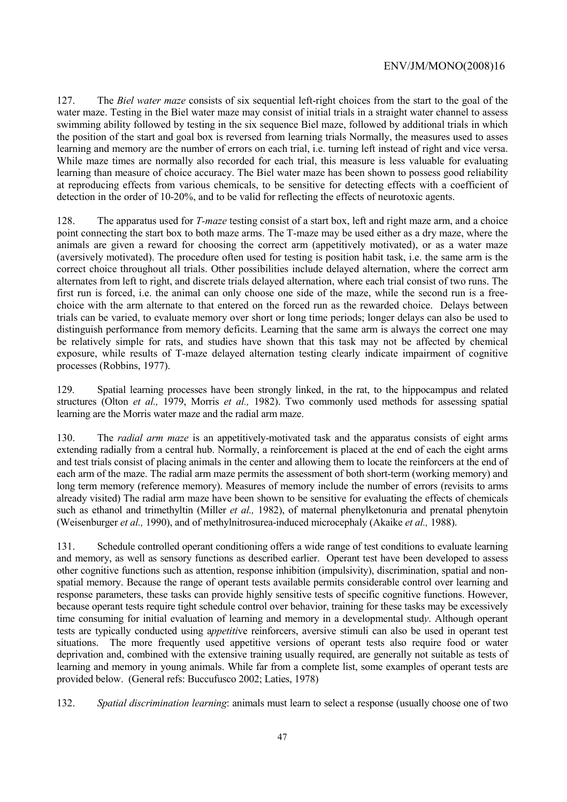127. The *Biel water maze* consists of six sequential left-right choices from the start to the goal of the water maze. Testing in the Biel water maze may consist of initial trials in a straight water channel to assess swimming ability followed by testing in the six sequence Biel maze, followed by additional trials in which the position of the start and goal box is reversed from learning trials Normally, the measures used to asses learning and memory are the number of errors on each trial, i.e. turning left instead of right and vice versa. While maze times are normally also recorded for each trial, this measure is less valuable for evaluating learning than measure of choice accuracy. The Biel water maze has been shown to possess good reliability at reproducing effects from various chemicals, to be sensitive for detecting effects with a coefficient of detection in the order of 10-20%, and to be valid for reflecting the effects of neurotoxic agents.

128. The apparatus used for *T-maze* testing consist of a start box, left and right maze arm, and a choice point connecting the start box to both maze arms. The T-maze may be used either as a dry maze, where the animals are given a reward for choosing the correct arm (appetitively motivated), or as a water maze (aversively motivated). The procedure often used for testing is position habit task, i.e. the same arm is the correct choice throughout all trials. Other possibilities include delayed alternation, where the correct arm alternates from left to right, and discrete trials delayed alternation, where each trial consist of two runs. The first run is forced, i.e. the animal can only choose one side of the maze, while the second run is a freechoice with the arm alternate to that entered on the forced run as the rewarded choice. Delays between trials can be varied, to evaluate memory over short or long time periods; longer delays can also be used to distinguish performance from memory deficits. Learning that the same arm is always the correct one may be relatively simple for rats, and studies have shown that this task may not be affected by chemical exposure, while results of T-maze delayed alternation testing clearly indicate impairment of cognitive processes (Robbins, 1977).

129. Spatial learning processes have been strongly linked, in the rat, to the hippocampus and related structures (Olton *et al.,* 1979, Morris *et al.,* 1982). Two commonly used methods for assessing spatial learning are the Morris water maze and the radial arm maze.

130. The *radial arm maze* is an appetitively-motivated task and the apparatus consists of eight arms extending radially from a central hub. Normally, a reinforcement is placed at the end of each the eight arms and test trials consist of placing animals in the center and allowing them to locate the reinforcers at the end of each arm of the maze. The radial arm maze permits the assessment of both short-term (working memory) and long term memory (reference memory). Measures of memory include the number of errors (revisits to arms already visited) The radial arm maze have been shown to be sensitive for evaluating the effects of chemicals such as ethanol and trimethyltin (Miller *et al.,* 1982), of maternal phenylketonuria and prenatal phenytoin (Weisenburger *et al.,* 1990), and of methylnitrosurea-induced microcephaly (Akaike *et al.,* 1988).

131. Schedule controlled operant conditioning offers a wide range of test conditions to evaluate learning and memory, as well as sensory functions as described earlier. Operant test have been developed to assess other cognitive functions such as attention, response inhibition (impulsivity), discrimination, spatial and nonspatial memory. Because the range of operant tests available permits considerable control over learning and response parameters, these tasks can provide highly sensitive tests of specific cognitive functions. However, because operant tests require tight schedule control over behavior, training for these tasks may be excessively time consuming for initial evaluation of learning and memory in a developmental stud*y*. Although operant tests are typically conducted using a*ppetiti*ve reinforcers, aversive stimuli can also be used in operant test situations. The more frequently used appetitive versions of operant tests also require food or water deprivation and, combined with the extensive training usually required, are generally not suitable as tests of learning and memory in young animals. While far from a complete list, some examples of operant tests are provided below. (General refs: Buccufusco 2002; Laties, 1978)

132. *Spatial discrimination learning*: animals must learn to select a response (usually choose one of two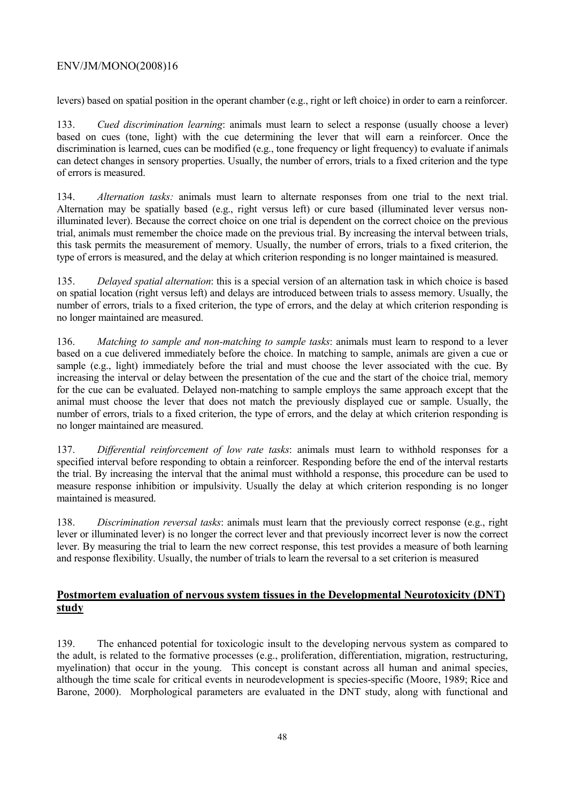levers) based on spatial position in the operant chamber (e.g., right or left choice) in order to earn a reinforcer.

133. *Cued discrimination learning*: animals must learn to select a response (usually choose a lever) based on cues (tone, light) with the cue determining the lever that will earn a reinforcer. Once the discrimination is learned, cues can be modified (e.g., tone frequency or light frequency) to evaluate if animals can detect changes in sensory properties. Usually, the number of errors, trials to a fixed criterion and the type of errors is measured.

134. *Alternation tasks:* animals must learn to alternate responses from one trial to the next trial. Alternation may be spatially based (e.g., right versus left) or cure based (illuminated lever versus nonilluminated lever). Because the correct choice on one trial is dependent on the correct choice on the previous trial, animals must remember the choice made on the previous trial. By increasing the interval between trials, this task permits the measurement of memory. Usually, the number of errors, trials to a fixed criterion, the type of errors is measured, and the delay at which criterion responding is no longer maintained is measured.

135. *Delayed spatial alternation*: this is a special version of an alternation task in which choice is based on spatial location (right versus left) and delays are introduced between trials to assess memory. Usually, the number of errors, trials to a fixed criterion, the type of errors, and the delay at which criterion responding is no longer maintained are measured.

136. *Matching to sample and non-matching to sample tasks*: animals must learn to respond to a lever based on a cue delivered immediately before the choice. In matching to sample, animals are given a cue or sample (e.g., light) immediately before the trial and must choose the lever associated with the cue. By increasing the interval or delay between the presentation of the cue and the start of the choice trial, memory for the cue can be evaluated. Delayed non-matching to sample employs the same approach except that the animal must choose the lever that does not match the previously displayed cue or sample. Usually, the number of errors, trials to a fixed criterion, the type of errors, and the delay at which criterion responding is no longer maintained are measured.

137. *Differential reinforcement of low rate tasks*: animals must learn to withhold responses for a specified interval before responding to obtain a reinforcer. Responding before the end of the interval restarts the trial. By increasing the interval that the animal must withhold a response, this procedure can be used to measure response inhibition or impulsivity. Usually the delay at which criterion responding is no longer maintained is measured.

138. *Discrimination reversal tasks*: animals must learn that the previously correct response (e.g., right lever or illuminated lever) is no longer the correct lever and that previously incorrect lever is now the correct lever. By measuring the trial to learn the new correct response, this test provides a measure of both learning and response flexibility. Usually, the number of trials to learn the reversal to a set criterion is measured

# **Postmortem evaluation of nervous system tissues in the Developmental Neurotoxicity (DNT) study**

139. The enhanced potential for toxicologic insult to the developing nervous system as compared to the adult, is related to the formative processes (e.g., proliferation, differentiation, migration, restructuring, myelination) that occur in the young. This concept is constant across all human and animal species, although the time scale for critical events in neurodevelopment is species-specific (Moore, 1989; Rice and Barone, 2000). Morphological parameters are evaluated in the DNT study, along with functional and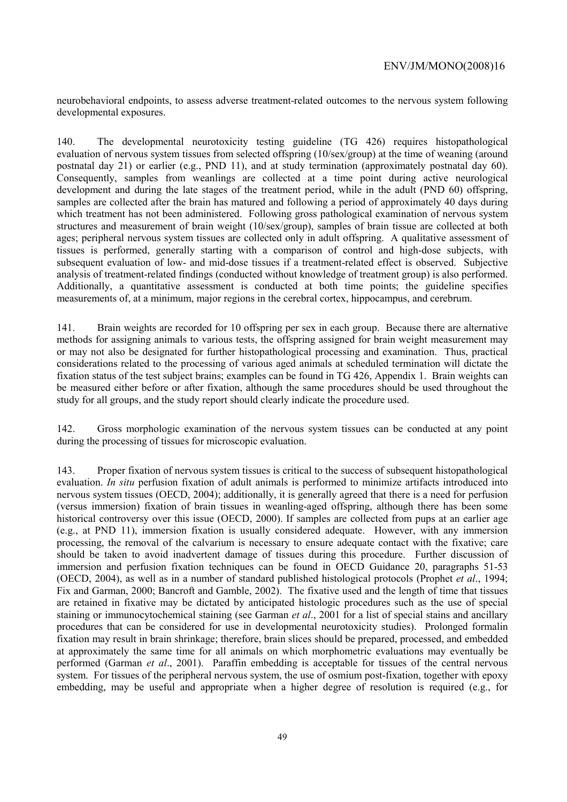neurobehavioral endpoints, to assess adverse treatment-related outcomes to the nervous system following developmental exposures.

140. The developmental neurotoxicity testing guideline (TG 426) requires histopathological evaluation of nervous system tissues from selected offspring (10/sex/group) at the time of weaning (around postnatal day 21) or earlier (e.g., PND 11), and at study termination (approximately postnatal day 60). Consequently, samples from weanlings are collected at a time point during active neurological development and during the late stages of the treatment period, while in the adult (PND 60) offspring, samples are collected after the brain has matured and following a period of approximately 40 days during which treatment has not been administered. Following gross pathological examination of nervous system structures and measurement of brain weight (10/sex/group), samples of brain tissue are collected at both ages; peripheral nervous system tissues are collected only in adult offspring. A qualitative assessment of tissues is performed, generally starting with a comparison of control and high-dose subjects, with subsequent evaluation of low- and mid-dose tissues if a treatment-related effect is observed. Subjective analysis of treatment-related findings (conducted without knowledge of treatment group) is also performed. Additionally, a quantitative assessment is conducted at both time points; the guideline specifies measurements of, at a minimum, major regions in the cerebral cortex, hippocampus, and cerebrum.

141. Brain weights are recorded for 10 offspring per sex in each group. Because there are alternative methods for assigning animals to various tests, the offspring assigned for brain weight measurement may or may not also be designated for further histopathological processing and examination. Thus, practical considerations related to the processing of various aged animals at scheduled termination will dictate the fixation status of the test subject brains; examples can be found in TG 426, Appendix 1. Brain weights can be measured either before or after fixation, although the same procedures should be used throughout the study for all groups, and the study report should clearly indicate the procedure used.

142. Gross morphologic examination of the nervous system tissues can be conducted at any point during the processing of tissues for microscopic evaluation.

143. Proper fixation of nervous system tissues is critical to the success of subsequent histopathological evaluation. *In situ* perfusion fixation of adult animals is performed to minimize artifacts introduced into nervous system tissues (OECD, 2004); additionally, it is generally agreed that there is a need for perfusion (versus immersion) fixation of brain tissues in weanling-aged offspring, although there has been some historical controversy over this issue (OECD, 2000). If samples are collected from pups at an earlier age (e.g., at PND 11), immersion fixation is usually considered adequate. However, with any immersion processing, the removal of the calvarium is necessary to ensure adequate contact with the fixative; care should be taken to avoid inadvertent damage of tissues during this procedure. Further discussion of immersion and perfusion fixation techniques can be found in OECD Guidance 20, paragraphs 51-53 (OECD, 2004), as well as in a number of standard published histological protocols (Prophet *et al*., 1994; Fix and Garman, 2000; Bancroft and Gamble, 2002). The fixative used and the length of time that tissues are retained in fixative may be dictated by anticipated histologic procedures such as the use of special staining or immunocytochemical staining (see Garman *et al*., 2001 for a list of special stains and ancillary procedures that can be considered for use in developmental neurotoxicity studies). Prolonged formalin fixation may result in brain shrinkage; therefore, brain slices should be prepared, processed, and embedded at approximately the same time for all animals on which morphometric evaluations may eventually be performed (Garman *et al*., 2001). Paraffin embedding is acceptable for tissues of the central nervous system. For tissues of the peripheral nervous system, the use of osmium post-fixation, together with epoxy embedding, may be useful and appropriate when a higher degree of resolution is required (e.g., for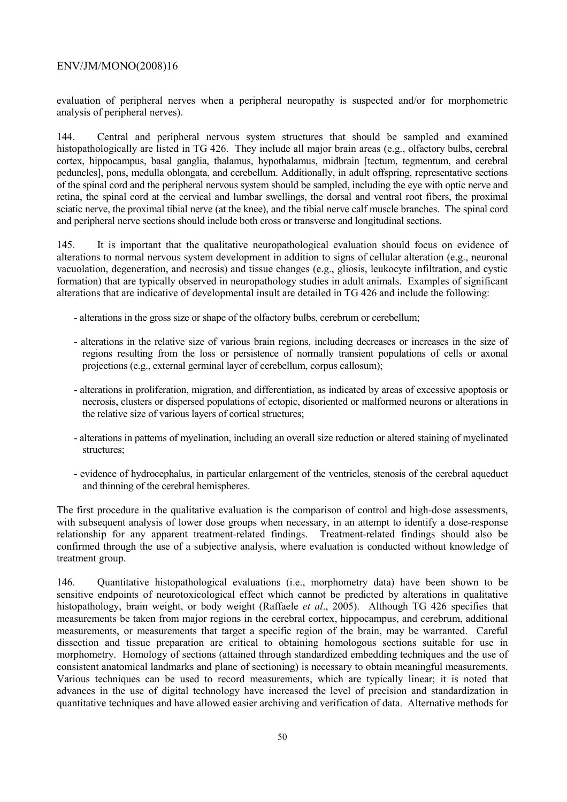evaluation of peripheral nerves when a peripheral neuropathy is suspected and/or for morphometric analysis of peripheral nerves).

144. Central and peripheral nervous system structures that should be sampled and examined histopathologically are listed in TG 426. They include all major brain areas (e.g., olfactory bulbs, cerebral cortex, hippocampus, basal ganglia, thalamus, hypothalamus, midbrain [tectum, tegmentum, and cerebral peduncles], pons, medulla oblongata, and cerebellum. Additionally, in adult offspring, representative sections of the spinal cord and the peripheral nervous system should be sampled, including the eye with optic nerve and retina, the spinal cord at the cervical and lumbar swellings, the dorsal and ventral root fibers, the proximal sciatic nerve, the proximal tibial nerve (at the knee), and the tibial nerve calf muscle branches. The spinal cord and peripheral nerve sections should include both cross or transverse and longitudinal sections.

145. It is important that the qualitative neuropathological evaluation should focus on evidence of alterations to normal nervous system development in addition to signs of cellular alteration (e.g., neuronal vacuolation, degeneration, and necrosis) and tissue changes (e.g., gliosis, leukocyte infiltration, and cystic formation) that are typically observed in neuropathology studies in adult animals. Examples of significant alterations that are indicative of developmental insult are detailed in TG 426 and include the following:

- alterations in the gross size or shape of the olfactory bulbs, cerebrum or cerebellum;
- alterations in the relative size of various brain regions, including decreases or increases in the size of regions resulting from the loss or persistence of normally transient populations of cells or axonal projections (e.g., external germinal layer of cerebellum, corpus callosum);
- alterations in proliferation, migration, and differentiation, as indicated by areas of excessive apoptosis or necrosis, clusters or dispersed populations of ectopic, disoriented or malformed neurons or alterations in the relative size of various layers of cortical structures;
- alterations in patterns of myelination, including an overall size reduction or altered staining of myelinated structures;
- evidence of hydrocephalus, in particular enlargement of the ventricles, stenosis of the cerebral aqueduct and thinning of the cerebral hemispheres.

The first procedure in the qualitative evaluation is the comparison of control and high-dose assessments, with subsequent analysis of lower dose groups when necessary, in an attempt to identify a dose-response relationship for any apparent treatment-related findings. Treatment-related findings should also be confirmed through the use of a subjective analysis, where evaluation is conducted without knowledge of treatment group.

146. Quantitative histopathological evaluations (i.e., morphometry data) have been shown to be sensitive endpoints of neurotoxicological effect which cannot be predicted by alterations in qualitative histopathology, brain weight, or body weight (Raffaele *et al*., 2005). Although TG 426 specifies that measurements be taken from major regions in the cerebral cortex, hippocampus, and cerebrum, additional measurements, or measurements that target a specific region of the brain, may be warranted. Careful dissection and tissue preparation are critical to obtaining homologous sections suitable for use in morphometry. Homology of sections (attained through standardized embedding techniques and the use of consistent anatomical landmarks and plane of sectioning) is necessary to obtain meaningful measurements. Various techniques can be used to record measurements, which are typically linear; it is noted that advances in the use of digital technology have increased the level of precision and standardization in quantitative techniques and have allowed easier archiving and verification of data. Alternative methods for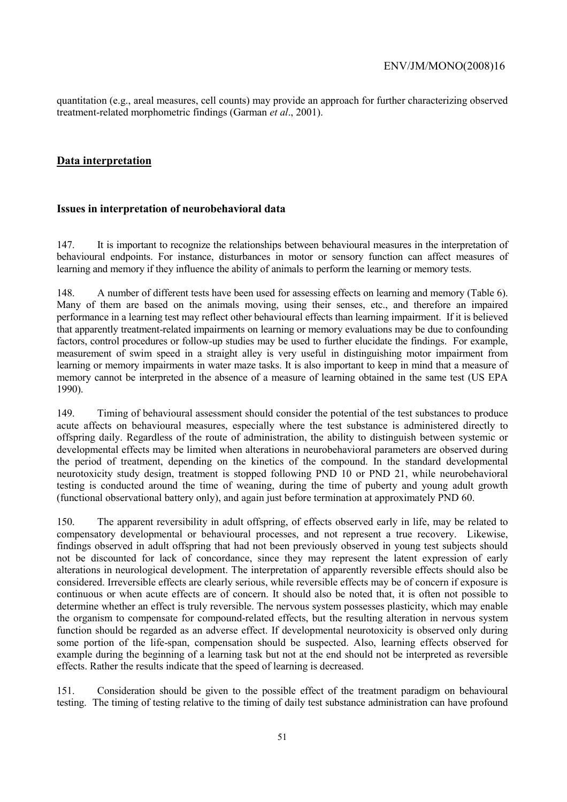quantitation (e.g., areal measures, cell counts) may provide an approach for further characterizing observed treatment-related morphometric findings (Garman *et al*., 2001).

## **Data interpretation**

## **Issues in interpretation of neurobehavioral data**

147. It is important to recognize the relationships between behavioural measures in the interpretation of behavioural endpoints. For instance, disturbances in motor or sensory function can affect measures of learning and memory if they influence the ability of animals to perform the learning or memory tests.

148. A number of different tests have been used for assessing effects on learning and memory (Table 6). Many of them are based on the animals moving, using their senses, etc., and therefore an impaired performance in a learning test may reflect other behavioural effects than learning impairment. If it is believed that apparently treatment-related impairments on learning or memory evaluations may be due to confounding factors, control procedures or follow-up studies may be used to further elucidate the findings. For example, measurement of swim speed in a straight alley is very useful in distinguishing motor impairment from learning or memory impairments in water maze tasks. It is also important to keep in mind that a measure of memory cannot be interpreted in the absence of a measure of learning obtained in the same test (US EPA 1990).

149. Timing of behavioural assessment should consider the potential of the test substances to produce acute affects on behavioural measures, especially where the test substance is administered directly to offspring daily. Regardless of the route of administration, the ability to distinguish between systemic or developmental effects may be limited when alterations in neurobehavioral parameters are observed during the period of treatment, depending on the kinetics of the compound. In the standard developmental neurotoxicity study design, treatment is stopped following PND 10 or PND 21, while neurobehavioral testing is conducted around the time of weaning, during the time of puberty and young adult growth (functional observational battery only), and again just before termination at approximately PND 60.

150. The apparent reversibility in adult offspring, of effects observed early in life, may be related to compensatory developmental or behavioural processes, and not represent a true recovery. Likewise, findings observed in adult offspring that had not been previously observed in young test subjects should not be discounted for lack of concordance, since they may represent the latent expression of early alterations in neurological development. The interpretation of apparently reversible effects should also be considered. Irreversible effects are clearly serious, while reversible effects may be of concern if exposure is continuous or when acute effects are of concern. It should also be noted that, it is often not possible to determine whether an effect is truly reversible. The nervous system possesses plasticity, which may enable the organism to compensate for compound-related effects, but the resulting alteration in nervous system function should be regarded as an adverse effect. If developmental neurotoxicity is observed only during some portion of the life-span, compensation should be suspected. Also, learning effects observed for example during the beginning of a learning task but not at the end should not be interpreted as reversible effects. Rather the results indicate that the speed of learning is decreased.

151. Consideration should be given to the possible effect of the treatment paradigm on behavioural testing. The timing of testing relative to the timing of daily test substance administration can have profound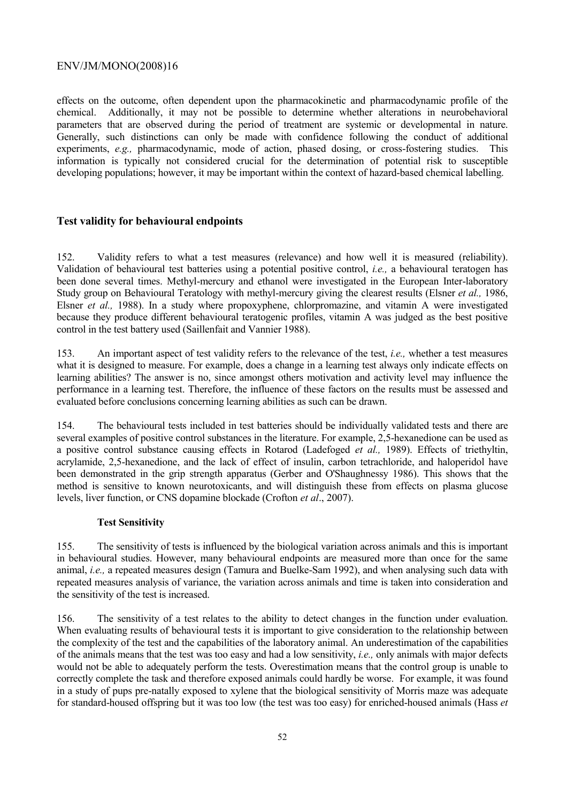effects on the outcome, often dependent upon the pharmacokinetic and pharmacodynamic profile of the chemical. Additionally, it may not be possible to determine whether alterations in neurobehavioral parameters that are observed during the period of treatment are systemic or developmental in nature. Generally, such distinctions can only be made with confidence following the conduct of additional experiments, *e.g.,* pharmacodynamic, mode of action, phased dosing, or cross-fostering studies. This information is typically not considered crucial for the determination of potential risk to susceptible developing populations; however, it may be important within the context of hazard-based chemical labelling.

## **Test validity for behavioural endpoints**

152. Validity refers to what a test measures (relevance) and how well it is measured (reliability). Validation of behavioural test batteries using a potential positive control, *i.e.,* a behavioural teratogen has been done several times. Methyl-mercury and ethanol were investigated in the European Inter-laboratory Study group on Behavioural Teratology with methyl-mercury giving the clearest results (Elsner *et al.,* 1986, Elsner *et al.,* 1988). In a study where propoxyphene, chlorpromazine, and vitamin A were investigated because they produce different behavioural teratogenic profiles, vitamin A was judged as the best positive control in the test battery used (Saillenfait and Vannier 1988).

153. An important aspect of test validity refers to the relevance of the test, *i.e.,* whether a test measures what it is designed to measure. For example, does a change in a learning test always only indicate effects on learning abilities? The answer is no, since amongst others motivation and activity level may influence the performance in a learning test. Therefore, the influence of these factors on the results must be assessed and evaluated before conclusions concerning learning abilities as such can be drawn.

154. The behavioural tests included in test batteries should be individually validated tests and there are several examples of positive control substances in the literature. For example, 2,5-hexanedione can be used as a positive control substance causing effects in Rotarod (Ladefoged *et al.,* 1989). Effects of triethyltin, acrylamide, 2,5-hexanedione, and the lack of effect of insulin, carbon tetrachloride, and haloperidol have been demonstrated in the grip strength apparatus (Gerber and O'Shaughnessy 1986). This shows that the method is sensitive to known neurotoxicants, and will distinguish these from effects on plasma glucose levels, liver function, or CNS dopamine blockade (Crofton *et al*., 2007).

### **Test Sensitivity**

155. The sensitivity of tests is influenced by the biological variation across animals and this is important in behavioural studies. However, many behavioural endpoints are measured more than once for the same animal, *i.e.,* a repeated measures design (Tamura and Buelke-Sam 1992), and when analysing such data with repeated measures analysis of variance, the variation across animals and time is taken into consideration and the sensitivity of the test is increased.

156. The sensitivity of a test relates to the ability to detect changes in the function under evaluation. When evaluating results of behavioural tests it is important to give consideration to the relationship between the complexity of the test and the capabilities of the laboratory animal. An underestimation of the capabilities of the animals means that the test was too easy and had a low sensitivity, *i.e.,* only animals with major defects would not be able to adequately perform the tests. Overestimation means that the control group is unable to correctly complete the task and therefore exposed animals could hardly be worse. For example, it was found in a study of pups pre-natally exposed to xylene that the biological sensitivity of Morris maze was adequate for standard-housed offspring but it was too low (the test was too easy) for enriched-housed animals (Hass *et*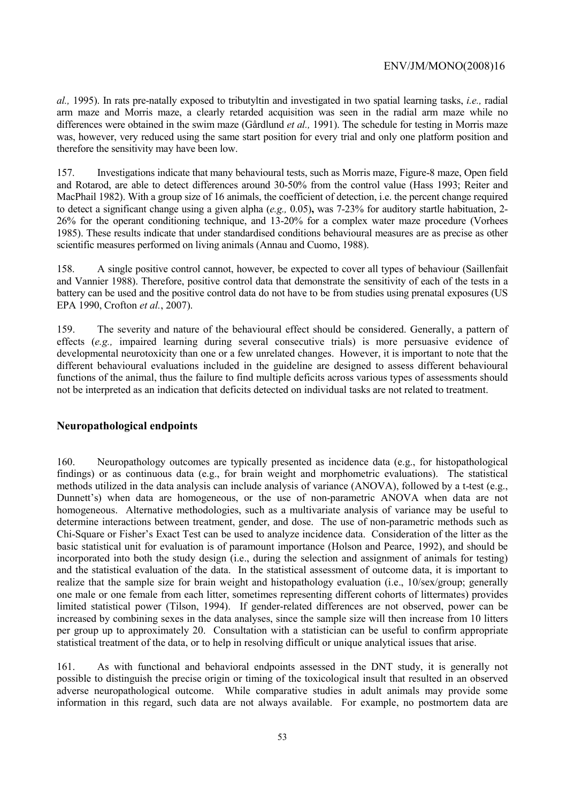*al.,* 1995). In rats pre-natally exposed to tributyltin and investigated in two spatial learning tasks, *i.e.,* radial arm maze and Morris maze, a clearly retarded acquisition was seen in the radial arm maze while no differences were obtained in the swim maze (Gårdlund *et al.,* 1991). The schedule for testing in Morris maze was, however, very reduced using the same start position for every trial and only one platform position and therefore the sensitivity may have been low.

157. Investigations indicate that many behavioural tests, such as Morris maze, Figure-8 maze, Open field and Rotarod, are able to detect differences around 30-50% from the control value (Hass 1993; Reiter and MacPhail 1982). With a group size of 16 animals, the coefficient of detection, i.e. the percent change required to detect a significant change using a given alpha (*e.g.,* 0.05)**,** was 7-23% for auditory startle habituation, 2- 26% for the operant conditioning technique, and 13-20% for a complex water maze procedure (Vorhees 1985). These results indicate that under standardised conditions behavioural measures are as precise as other scientific measures performed on living animals (Annau and Cuomo, 1988).

158. A single positive control cannot, however, be expected to cover all types of behaviour (Saillenfait and Vannier 1988). Therefore, positive control data that demonstrate the sensitivity of each of the tests in a battery can be used and the positive control data do not have to be from studies using prenatal exposures (US EPA 1990, Crofton *et al.*, 2007).

159. The severity and nature of the behavioural effect should be considered. Generally, a pattern of effects (*e.g.,* impaired learning during several consecutive trials) is more persuasive evidence of developmental neurotoxicity than one or a few unrelated changes. However, it is important to note that the different behavioural evaluations included in the guideline are designed to assess different behavioural functions of the animal, thus the failure to find multiple deficits across various types of assessments should not be interpreted as an indication that deficits detected on individual tasks are not related to treatment.

### **Neuropathological endpoints**

160. Neuropathology outcomes are typically presented as incidence data (e.g., for histopathological findings) or as continuous data (e.g., for brain weight and morphometric evaluations). The statistical methods utilized in the data analysis can include analysis of variance (ANOVA), followed by a t-test (e.g., Dunnett's) when data are homogeneous, or the use of non-parametric ANOVA when data are not homogeneous. Alternative methodologies, such as a multivariate analysis of variance may be useful to determine interactions between treatment, gender, and dose. The use of non-parametric methods such as Chi-Square or Fisher's Exact Test can be used to analyze incidence data. Consideration of the litter as the basic statistical unit for evaluation is of paramount importance (Holson and Pearce, 1992), and should be incorporated into both the study design (i.e., during the selection and assignment of animals for testing) and the statistical evaluation of the data. In the statistical assessment of outcome data, it is important to realize that the sample size for brain weight and histopathology evaluation (i.e., 10/sex/group; generally one male or one female from each litter, sometimes representing different cohorts of littermates) provides limited statistical power (Tilson, 1994). If gender-related differences are not observed, power can be increased by combining sexes in the data analyses, since the sample size will then increase from 10 litters per group up to approximately 20. Consultation with a statistician can be useful to confirm appropriate statistical treatment of the data, or to help in resolving difficult or unique analytical issues that arise.

161. As with functional and behavioral endpoints assessed in the DNT study, it is generally not possible to distinguish the precise origin or timing of the toxicological insult that resulted in an observed adverse neuropathological outcome. While comparative studies in adult animals may provide some information in this regard, such data are not always available. For example, no postmortem data are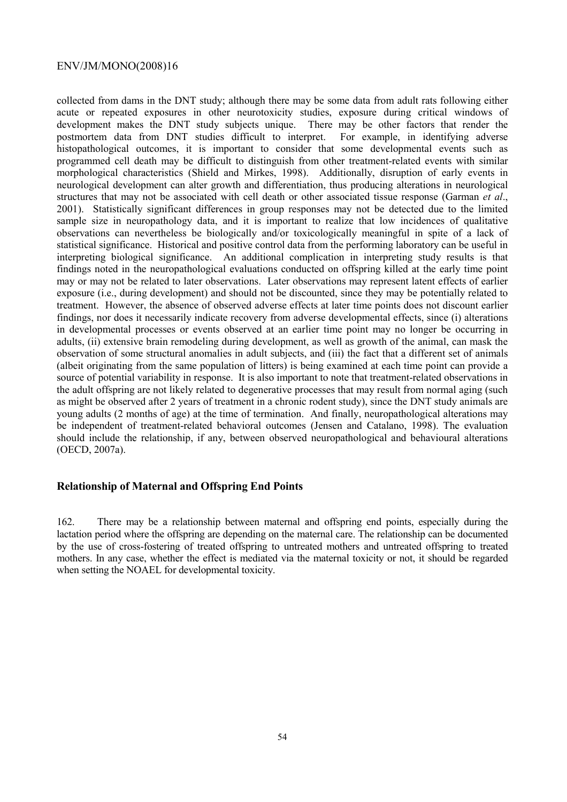collected from dams in the DNT study; although there may be some data from adult rats following either acute or repeated exposures in other neurotoxicity studies, exposure during critical windows of development makes the DNT study subjects unique. There may be other factors that render the postmortem data from DNT studies difficult to interpret. For example, in identifying adverse histopathological outcomes, it is important to consider that some developmental events such as programmed cell death may be difficult to distinguish from other treatment-related events with similar morphological characteristics (Shield and Mirkes, 1998). Additionally, disruption of early events in neurological development can alter growth and differentiation, thus producing alterations in neurological structures that may not be associated with cell death or other associated tissue response (Garman *et al*., 2001). Statistically significant differences in group responses may not be detected due to the limited sample size in neuropathology data, and it is important to realize that low incidences of qualitative observations can nevertheless be biologically and/or toxicologically meaningful in spite of a lack of statistical significance. Historical and positive control data from the performing laboratory can be useful in interpreting biological significance. An additional complication in interpreting study results is that findings noted in the neuropathological evaluations conducted on offspring killed at the early time point may or may not be related to later observations. Later observations may represent latent effects of earlier exposure (i.e., during development) and should not be discounted, since they may be potentially related to treatment. However, the absence of observed adverse effects at later time points does not discount earlier findings, nor does it necessarily indicate recovery from adverse developmental effects, since (i) alterations in developmental processes or events observed at an earlier time point may no longer be occurring in adults, (ii) extensive brain remodeling during development, as well as growth of the animal, can mask the observation of some structural anomalies in adult subjects, and (iii) the fact that a different set of animals (albeit originating from the same population of litters) is being examined at each time point can provide a source of potential variability in response. It is also important to note that treatment-related observations in the adult offspring are not likely related to degenerative processes that may result from normal aging (such as might be observed after 2 years of treatment in a chronic rodent study), since the DNT study animals are young adults (2 months of age) at the time of termination. And finally, neuropathological alterations may be independent of treatment-related behavioral outcomes (Jensen and Catalano, 1998). The evaluation should include the relationship, if any, between observed neuropathological and behavioural alterations (OECD, 2007a).

### **Relationship of Maternal and Offspring End Points**

162. There may be a relationship between maternal and offspring end points, especially during the lactation period where the offspring are depending on the maternal care. The relationship can be documented by the use of cross-fostering of treated offspring to untreated mothers and untreated offspring to treated mothers. In any case, whether the effect is mediated via the maternal toxicity or not, it should be regarded when setting the NOAEL for developmental toxicity.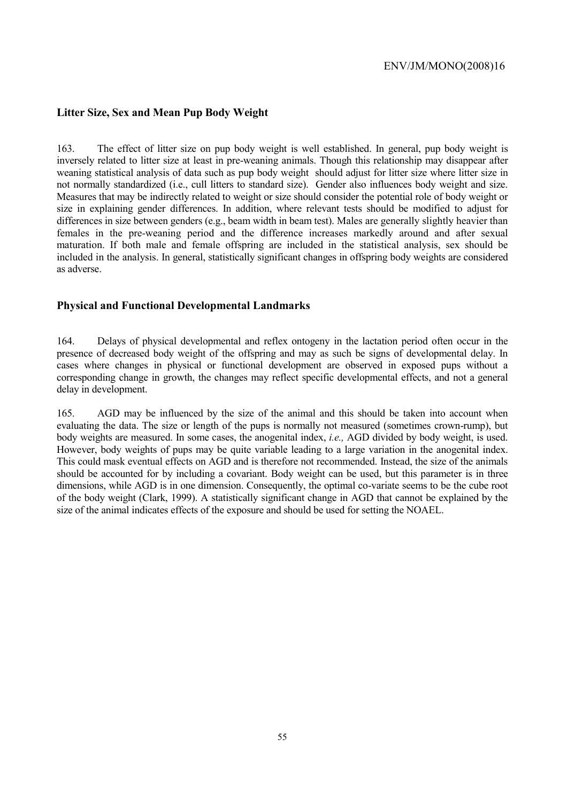## **Litter Size, Sex and Mean Pup Body Weight**

163. The effect of litter size on pup body weight is well established. In general, pup body weight is inversely related to litter size at least in pre-weaning animals. Though this relationship may disappear after weaning statistical analysis of data such as pup body weight should adjust for litter size where litter size in not normally standardized (i.e., cull litters to standard size). Gender also influences body weight and size. Measures that may be indirectly related to weight or size should consider the potential role of body weight or size in explaining gender differences. In addition, where relevant tests should be modified to adjust for differences in size between genders (e.g., beam width in beam test). Males are generally slightly heavier than females in the pre-weaning period and the difference increases markedly around and after sexual maturation. If both male and female offspring are included in the statistical analysis, sex should be included in the analysis. In general, statistically significant changes in offspring body weights are considered as adverse.

### **Physical and Functional Developmental Landmarks**

164. Delays of physical developmental and reflex ontogeny in the lactation period often occur in the presence of decreased body weight of the offspring and may as such be signs of developmental delay. In cases where changes in physical or functional development are observed in exposed pups without a corresponding change in growth, the changes may reflect specific developmental effects, and not a general delay in development.

165. AGD may be influenced by the size of the animal and this should be taken into account when evaluating the data. The size or length of the pups is normally not measured (sometimes crown-rump), but body weights are measured. In some cases, the anogenital index, *i.e.,* AGD divided by body weight, is used. However, body weights of pups may be quite variable leading to a large variation in the anogenital index. This could mask eventual effects on AGD and is therefore not recommended. Instead, the size of the animals should be accounted for by including a covariant. Body weight can be used, but this parameter is in three dimensions, while AGD is in one dimension. Consequently, the optimal co-variate seems to be the cube root of the body weight (Clark, 1999). A statistically significant change in AGD that cannot be explained by the size of the animal indicates effects of the exposure and should be used for setting the NOAEL.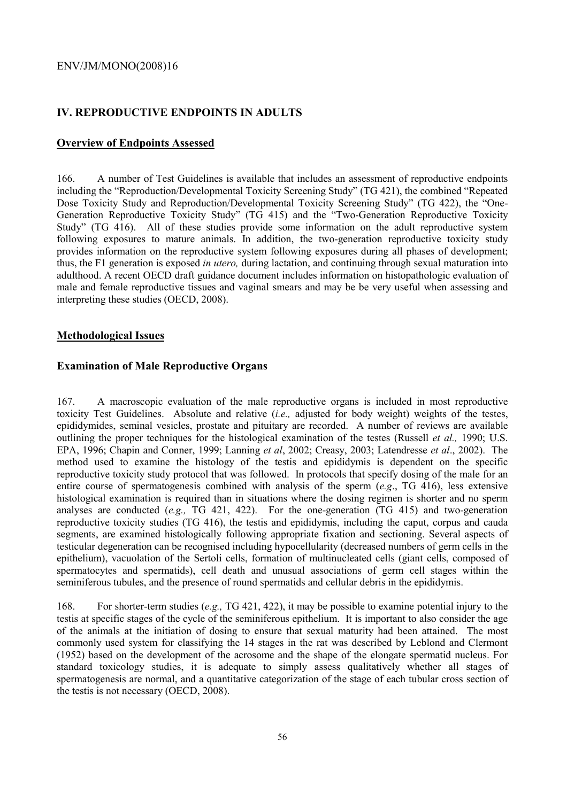# **IV. REPRODUCTIVE ENDPOINTS IN ADULTS**

## **Overview of Endpoints Assessed**

166. A number of Test Guidelines is available that includes an assessment of reproductive endpoints including the "Reproduction/Developmental Toxicity Screening Study" (TG 421), the combined "Repeated Dose Toxicity Study and Reproduction/Developmental Toxicity Screening Study" (TG 422), the "One-Generation Reproductive Toxicity Study" (TG 415) and the "Two-Generation Reproductive Toxicity Study" (TG 416). All of these studies provide some information on the adult reproductive system following exposures to mature animals. In addition, the two-generation reproductive toxicity study provides information on the reproductive system following exposures during all phases of development; thus, the F1 generation is exposed *in utero,* during lactation, and continuing through sexual maturation into adulthood. A recent OECD draft guidance document includes information on histopathologic evaluation of male and female reproductive tissues and vaginal smears and may be be very useful when assessing and interpreting these studies (OECD, 2008).

## **Methodological Issues**

## **Examination of Male Reproductive Organs**

167. A macroscopic evaluation of the male reproductive organs is included in most reproductive toxicity Test Guidelines. Absolute and relative (*i.e.,* adjusted for body weight) weights of the testes, epididymides, seminal vesicles, prostate and pituitary are recorded. A number of reviews are available outlining the proper techniques for the histological examination of the testes (Russell *et al.,* 1990; U.S. EPA, 1996; Chapin and Conner, 1999; Lanning *et al*, 2002; Creasy, 2003; Latendresse *et al*., 2002). The method used to examine the histology of the testis and epididymis is dependent on the specific reproductive toxicity study protocol that was followed. In protocols that specify dosing of the male for an entire course of spermatogenesis combined with analysis of the sperm (*e.g*., TG 416), less extensive histological examination is required than in situations where the dosing regimen is shorter and no sperm analyses are conducted (*e.g.,* TG 421, 422). For the one-generation (TG 415) and two-generation reproductive toxicity studies (TG 416), the testis and epididymis, including the caput, corpus and cauda segments, are examined histologically following appropriate fixation and sectioning. Several aspects of testicular degeneration can be recognised including hypocellularity (decreased numbers of germ cells in the epithelium), vacuolation of the Sertoli cells, formation of multinucleated cells (giant cells, composed of spermatocytes and spermatids), cell death and unusual associations of germ cell stages within the seminiferous tubules, and the presence of round spermatids and cellular debris in the epididymis.

168. For shorter-term studies (*e.g.,* TG 421, 422), it may be possible to examine potential injury to the testis at specific stages of the cycle of the seminiferous epithelium. It is important to also consider the age of the animals at the initiation of dosing to ensure that sexual maturity had been attained. The most commonly used system for classifying the 14 stages in the rat was described by Leblond and Clermont (1952) based on the development of the acrosome and the shape of the elongate spermatid nucleus. For standard toxicology studies, it is adequate to simply assess qualitatively whether all stages of spermatogenesis are normal, and a quantitative categorization of the stage of each tubular cross section of the testis is not necessary (OECD, 2008).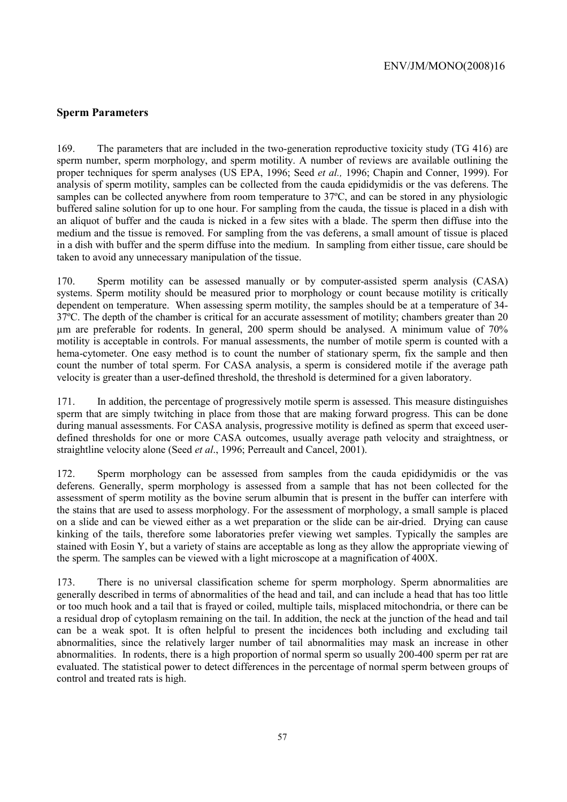## **Sperm Parameters**

169. The parameters that are included in the two-generation reproductive toxicity study (TG 416) are sperm number, sperm morphology, and sperm motility. A number of reviews are available outlining the proper techniques for sperm analyses (US EPA, 1996; Seed *et al.,* 1996; Chapin and Conner, 1999). For analysis of sperm motility, samples can be collected from the cauda epididymidis or the vas deferens. The samples can be collected anywhere from room temperature to 37<sup>o</sup>C, and can be stored in any physiologic buffered saline solution for up to one hour. For sampling from the cauda, the tissue is placed in a dish with an aliquot of buffer and the cauda is nicked in a few sites with a blade. The sperm then diffuse into the medium and the tissue is removed. For sampling from the vas deferens, a small amount of tissue is placed in a dish with buffer and the sperm diffuse into the medium. In sampling from either tissue, care should be taken to avoid any unnecessary manipulation of the tissue.

170. Sperm motility can be assessed manually or by computer-assisted sperm analysis (CASA) systems. Sperm motility should be measured prior to morphology or count because motility is critically dependent on temperature. When assessing sperm motility, the samples should be at a temperature of 34- 37ºC. The depth of the chamber is critical for an accurate assessment of motility; chambers greater than 20 µm are preferable for rodents. In general, 200 sperm should be analysed. A minimum value of 70% motility is acceptable in controls. For manual assessments, the number of motile sperm is counted with a hema-cytometer. One easy method is to count the number of stationary sperm, fix the sample and then count the number of total sperm. For CASA analysis, a sperm is considered motile if the average path velocity is greater than a user-defined threshold, the threshold is determined for a given laboratory.

171. In addition, the percentage of progressively motile sperm is assessed. This measure distinguishes sperm that are simply twitching in place from those that are making forward progress. This can be done during manual assessments. For CASA analysis, progressive motility is defined as sperm that exceed userdefined thresholds for one or more CASA outcomes, usually average path velocity and straightness, or straightline velocity alone (Seed *et al*., 1996; Perreault and Cancel, 2001).

172. Sperm morphology can be assessed from samples from the cauda epididymidis or the vas deferens. Generally, sperm morphology is assessed from a sample that has not been collected for the assessment of sperm motility as the bovine serum albumin that is present in the buffer can interfere with the stains that are used to assess morphology. For the assessment of morphology, a small sample is placed on a slide and can be viewed either as a wet preparation or the slide can be air-dried. Drying can cause kinking of the tails, therefore some laboratories prefer viewing wet samples. Typically the samples are stained with Eosin Y, but a variety of stains are acceptable as long as they allow the appropriate viewing of the sperm. The samples can be viewed with a light microscope at a magnification of 400X.

173. There is no universal classification scheme for sperm morphology. Sperm abnormalities are generally described in terms of abnormalities of the head and tail, and can include a head that has too little or too much hook and a tail that is frayed or coiled, multiple tails, misplaced mitochondria, or there can be a residual drop of cytoplasm remaining on the tail. In addition, the neck at the junction of the head and tail can be a weak spot. It is often helpful to present the incidences both including and excluding tail abnormalities, since the relatively larger number of tail abnormalities may mask an increase in other abnormalities. In rodents, there is a high proportion of normal sperm so usually 200-400 sperm per rat are evaluated. The statistical power to detect differences in the percentage of normal sperm between groups of control and treated rats is high.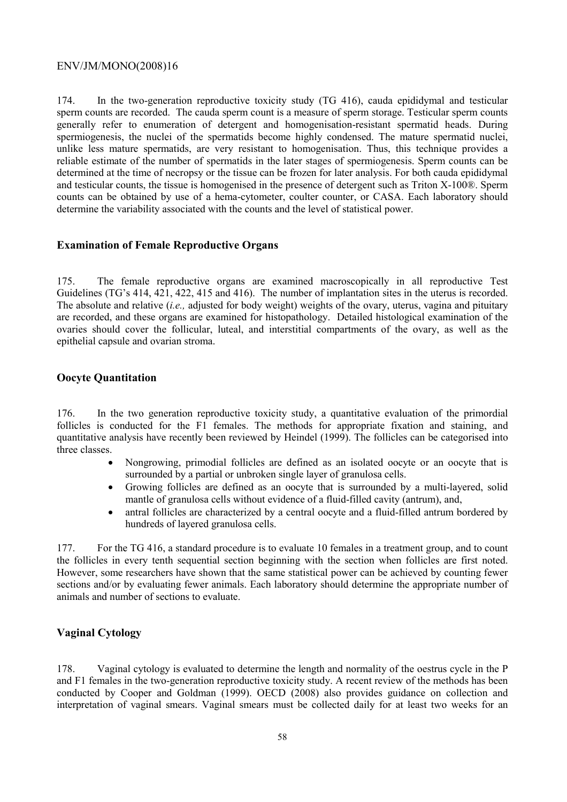174. In the two-generation reproductive toxicity study (TG 416), cauda epididymal and testicular sperm counts are recorded. The cauda sperm count is a measure of sperm storage. Testicular sperm counts generally refer to enumeration of detergent and homogenisation-resistant spermatid heads. During spermiogenesis, the nuclei of the spermatids become highly condensed. The mature spermatid nuclei, unlike less mature spermatids, are very resistant to homogenisation. Thus, this technique provides a reliable estimate of the number of spermatids in the later stages of spermiogenesis. Sperm counts can be determined at the time of necropsy or the tissue can be frozen for later analysis. For both cauda epididymal and testicular counts, the tissue is homogenised in the presence of detergent such as Triton X-100®. Sperm counts can be obtained by use of a hema-cytometer, coulter counter, or CASA. Each laboratory should determine the variability associated with the counts and the level of statistical power.

### **Examination of Female Reproductive Organs**

175. The female reproductive organs are examined macroscopically in all reproductive Test Guidelines (TG's 414, 421, 422, 415 and 416). The number of implantation sites in the uterus is recorded. The absolute and relative (*i.e.,* adjusted for body weight) weights of the ovary, uterus, vagina and pituitary are recorded, and these organs are examined for histopathology. Detailed histological examination of the ovaries should cover the follicular, luteal, and interstitial compartments of the ovary, as well as the epithelial capsule and ovarian stroma.

### **Oocyte Quantitation**

176. In the two generation reproductive toxicity study, a quantitative evaluation of the primordial follicles is conducted for the F1 females. The methods for appropriate fixation and staining, and quantitative analysis have recently been reviewed by Heindel (1999). The follicles can be categorised into three classes.

- Nongrowing, primodial follicles are defined as an isolated oocyte or an oocyte that is surrounded by a partial or unbroken single layer of granulosa cells.
- Growing follicles are defined as an oocyte that is surrounded by a multi-layered, solid mantle of granulosa cells without evidence of a fluid-filled cavity (antrum), and,
- antral follicles are characterized by a central oocyte and a fluid-filled antrum bordered by hundreds of layered granulosa cells.

177. For the TG 416, a standard procedure is to evaluate 10 females in a treatment group, and to count the follicles in every tenth sequential section beginning with the section when follicles are first noted. However, some researchers have shown that the same statistical power can be achieved by counting fewer sections and/or by evaluating fewer animals. Each laboratory should determine the appropriate number of animals and number of sections to evaluate.

# **Vaginal Cytology**

178. Vaginal cytology is evaluated to determine the length and normality of the oestrus cycle in the P and F1 females in the two-generation reproductive toxicity study. A recent review of the methods has been conducted by Cooper and Goldman (1999). OECD (2008) also provides guidance on collection and interpretation of vaginal smears. Vaginal smears must be collected daily for at least two weeks for an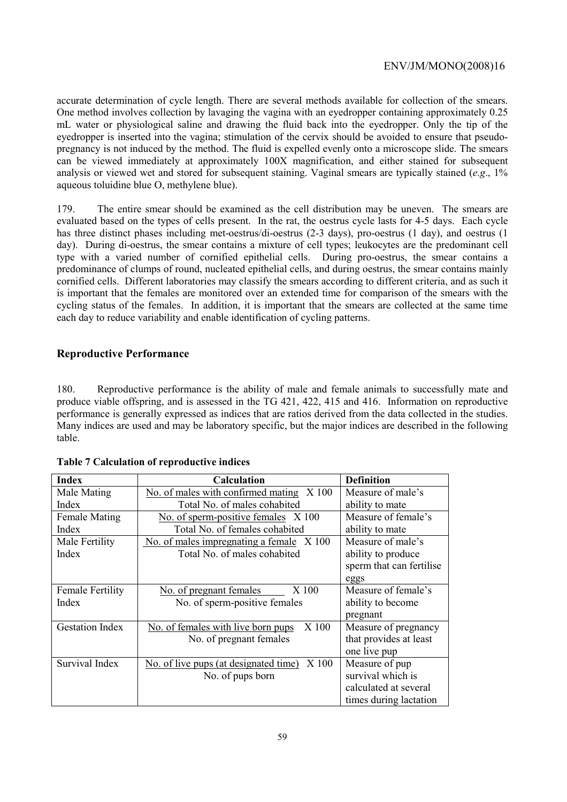accurate determination of cycle length. There are several methods available for collection of the smears. One method involves collection by lavaging the vagina with an eyedropper containing approximately 0.25 mL water or physiological saline and drawing the fluid back into the eyedropper. Only the tip of the eyedropper is inserted into the vagina; stimulation of the cervix should be avoided to ensure that pseudopregnancy is not induced by the method. The fluid is expelled evenly onto a microscope slide. The smears can be viewed immediately at approximately 100X magnification, and either stained for subsequent analysis or viewed wet and stored for subsequent staining. Vaginal smears are typically stained (*e.g*., 1% aqueous toluidine blue O, methylene blue).

179. The entire smear should be examined as the cell distribution may be uneven. The smears are evaluated based on the types of cells present. In the rat, the oestrus cycle lasts for 4-5 days. Each cycle has three distinct phases including met-oestrus/di-oestrus (2-3 days), pro-oestrus (1 day), and oestrus (1 day). During di-oestrus, the smear contains a mixture of cell types; leukocytes are the predominant cell type with a varied number of cornified epithelial cells. During pro-oestrus, the smear contains a predominance of clumps of round, nucleated epithelial cells, and during oestrus, the smear contains mainly cornified cells. Different laboratories may classify the smears according to different criteria, and as such it is important that the females are monitored over an extended time for comparison of the smears with the cycling status of the females. In addition, it is important that the smears are collected at the same time each day to reduce variability and enable identification of cycling patterns.

# **Reproductive Performance**

180. Reproductive performance is the ability of male and female animals to successfully mate and produce viable offspring, and is assessed in the TG 421, 422, 415 and 416. Information on reproductive performance is generally expressed as indices that are ratios derived from the data collected in the studies. Many indices are used and may be laboratory specific, but the major indices are described in the following table.

| <b>Index</b>            | <b>Calculation</b>                             | <b>Definition</b>        |
|-------------------------|------------------------------------------------|--------------------------|
| Male Mating             | No. of males with confirmed mating<br>X 100    | Measure of male's        |
| Index                   | Total No. of males cohabited                   | ability to mate          |
| <b>Female Mating</b>    | No. of sperm-positive females X 100            | Measure of female's      |
| Index                   | Total No. of females cohabited                 | ability to mate          |
| Male Fertility          | No. of males impregnating a female X 100       | Measure of male's        |
| Index                   | Total No. of males cohabited                   | ability to produce       |
|                         |                                                | sperm that can fertilise |
|                         |                                                | eggs                     |
| <b>Female Fertility</b> | No. of pregnant females<br>X 100               | Measure of female's      |
| Index                   | No. of sperm-positive females                  | ability to become        |
|                         |                                                | pregnant                 |
| <b>Gestation Index</b>  | X 100<br>No. of females with live born pups    | Measure of pregnancy     |
|                         | No. of pregnant females                        | that provides at least   |
|                         |                                                | one live pup             |
| Survival Index          | X 100<br>No. of live pups (at designated time) | Measure of pup           |
|                         | No. of pups born                               | survival which is        |
|                         |                                                | calculated at several    |
|                         |                                                | times during lactation   |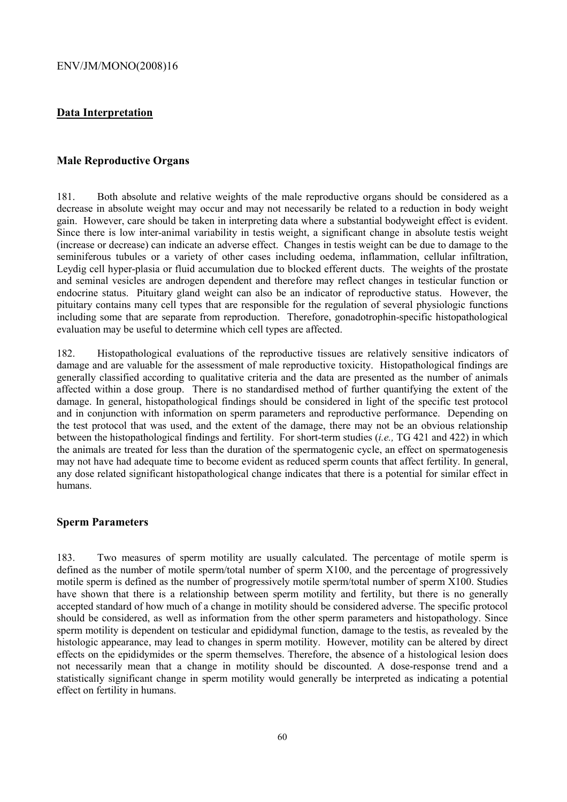## **Data Interpretation**

### **Male Reproductive Organs**

181. Both absolute and relative weights of the male reproductive organs should be considered as a decrease in absolute weight may occur and may not necessarily be related to a reduction in body weight gain. However, care should be taken in interpreting data where a substantial bodyweight effect is evident. Since there is low inter-animal variability in testis weight, a significant change in absolute testis weight (increase or decrease) can indicate an adverse effect. Changes in testis weight can be due to damage to the seminiferous tubules or a variety of other cases including oedema, inflammation, cellular infiltration, Leydig cell hyper-plasia or fluid accumulation due to blocked efferent ducts. The weights of the prostate and seminal vesicles are androgen dependent and therefore may reflect changes in testicular function or endocrine status. Pituitary gland weight can also be an indicator of reproductive status. However, the pituitary contains many cell types that are responsible for the regulation of several physiologic functions including some that are separate from reproduction. Therefore, gonadotrophin-specific histopathological evaluation may be useful to determine which cell types are affected.

182. Histopathological evaluations of the reproductive tissues are relatively sensitive indicators of damage and are valuable for the assessment of male reproductive toxicity. Histopathological findings are generally classified according to qualitative criteria and the data are presented as the number of animals affected within a dose group. There is no standardised method of further quantifying the extent of the damage. In general, histopathological findings should be considered in light of the specific test protocol and in conjunction with information on sperm parameters and reproductive performance. Depending on the test protocol that was used, and the extent of the damage, there may not be an obvious relationship between the histopathological findings and fertility. For short-term studies (*i.e.,* TG 421 and 422) in which the animals are treated for less than the duration of the spermatogenic cycle, an effect on spermatogenesis may not have had adequate time to become evident as reduced sperm counts that affect fertility. In general, any dose related significant histopathological change indicates that there is a potential for similar effect in humans.

#### **Sperm Parameters**

183. Two measures of sperm motility are usually calculated. The percentage of motile sperm is defined as the number of motile sperm/total number of sperm X100, and the percentage of progressively motile sperm is defined as the number of progressively motile sperm/total number of sperm X100. Studies have shown that there is a relationship between sperm motility and fertility, but there is no generally accepted standard of how much of a change in motility should be considered adverse. The specific protocol should be considered, as well as information from the other sperm parameters and histopathology. Since sperm motility is dependent on testicular and epididymal function, damage to the testis, as revealed by the histologic appearance, may lead to changes in sperm motility. However, motility can be altered by direct effects on the epididymides or the sperm themselves. Therefore, the absence of a histological lesion does not necessarily mean that a change in motility should be discounted. A dose-response trend and a statistically significant change in sperm motility would generally be interpreted as indicating a potential effect on fertility in humans.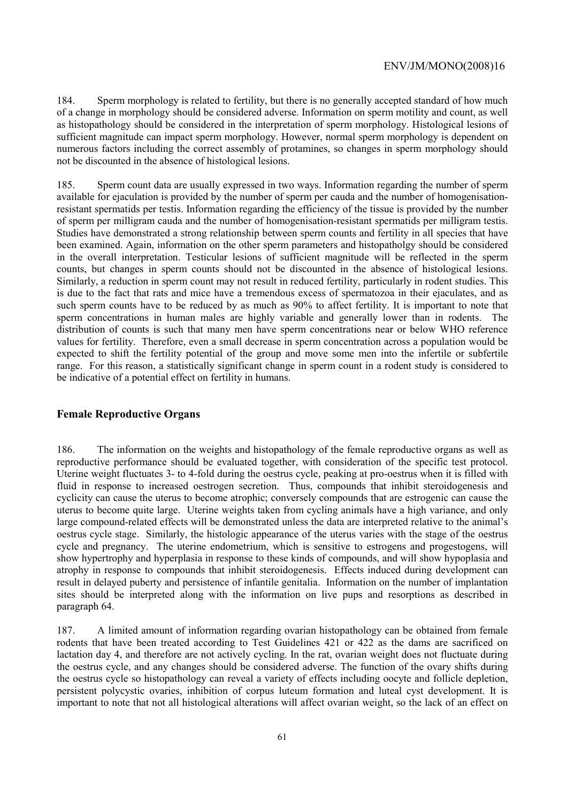184. Sperm morphology is related to fertility, but there is no generally accepted standard of how much of a change in morphology should be considered adverse. Information on sperm motility and count, as well as histopathology should be considered in the interpretation of sperm morphology. Histological lesions of sufficient magnitude can impact sperm morphology. However, normal sperm morphology is dependent on numerous factors including the correct assembly of protamines, so changes in sperm morphology should not be discounted in the absence of histological lesions.

185. Sperm count data are usually expressed in two ways. Information regarding the number of sperm available for ejaculation is provided by the number of sperm per cauda and the number of homogenisationresistant spermatids per testis. Information regarding the efficiency of the tissue is provided by the number of sperm per milligram cauda and the number of homogenisation-resistant spermatids per milligram testis. Studies have demonstrated a strong relationship between sperm counts and fertility in all species that have been examined. Again, information on the other sperm parameters and histopatholgy should be considered in the overall interpretation. Testicular lesions of sufficient magnitude will be reflected in the sperm counts, but changes in sperm counts should not be discounted in the absence of histological lesions. Similarly, a reduction in sperm count may not result in reduced fertility, particularly in rodent studies. This is due to the fact that rats and mice have a tremendous excess of spermatozoa in their ejaculates, and as such sperm counts have to be reduced by as much as 90% to affect fertility. It is important to note that sperm concentrations in human males are highly variable and generally lower than in rodents. The distribution of counts is such that many men have sperm concentrations near or below WHO reference values for fertility. Therefore, even a small decrease in sperm concentration across a population would be expected to shift the fertility potential of the group and move some men into the infertile or subfertile range. For this reason, a statistically significant change in sperm count in a rodent study is considered to be indicative of a potential effect on fertility in humans.

### **Female Reproductive Organs**

186. The information on the weights and histopathology of the female reproductive organs as well as reproductive performance should be evaluated together, with consideration of the specific test protocol. Uterine weight fluctuates 3- to 4-fold during the oestrus cycle, peaking at pro-oestrus when it is filled with fluid in response to increased oestrogen secretion. Thus, compounds that inhibit steroidogenesis and cyclicity can cause the uterus to become atrophic; conversely compounds that are estrogenic can cause the uterus to become quite large. Uterine weights taken from cycling animals have a high variance, and only large compound-related effects will be demonstrated unless the data are interpreted relative to the animal's oestrus cycle stage. Similarly, the histologic appearance of the uterus varies with the stage of the oestrus cycle and pregnancy. The uterine endometrium, which is sensitive to estrogens and progestogens, will show hypertrophy and hyperplasia in response to these kinds of compounds, and will show hypoplasia and atrophy in response to compounds that inhibit steroidogenesis. Effects induced during development can result in delayed puberty and persistence of infantile genitalia. Information on the number of implantation sites should be interpreted along with the information on live pups and resorptions as described in paragraph 64.

187. A limited amount of information regarding ovarian histopathology can be obtained from female rodents that have been treated according to Test Guidelines 421 or 422 as the dams are sacrificed on lactation day 4, and therefore are not actively cycling. In the rat, ovarian weight does not fluctuate during the oestrus cycle, and any changes should be considered adverse. The function of the ovary shifts during the oestrus cycle so histopathology can reveal a variety of effects including oocyte and follicle depletion, persistent polycystic ovaries, inhibition of corpus luteum formation and luteal cyst development. It is important to note that not all histological alterations will affect ovarian weight, so the lack of an effect on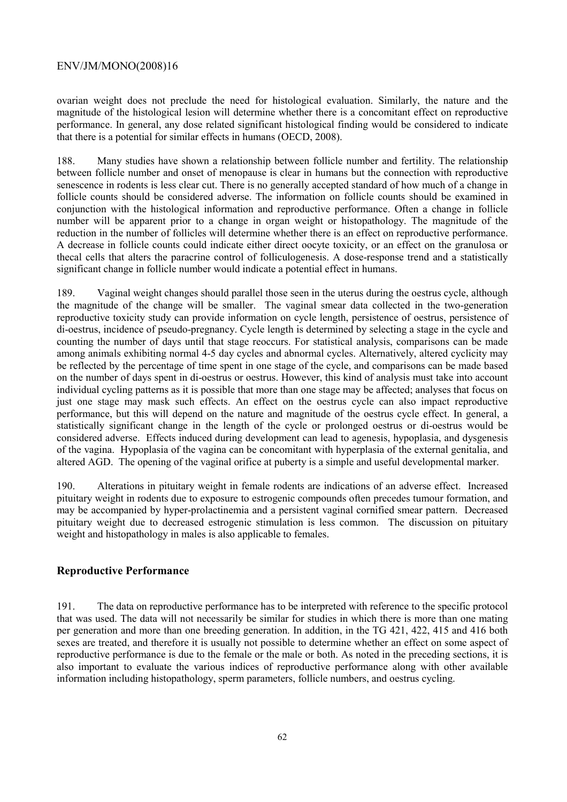ovarian weight does not preclude the need for histological evaluation. Similarly, the nature and the magnitude of the histological lesion will determine whether there is a concomitant effect on reproductive performance. In general, any dose related significant histological finding would be considered to indicate that there is a potential for similar effects in humans (OECD, 2008).

188. Many studies have shown a relationship between follicle number and fertility. The relationship between follicle number and onset of menopause is clear in humans but the connection with reproductive senescence in rodents is less clear cut. There is no generally accepted standard of how much of a change in follicle counts should be considered adverse. The information on follicle counts should be examined in conjunction with the histological information and reproductive performance. Often a change in follicle number will be apparent prior to a change in organ weight or histopathology. The magnitude of the reduction in the number of follicles will determine whether there is an effect on reproductive performance. A decrease in follicle counts could indicate either direct oocyte toxicity, or an effect on the granulosa or thecal cells that alters the paracrine control of folliculogenesis. A dose-response trend and a statistically significant change in follicle number would indicate a potential effect in humans.

189. Vaginal weight changes should parallel those seen in the uterus during the oestrus cycle, although the magnitude of the change will be smaller. The vaginal smear data collected in the two-generation reproductive toxicity study can provide information on cycle length, persistence of oestrus, persistence of di-oestrus, incidence of pseudo-pregnancy. Cycle length is determined by selecting a stage in the cycle and counting the number of days until that stage reoccurs. For statistical analysis, comparisons can be made among animals exhibiting normal 4-5 day cycles and abnormal cycles. Alternatively, altered cyclicity may be reflected by the percentage of time spent in one stage of the cycle, and comparisons can be made based on the number of days spent in di-oestrus or oestrus. However, this kind of analysis must take into account individual cycling patterns as it is possible that more than one stage may be affected; analyses that focus on just one stage may mask such effects. An effect on the oestrus cycle can also impact reproductive performance, but this will depend on the nature and magnitude of the oestrus cycle effect. In general, a statistically significant change in the length of the cycle or prolonged oestrus or di-oestrus would be considered adverse. Effects induced during development can lead to agenesis, hypoplasia, and dysgenesis of the vagina. Hypoplasia of the vagina can be concomitant with hyperplasia of the external genitalia, and altered AGD. The opening of the vaginal orifice at puberty is a simple and useful developmental marker.

190. Alterations in pituitary weight in female rodents are indications of an adverse effect. Increased pituitary weight in rodents due to exposure to estrogenic compounds often precedes tumour formation, and may be accompanied by hyper-prolactinemia and a persistent vaginal cornified smear pattern. Decreased pituitary weight due to decreased estrogenic stimulation is less common. The discussion on pituitary weight and histopathology in males is also applicable to females.

# **Reproductive Performance**

191. The data on reproductive performance has to be interpreted with reference to the specific protocol that was used. The data will not necessarily be similar for studies in which there is more than one mating per generation and more than one breeding generation. In addition, in the TG 421, 422, 415 and 416 both sexes are treated, and therefore it is usually not possible to determine whether an effect on some aspect of reproductive performance is due to the female or the male or both. As noted in the preceding sections, it is also important to evaluate the various indices of reproductive performance along with other available information including histopathology, sperm parameters, follicle numbers, and oestrus cycling.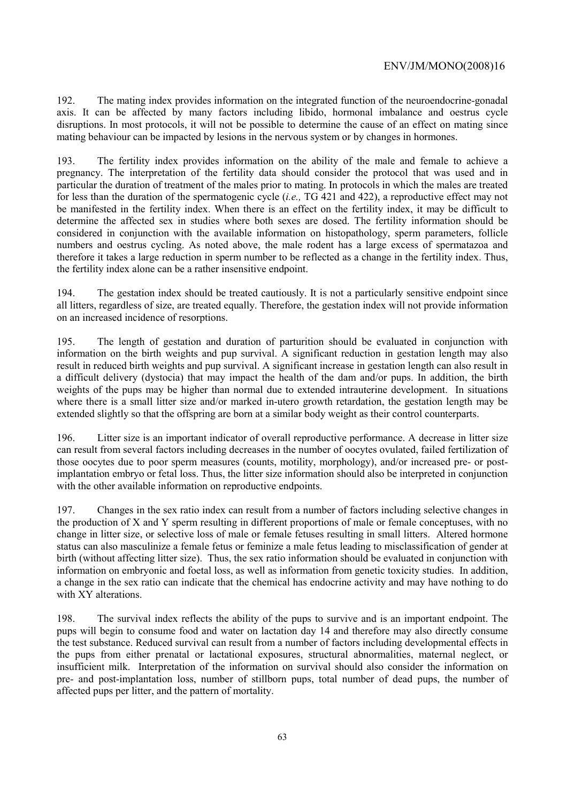192. The mating index provides information on the integrated function of the neuroendocrine-gonadal axis. It can be affected by many factors including libido, hormonal imbalance and oestrus cycle disruptions. In most protocols, it will not be possible to determine the cause of an effect on mating since mating behaviour can be impacted by lesions in the nervous system or by changes in hormones.

193. The fertility index provides information on the ability of the male and female to achieve a pregnancy. The interpretation of the fertility data should consider the protocol that was used and in particular the duration of treatment of the males prior to mating. In protocols in which the males are treated for less than the duration of the spermatogenic cycle (*i.e.,* TG 421 and 422), a reproductive effect may not be manifested in the fertility index. When there is an effect on the fertility index, it may be difficult to determine the affected sex in studies where both sexes are dosed. The fertility information should be considered in conjunction with the available information on histopathology, sperm parameters, follicle numbers and oestrus cycling. As noted above, the male rodent has a large excess of spermatazoa and therefore it takes a large reduction in sperm number to be reflected as a change in the fertility index. Thus, the fertility index alone can be a rather insensitive endpoint.

194. The gestation index should be treated cautiously. It is not a particularly sensitive endpoint since all litters, regardless of size, are treated equally. Therefore, the gestation index will not provide information on an increased incidence of resorptions.

195. The length of gestation and duration of parturition should be evaluated in conjunction with information on the birth weights and pup survival. A significant reduction in gestation length may also result in reduced birth weights and pup survival. A significant increase in gestation length can also result in a difficult delivery (dystocia) that may impact the health of the dam and/or pups. In addition, the birth weights of the pups may be higher than normal due to extended intrauterine development. In situations where there is a small litter size and/or marked in-utero growth retardation, the gestation length may be extended slightly so that the offspring are born at a similar body weight as their control counterparts.

196. Litter size is an important indicator of overall reproductive performance. A decrease in litter size can result from several factors including decreases in the number of oocytes ovulated, failed fertilization of those oocytes due to poor sperm measures (counts, motility, morphology), and/or increased pre- or postimplantation embryo or fetal loss. Thus, the litter size information should also be interpreted in conjunction with the other available information on reproductive endpoints.

197. Changes in the sex ratio index can result from a number of factors including selective changes in the production of X and Y sperm resulting in different proportions of male or female conceptuses, with no change in litter size, or selective loss of male or female fetuses resulting in small litters. Altered hormone status can also masculinize a female fetus or feminize a male fetus leading to misclassification of gender at birth (without affecting litter size). Thus, the sex ratio information should be evaluated in conjunction with information on embryonic and foetal loss, as well as information from genetic toxicity studies. In addition, a change in the sex ratio can indicate that the chemical has endocrine activity and may have nothing to do with XY alterations.

198. The survival index reflects the ability of the pups to survive and is an important endpoint. The pups will begin to consume food and water on lactation day 14 and therefore may also directly consume the test substance. Reduced survival can result from a number of factors including developmental effects in the pups from either prenatal or lactational exposures, structural abnormalities, maternal neglect, or insufficient milk. Interpretation of the information on survival should also consider the information on pre- and post-implantation loss, number of stillborn pups, total number of dead pups, the number of affected pups per litter, and the pattern of mortality.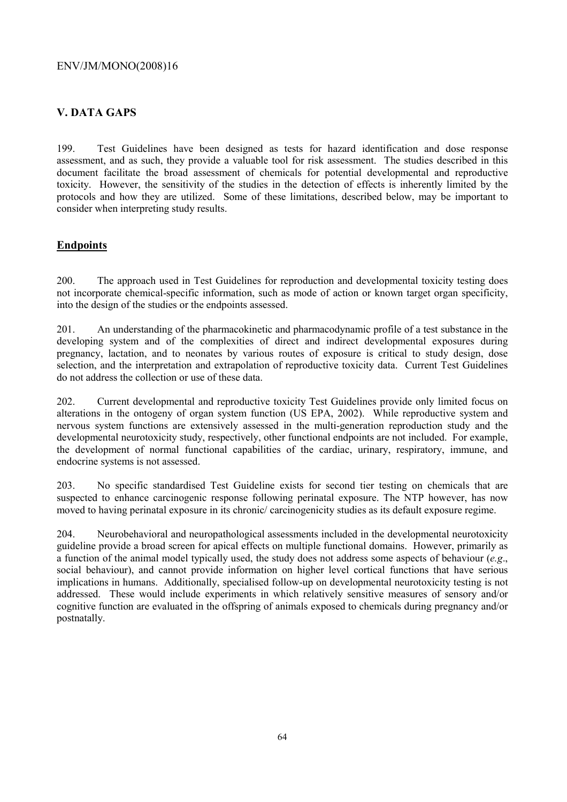# **V. DATA GAPS**

199. Test Guidelines have been designed as tests for hazard identification and dose response assessment, and as such, they provide a valuable tool for risk assessment. The studies described in this document facilitate the broad assessment of chemicals for potential developmental and reproductive toxicity. However, the sensitivity of the studies in the detection of effects is inherently limited by the protocols and how they are utilized. Some of these limitations, described below, may be important to consider when interpreting study results.

# **Endpoints**

200. The approach used in Test Guidelines for reproduction and developmental toxicity testing does not incorporate chemical-specific information, such as mode of action or known target organ specificity, into the design of the studies or the endpoints assessed.

201. An understanding of the pharmacokinetic and pharmacodynamic profile of a test substance in the developing system and of the complexities of direct and indirect developmental exposures during pregnancy, lactation, and to neonates by various routes of exposure is critical to study design, dose selection, and the interpretation and extrapolation of reproductive toxicity data. Current Test Guidelines do not address the collection or use of these data.

202. Current developmental and reproductive toxicity Test Guidelines provide only limited focus on alterations in the ontogeny of organ system function (US EPA, 2002). While reproductive system and nervous system functions are extensively assessed in the multi-generation reproduction study and the developmental neurotoxicity study, respectively, other functional endpoints are not included. For example, the development of normal functional capabilities of the cardiac, urinary, respiratory, immune, and endocrine systems is not assessed.

203. No specific standardised Test Guideline exists for second tier testing on chemicals that are suspected to enhance carcinogenic response following perinatal exposure. The NTP however, has now moved to having perinatal exposure in its chronic/ carcinogenicity studies as its default exposure regime.

204. Neurobehavioral and neuropathological assessments included in the developmental neurotoxicity guideline provide a broad screen for apical effects on multiple functional domains. However, primarily as a function of the animal model typically used, the study does not address some aspects of behaviour (*e.g*., social behaviour), and cannot provide information on higher level cortical functions that have serious implications in humans. Additionally, specialised follow-up on developmental neurotoxicity testing is not addressed. These would include experiments in which relatively sensitive measures of sensory and/or cognitive function are evaluated in the offspring of animals exposed to chemicals during pregnancy and/or postnatally.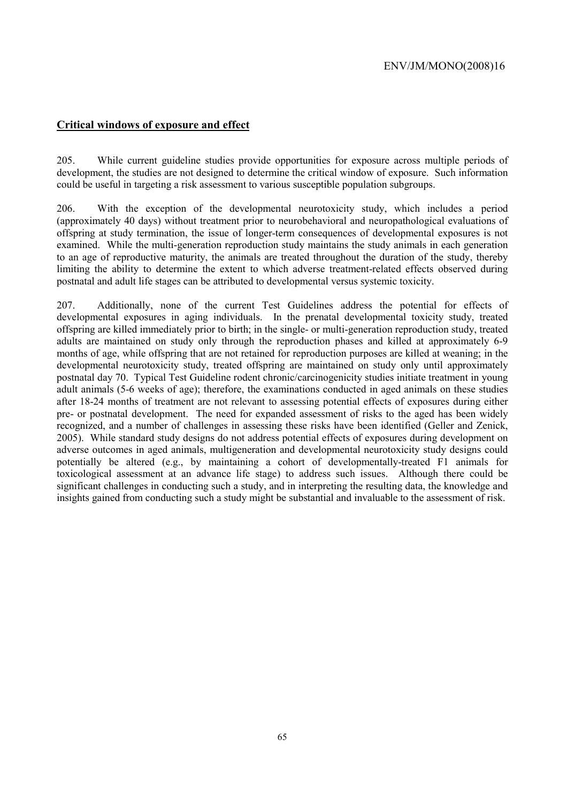# **Critical windows of exposure and effect**

205. While current guideline studies provide opportunities for exposure across multiple periods of development, the studies are not designed to determine the critical window of exposure. Such information could be useful in targeting a risk assessment to various susceptible population subgroups.

206. With the exception of the developmental neurotoxicity study, which includes a period (approximately 40 days) without treatment prior to neurobehavioral and neuropathological evaluations of offspring at study termination, the issue of longer-term consequences of developmental exposures is not examined. While the multi-generation reproduction study maintains the study animals in each generation to an age of reproductive maturity, the animals are treated throughout the duration of the study, thereby limiting the ability to determine the extent to which adverse treatment-related effects observed during postnatal and adult life stages can be attributed to developmental versus systemic toxicity.

207. Additionally, none of the current Test Guidelines address the potential for effects of developmental exposures in aging individuals. In the prenatal developmental toxicity study, treated offspring are killed immediately prior to birth; in the single- or multi-generation reproduction study, treated adults are maintained on study only through the reproduction phases and killed at approximately 6-9 months of age, while offspring that are not retained for reproduction purposes are killed at weaning; in the developmental neurotoxicity study, treated offspring are maintained on study only until approximately postnatal day 70. Typical Test Guideline rodent chronic/carcinogenicity studies initiate treatment in young adult animals (5-6 weeks of age); therefore, the examinations conducted in aged animals on these studies after 18-24 months of treatment are not relevant to assessing potential effects of exposures during either pre- or postnatal development. The need for expanded assessment of risks to the aged has been widely recognized, and a number of challenges in assessing these risks have been identified (Geller and Zenick, 2005). While standard study designs do not address potential effects of exposures during development on adverse outcomes in aged animals, multigeneration and developmental neurotoxicity study designs could potentially be altered (e.g., by maintaining a cohort of developmentally-treated F1 animals for toxicological assessment at an advance life stage) to address such issues. Although there could be significant challenges in conducting such a study, and in interpreting the resulting data, the knowledge and insights gained from conducting such a study might be substantial and invaluable to the assessment of risk.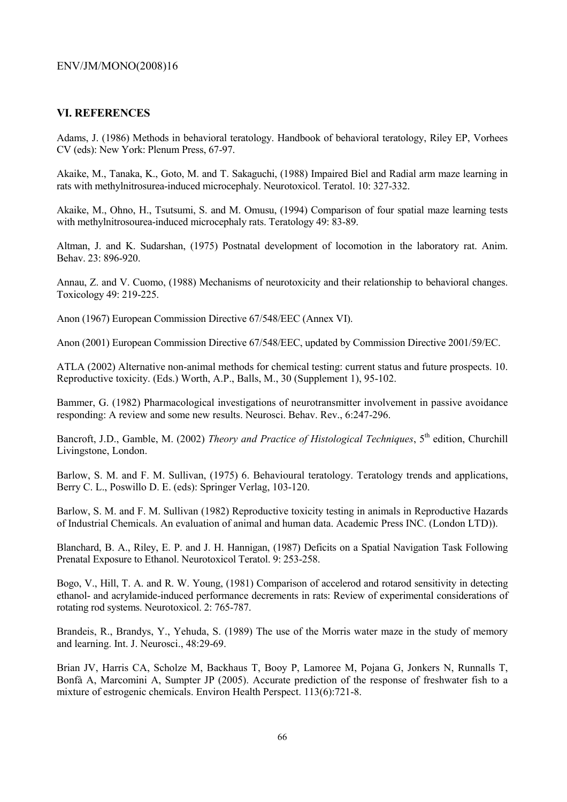## **VI. REFERENCES**

Adams, J. (1986) Methods in behavioral teratology. Handbook of behavioral teratology, Riley EP, Vorhees CV (eds): New York: Plenum Press, 67-97.

Akaike, M., Tanaka, K., Goto, M. and T. Sakaguchi, (1988) Impaired Biel and Radial arm maze learning in rats with methylnitrosurea-induced microcephaly. Neurotoxicol. Teratol. 10: 327-332.

Akaike, M., Ohno, H., Tsutsumi, S. and M. Omusu, (1994) Comparison of four spatial maze learning tests with methylnitrosourea-induced microcephaly rats. Teratology 49: 83-89.

Altman, J. and K. Sudarshan, (1975) Postnatal development of locomotion in the laboratory rat. Anim. Behav. 23: 896-920.

Annau, Z. and V. Cuomo, (1988) Mechanisms of neurotoxicity and their relationship to behavioral changes. Toxicology 49: 219-225.

Anon (1967) European Commission Directive 67/548/EEC (Annex VI).

Anon (2001) European Commission Directive 67/548/EEC, updated by Commission Directive 2001/59/EC.

ATLA (2002) Alternative non-animal methods for chemical testing: current status and future prospects. 10. Reproductive toxicity. (Eds.) Worth, A.P., Balls, M., 30 (Supplement 1), 95-102.

Bammer, G. (1982) Pharmacological investigations of neurotransmitter involvement in passive avoidance responding: A review and some new results. Neurosci. Behav. Rev., 6:247-296.

Bancroft, J.D., Gamble, M. (2002) *Theory and Practice of Histological Techniques*, 5<sup>th</sup> edition, Churchill Livingstone, London.

Barlow, S. M. and F. M. Sullivan, (1975) 6. Behavioural teratology. Teratology trends and applications, Berry C. L., Poswillo D. E. (eds): Springer Verlag, 103-120.

Barlow, S. M. and F. M. Sullivan (1982) Reproductive toxicity testing in animals in Reproductive Hazards of Industrial Chemicals. An evaluation of animal and human data. Academic Press INC. (London LTD)).

Blanchard, B. A., Riley, E. P. and J. H. Hannigan, (1987) Deficits on a Spatial Navigation Task Following Prenatal Exposure to Ethanol. Neurotoxicol Teratol. 9: 253-258.

Bogo, V., Hill, T. A. and R. W. Young, (1981) Comparison of accelerod and rotarod sensitivity in detecting ethanol- and acrylamide-induced performance decrements in rats: Review of experimental considerations of rotating rod systems. Neurotoxicol. 2: 765-787.

Brandeis, R., Brandys, Y., Yehuda, S. (1989) The use of the Morris water maze in the study of memory and learning. Int. J. Neurosci., 48:29-69.

Brian JV, Harris CA, Scholze M, Backhaus T, Booy P, Lamoree M, Pojana G, Jonkers N, Runnalls T, Bonfà A, Marcomini A, Sumpter JP (2005). Accurate prediction of the response of freshwater fish to a mixture of estrogenic chemicals. Environ Health Perspect. 113(6):721-8.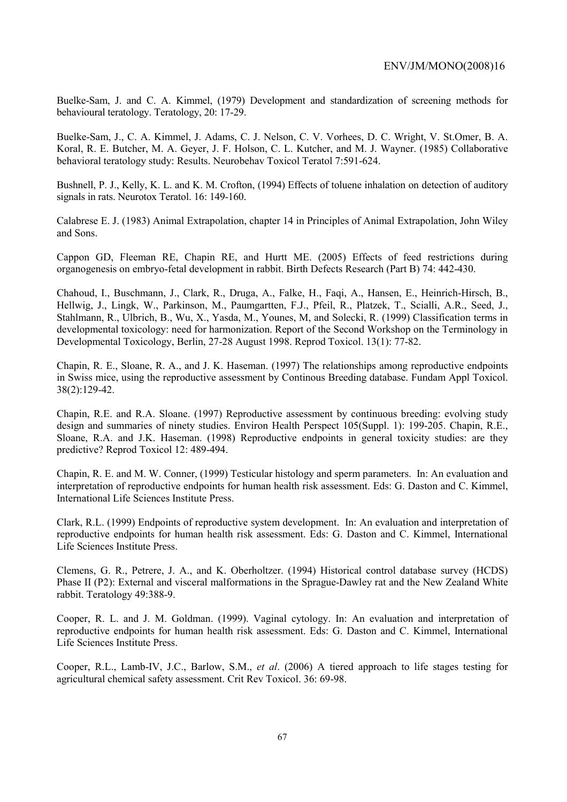Buelke-Sam, J. and C. A. Kimmel, (1979) Development and standardization of screening methods for behavioural teratology. Teratology, 20: 17-29.

Buelke-Sam, J., C. A. Kimmel, J. Adams, C. J. Nelson, C. V. Vorhees, D. C. Wright, V. St.Omer, B. A. Koral, R. E. Butcher, M. A. Geyer, J. F. Holson, C. L. Kutcher, and M. J. Wayner. (1985) Collaborative behavioral teratology study: Results. Neurobehav Toxicol Teratol 7:591-624.

Bushnell, P. J., Kelly, K. L. and K. M. Crofton, (1994) Effects of toluene inhalation on detection of auditory signals in rats. Neurotox Teratol. 16: 149-160.

Calabrese E. J. (1983) Animal Extrapolation, chapter 14 in Principles of Animal Extrapolation, John Wiley and Sons.

Cappon GD, Fleeman RE, Chapin RE, and Hurtt ME. (2005) Effects of feed restrictions during organogenesis on embryo-fetal development in rabbit. Birth Defects Research (Part B) 74: 442-430.

Chahoud, I., Buschmann, J., Clark, R., Druga, A., Falke, H., Faqi, A., Hansen, E., Heinrich-Hirsch, B., Hellwig, J., Lingk, W., Parkinson, M., Paumgartten, F.J., Pfeil, R., Platzek, T., Scialli, A.R., Seed, J., Stahlmann, R., Ulbrich, B., Wu, X., Yasda, M., Younes, M, and Solecki, R. (1999) Classification terms in developmental toxicology: need for harmonization. Report of the Second Workshop on the Terminology in Developmental Toxicology, Berlin, 27-28 August 1998. Reprod Toxicol. 13(1): 77-82.

Chapin, R. E., Sloane, R. A., and J. K. Haseman. (1997) The relationships among reproductive endpoints in Swiss mice, using the reproductive assessment by Continous Breeding database. Fundam Appl Toxicol. 38(2):129-42.

Chapin, R.E. and R.A. Sloane. (1997) Reproductive assessment by continuous breeding: evolving study design and summaries of ninety studies. Environ Health Perspect 105(Suppl. 1): 199-205. Chapin, R.E., Sloane, R.A. and J.K. Haseman. (1998) Reproductive endpoints in general toxicity studies: are they predictive? Reprod Toxicol 12: 489-494.

Chapin, R. E. and M. W. Conner, (1999) Testicular histology and sperm parameters. In: An evaluation and interpretation of reproductive endpoints for human health risk assessment. Eds: G. Daston and C. Kimmel, International Life Sciences Institute Press.

Clark, R.L. (1999) Endpoints of reproductive system development. In: An evaluation and interpretation of reproductive endpoints for human health risk assessment. Eds: G. Daston and C. Kimmel, International Life Sciences Institute Press.

Clemens, G. R., Petrere, J. A., and K. Oberholtzer. (1994) Historical control database survey (HCDS) Phase II (P2): External and visceral malformations in the Sprague-Dawley rat and the New Zealand White rabbit. Teratology 49:388-9.

Cooper, R. L. and J. M. Goldman. (1999). Vaginal cytology. In: An evaluation and interpretation of reproductive endpoints for human health risk assessment. Eds: G. Daston and C. Kimmel, International Life Sciences Institute Press.

Cooper, R.L., Lamb-IV, J.C., Barlow, S.M., *et al*. (2006) A tiered approach to life stages testing for agricultural chemical safety assessment. Crit Rev Toxicol. 36: 69-98.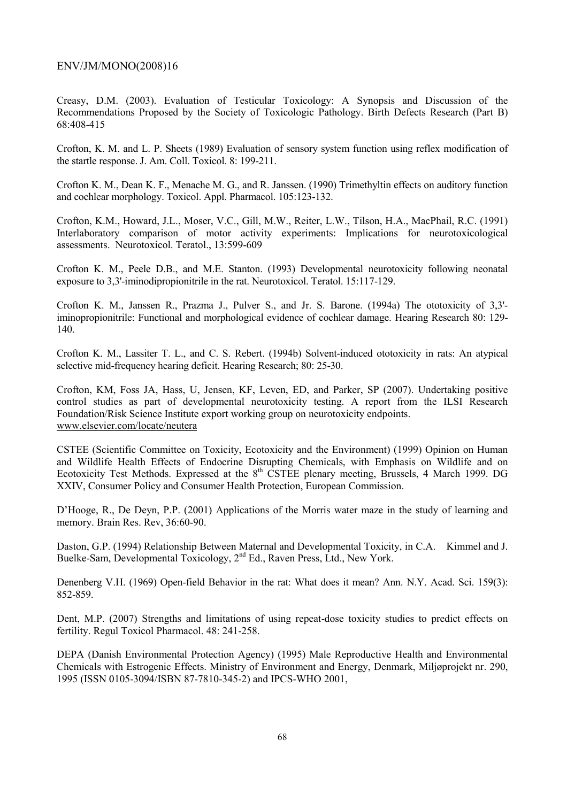Creasy, D.M. (2003). Evaluation of Testicular Toxicology: A Synopsis and Discussion of the Recommendations Proposed by the Society of Toxicologic Pathology. Birth Defects Research (Part B) 68:408-415

Crofton, K. M. and L. P. Sheets (1989) Evaluation of sensory system function using reflex modification of the startle response. J. Am. Coll. Toxicol. 8: 199-211.

Crofton K. M., Dean K. F., Menache M. G., and R. Janssen. (1990) Trimethyltin effects on auditory function and cochlear morphology. Toxicol. Appl. Pharmacol. 105:123-132.

Crofton, K.M., Howard, J.L., Moser, V.C., Gill, M.W., Reiter, L.W., Tilson, H.A., MacPhail, R.C. (1991) Interlaboratory comparison of motor activity experiments: Implications for neurotoxicological assessments. Neurotoxicol. Teratol., 13:599-609

Crofton K. M., Peele D.B., and M.E. Stanton. (1993) Developmental neurotoxicity following neonatal exposure to 3,3'-iminodipropionitrile in the rat. Neurotoxicol. Teratol. 15:117-129.

Crofton K. M., Janssen R., Prazma J., Pulver S., and Jr. S. Barone. (1994a) The ototoxicity of 3,3' iminopropionitrile: Functional and morphological evidence of cochlear damage. Hearing Research 80: 129- 140.

Crofton K. M., Lassiter T. L., and C. S. Rebert. (1994b) Solvent-induced ototoxicity in rats: An atypical selective mid-frequency hearing deficit. Hearing Research; 80: 25-30.

Crofton, KM, Foss JA, Hass, U, Jensen, KF, Leven, ED, and Parker, SP (2007). Undertaking positive control studies as part of developmental neurotoxicity testing. A report from the ILSI Research Foundation/Risk Science Institute export working group on neurotoxicity endpoints. www.elsevier.com/locate/neutera

CSTEE (Scientific Committee on Toxicity, Ecotoxicity and the Environment) (1999) Opinion on Human and Wildlife Health Effects of Endocrine Disrupting Chemicals, with Emphasis on Wildlife and on Ecotoxicity Test Methods. Expressed at the 8<sup>th</sup> CSTEE plenary meeting, Brussels, 4 March 1999. DG XXIV, Consumer Policy and Consumer Health Protection, European Commission.

D'Hooge, R., De Deyn, P.P. (2001) Applications of the Morris water maze in the study of learning and memory. Brain Res. Rev, 36:60-90.

Daston, G.P. (1994) Relationship Between Maternal and Developmental Toxicity, in C.A. Kimmel and J. Buelke-Sam, Developmental Toxicology, 2<sup>nd</sup> Ed., Raven Press, Ltd., New York.

Denenberg V.H. (1969) Open-field Behavior in the rat: What does it mean? Ann. N.Y. Acad. Sci. 159(3): 852-859.

Dent, M.P. (2007) Strengths and limitations of using repeat-dose toxicity studies to predict effects on fertility. Regul Toxicol Pharmacol. 48: 241-258.

DEPA (Danish Environmental Protection Agency) (1995) Male Reproductive Health and Environmental Chemicals with Estrogenic Effects. Ministry of Environment and Energy, Denmark, Miljøprojekt nr. 290, 1995 (ISSN 0105-3094/ISBN 87-7810-345-2) and IPCS-WHO 2001,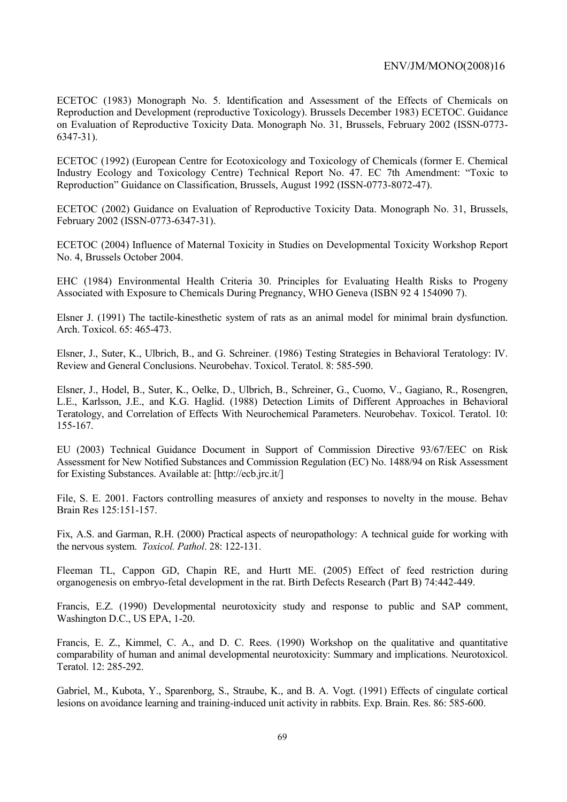ECETOC (1983) Monograph No. 5. Identification and Assessment of the Effects of Chemicals on Reproduction and Development (reproductive Toxicology). Brussels December 1983) ECETOC. Guidance on Evaluation of Reproductive Toxicity Data. Monograph No. 31, Brussels, February 2002 (ISSN-0773- 6347-31).

ECETOC (1992) (European Centre for Ecotoxicology and Toxicology of Chemicals (former E. Chemical Industry Ecology and Toxicology Centre) Technical Report No. 47. EC 7th Amendment: "Toxic to Reproduction" Guidance on Classification, Brussels, August 1992 (ISSN-0773-8072-47).

ECETOC (2002) Guidance on Evaluation of Reproductive Toxicity Data. Monograph No. 31, Brussels, February 2002 (ISSN-0773-6347-31).

ECETOC (2004) Influence of Maternal Toxicity in Studies on Developmental Toxicity Workshop Report No. 4, Brussels October 2004.

EHC (1984) Environmental Health Criteria 30. Principles for Evaluating Health Risks to Progeny Associated with Exposure to Chemicals During Pregnancy, WHO Geneva (ISBN 92 4 154090 7).

Elsner J. (1991) The tactile-kinesthetic system of rats as an animal model for minimal brain dysfunction. Arch. Toxicol. 65: 465-473.

Elsner, J., Suter, K., Ulbrich, B., and G. Schreiner. (1986) Testing Strategies in Behavioral Teratology: IV. Review and General Conclusions. Neurobehav. Toxicol. Teratol. 8: 585-590.

Elsner, J., Hodel, B., Suter, K., Oelke, D., Ulbrich, B., Schreiner, G., Cuomo, V., Gagiano, R., Rosengren, L.E., Karlsson, J.E., and K.G. Haglid. (1988) Detection Limits of Different Approaches in Behavioral Teratology, and Correlation of Effects With Neurochemical Parameters. Neurobehav. Toxicol. Teratol. 10: 155-167.

EU (2003) Technical Guidance Document in Support of Commission Directive 93/67/EEC on Risk Assessment for New Notified Substances and Commission Regulation (EC) No. 1488/94 on Risk Assessment for Existing Substances. Available at: [http://ecb.jrc.it/]

File, S. E. 2001. Factors controlling measures of anxiety and responses to novelty in the mouse. Behav Brain Res 125:151-157.

Fix, A.S. and Garman, R.H. (2000) Practical aspects of neuropathology: A technical guide for working with the nervous system. *Toxicol. Pathol*. 28: 122-131.

Fleeman TL, Cappon GD, Chapin RE, and Hurtt ME. (2005) Effect of feed restriction during organogenesis on embryo-fetal development in the rat. Birth Defects Research (Part B) 74:442-449.

Francis, E.Z. (1990) Developmental neurotoxicity study and response to public and SAP comment, Washington D.C., US EPA, 1-20.

Francis, E. Z., Kimmel, C. A., and D. C. Rees. (1990) Workshop on the qualitative and quantitative comparability of human and animal developmental neurotoxicity: Summary and implications. Neurotoxicol. Teratol. 12: 285-292.

Gabriel, M., Kubota, Y., Sparenborg, S., Straube, K., and B. A. Vogt. (1991) Effects of cingulate cortical lesions on avoidance learning and training-induced unit activity in rabbits. Exp. Brain. Res. 86: 585-600.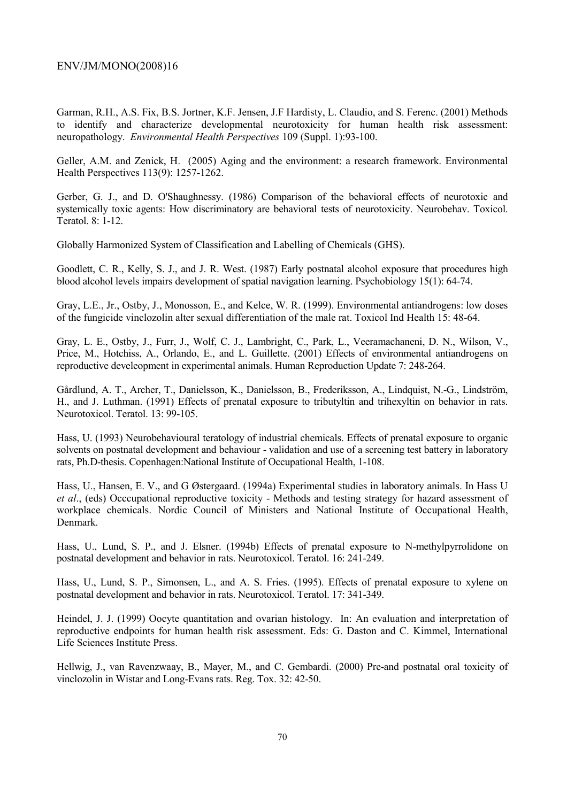Garman, R.H., A.S. Fix, B.S. Jortner, K.F. Jensen, J.F Hardisty, L. Claudio, and S. Ferenc. (2001) Methods to identify and characterize developmental neurotoxicity for human health risk assessment: neuropathology. *Environmental Health Perspectives* 109 (Suppl. 1):93-100.

Geller, A.M. and Zenick, H. (2005) Aging and the environment: a research framework. Environmental Health Perspectives 113(9): 1257-1262.

Gerber, G. J., and D. O'Shaughnessy. (1986) Comparison of the behavioral effects of neurotoxic and systemically toxic agents: How discriminatory are behavioral tests of neurotoxicity. Neurobehav. Toxicol. Teratol. 8: 1-12.

Globally Harmonized System of Classification and Labelling of Chemicals (GHS).

Goodlett, C. R., Kelly, S. J., and J. R. West. (1987) Early postnatal alcohol exposure that procedures high blood alcohol levels impairs development of spatial navigation learning. Psychobiology 15(1): 64-74.

Gray, L.E., Jr., Ostby, J., Monosson, E., and Kelce, W. R. (1999). Environmental antiandrogens: low doses of the fungicide vinclozolin alter sexual differentiation of the male rat. Toxicol Ind Health 15: 48-64.

Gray, L. E., Ostby, J., Furr, J., Wolf, C. J., Lambright, C., Park, L., Veeramachaneni, D. N., Wilson, V., Price, M., Hotchiss, A., Orlando, E., and L. Guillette. (2001) Effects of environmental antiandrogens on reproductive develeopment in experimental animals. Human Reproduction Update 7: 248-264.

Gårdlund, A. T., Archer, T., Danielsson, K., Danielsson, B., Frederiksson, A., Lindquist, N.-G., Lindström, H., and J. Luthman. (1991) Effects of prenatal exposure to tributyltin and trihexyltin on behavior in rats. Neurotoxicol. Teratol. 13: 99-105.

Hass, U. (1993) Neurobehavioural teratology of industrial chemicals. Effects of prenatal exposure to organic solvents on postnatal development and behaviour - validation and use of a screening test battery in laboratory rats, Ph.D-thesis. Copenhagen:National Institute of Occupational Health, 1-108.

Hass, U., Hansen, E. V., and G Østergaard. (1994a) Experimental studies in laboratory animals. In Hass U *et al*., (eds) Occcupational reproductive toxicity - Methods and testing strategy for hazard assessment of workplace chemicals. Nordic Council of Ministers and National Institute of Occupational Health, Denmark.

Hass, U., Lund, S. P., and J. Elsner. (1994b) Effects of prenatal exposure to N-methylpyrrolidone on postnatal development and behavior in rats. Neurotoxicol. Teratol. 16: 241-249.

Hass, U., Lund, S. P., Simonsen, L., and A. S. Fries. (1995). Effects of prenatal exposure to xylene on postnatal development and behavior in rats. Neurotoxicol. Teratol. 17: 341-349.

Heindel, J. J. (1999) Oocyte quantitation and ovarian histology. In: An evaluation and interpretation of reproductive endpoints for human health risk assessment. Eds: G. Daston and C. Kimmel, International Life Sciences Institute Press.

Hellwig, J., van Ravenzwaay, B., Mayer, M., and C. Gembardi. (2000) Pre-and postnatal oral toxicity of vinclozolin in Wistar and Long-Evans rats. Reg. Tox. 32: 42-50.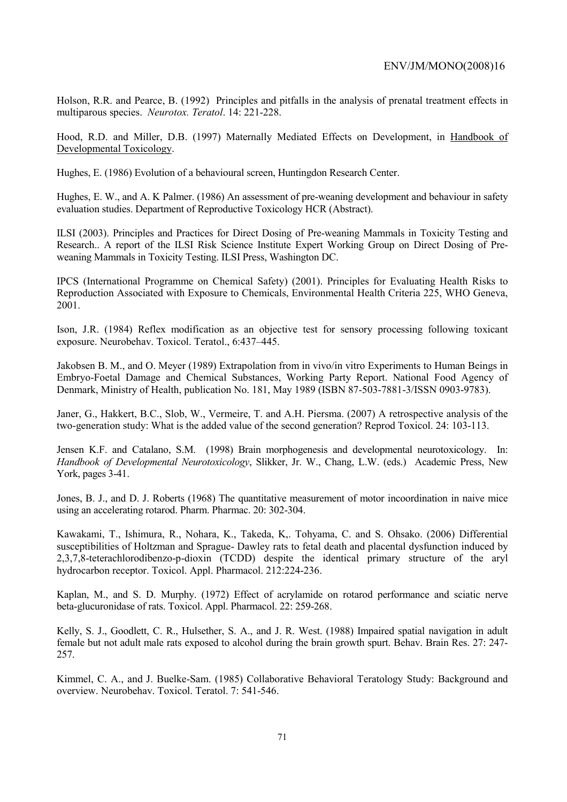Holson, R.R. and Pearce, B. (1992) Principles and pitfalls in the analysis of prenatal treatment effects in multiparous species. *Neurotox. Teratol*. 14: 221-228.

Hood, R.D. and Miller, D.B. (1997) Maternally Mediated Effects on Development, in Handbook of Developmental Toxicology.

Hughes, E. (1986) Evolution of a behavioural screen, Huntingdon Research Center.

Hughes, E. W., and A. K Palmer. (1986) An assessment of pre-weaning development and behaviour in safety evaluation studies. Department of Reproductive Toxicology HCR (Abstract).

ILSI (2003). Principles and Practices for Direct Dosing of Pre-weaning Mammals in Toxicity Testing and Research.. A report of the ILSI Risk Science Institute Expert Working Group on Direct Dosing of Preweaning Mammals in Toxicity Testing. ILSI Press, Washington DC.

IPCS (International Programme on Chemical Safety) (2001). Principles for Evaluating Health Risks to Reproduction Associated with Exposure to Chemicals, Environmental Health Criteria 225, WHO Geneva, 2001.

Ison, J.R. (1984) Reflex modification as an objective test for sensory processing following toxicant exposure. Neurobehav. Toxicol. Teratol., 6:437–445.

Jakobsen B. M., and O. Meyer (1989) Extrapolation from in vivo/in vitro Experiments to Human Beings in Embryo-Foetal Damage and Chemical Substances, Working Party Report. National Food Agency of Denmark, Ministry of Health, publication No. 181, May 1989 (ISBN 87-503-7881-3/ISSN 0903-9783).

Janer, G., Hakkert, B.C., Slob, W., Vermeire, T. and A.H. Piersma. (2007) A retrospective analysis of the two-generation study: What is the added value of the second generation? Reprod Toxicol. 24: 103-113.

Jensen K.F. and Catalano, S.M. (1998) Brain morphogenesis and developmental neurotoxicology. In: *Handbook of Developmental Neurotoxicology*, Slikker, Jr. W., Chang, L.W. (eds.) Academic Press, New York, pages 3-41.

Jones, B. J., and D. J. Roberts (1968) The quantitative measurement of motor incoordination in naive mice using an accelerating rotarod. Pharm. Pharmac. 20: 302-304.

Kawakami, T., Ishimura, R., Nohara, K., Takeda, K,. Tohyama, C. and S. Ohsako. (2006) Differential susceptibilities of Holtzman and Sprague- Dawley rats to fetal death and placental dysfunction induced by 2,3,7,8-teterachlorodibenzo-p-dioxin (TCDD) despite the identical primary structure of the aryl hydrocarbon receptor. Toxicol. Appl. Pharmacol. 212:224-236.

Kaplan, M., and S. D. Murphy. (1972) Effect of acrylamide on rotarod performance and sciatic nerve beta-glucuronidase of rats. Toxicol. Appl. Pharmacol. 22: 259-268.

Kelly, S. J., Goodlett, C. R., Hulsether, S. A., and J. R. West. (1988) Impaired spatial navigation in adult female but not adult male rats exposed to alcohol during the brain growth spurt. Behav. Brain Res. 27: 247- 257.

Kimmel, C. A., and J. Buelke-Sam. (1985) Collaborative Behavioral Teratology Study: Background and overview. Neurobehav. Toxicol. Teratol. 7: 541-546.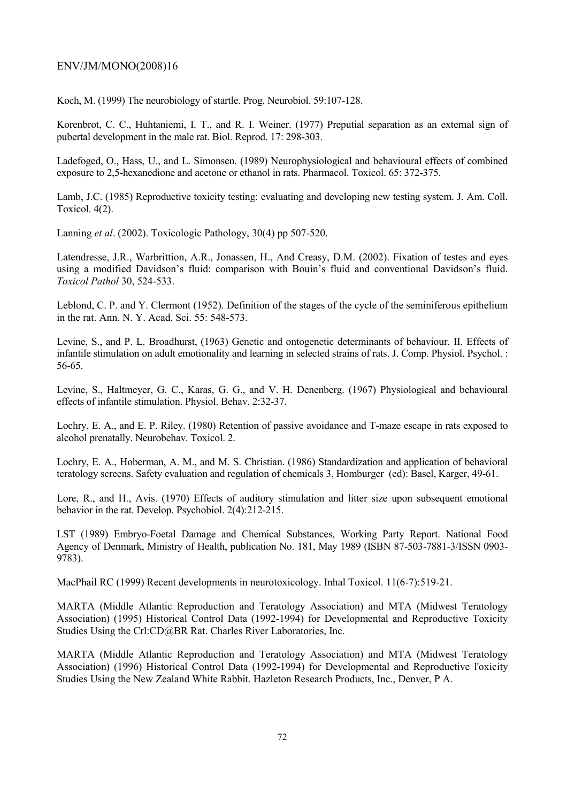Koch, M. (1999) The neurobiology of startle. Prog. Neurobiol. 59:107-128.

Korenbrot, C. C., Huhtaniemi, I. T., and R. I. Weiner. (1977) Preputial separation as an external sign of pubertal development in the male rat. Biol. Reprod. 17: 298-303.

Ladefoged, O., Hass, U., and L. Simonsen. (1989) Neurophysiological and behavioural effects of combined exposure to 2,5-hexanedione and acetone or ethanol in rats. Pharmacol. Toxicol. 65: 372-375.

Lamb, J.C. (1985) Reproductive toxicity testing: evaluating and developing new testing system. J. Am. Coll. Toxicol. 4(2).

Lanning *et al*. (2002). Toxicologic Pathology, 30(4) pp 507-520.

Latendresse, J.R., Warbrittion, A.R., Jonassen, H., And Creasy, D.M. (2002). Fixation of testes and eyes using a modified Davidson's fluid: comparison with Bouin's fluid and conventional Davidson's fluid. *Toxicol Pathol* 30, 524-533.

Leblond, C. P. and Y. Clermont (1952). Definition of the stages of the cycle of the seminiferous epithelium in the rat. Ann. N. Y. Acad. Sci. 55: 548-573.

Levine, S., and P. L. Broadhurst, (1963) Genetic and ontogenetic determinants of behaviour. II. Effects of infantile stimulation on adult emotionality and learning in selected strains of rats. J. Comp. Physiol. Psychol. : 56-65.

Levine, S., Haltmeyer, G. C., Karas, G. G., and V. H. Denenberg. (1967) Physiological and behavioural effects of infantile stimulation. Physiol. Behav. 2:32-37.

Lochry, E. A., and E. P. Riley. (1980) Retention of passive avoidance and T-maze escape in rats exposed to alcohol prenatally. Neurobehav. Toxicol. 2.

Lochry, E. A., Hoberman, A. M., and M. S. Christian. (1986) Standardization and application of behavioral teratology screens. Safety evaluation and regulation of chemicals 3, Homburger (ed): Basel, Karger, 49-61.

Lore, R., and H., Avis. (1970) Effects of auditory stimulation and litter size upon subsequent emotional behavior in the rat. Develop. Psychobiol. 2(4):212-215.

LST (1989) Embryo-Foetal Damage and Chemical Substances, Working Party Report. National Food Agency of Denmark, Ministry of Health, publication No. 181, May 1989 (ISBN 87-503-7881-3/ISSN 0903- 9783).

MacPhail RC (1999) Recent developments in neurotoxicology. Inhal Toxicol. 11(6-7):519-21.

MARTA (Middle Atlantic Reproduction and Teratology Association) and MTA (Midwest Teratology Association) (1995) Historical Control Data (1992-1994) for Developmental and Reproductive Toxicity Studies Using the Crl:CD@BR Rat. Charles River Laboratories, Inc.

MARTA (Middle Atlantic Reproduction and Teratology Association) and MTA (Midwest Teratology Association) (1996) Historical Control Data (1992-1994) for Developmental and Reproductive l'oxicity Studies Using the New Zealand White Rabbit. Hazleton Research Products, Inc., Denver, P A.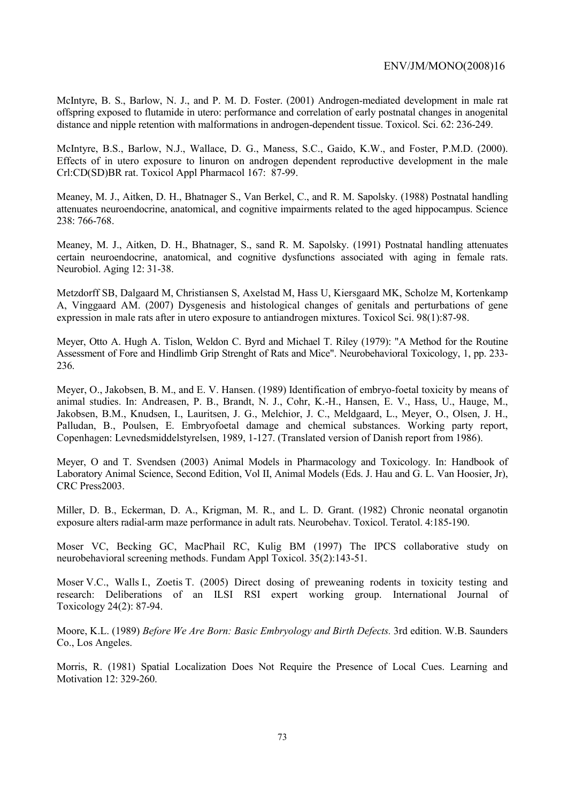McIntyre, B. S., Barlow, N. J., and P. M. D. Foster. (2001) Androgen-mediated development in male rat offspring exposed to flutamide in utero: performance and correlation of early postnatal changes in anogenital distance and nipple retention with malformations in androgen-dependent tissue. Toxicol. Sci. 62: 236-249.

McIntyre, B.S., Barlow, N.J., Wallace, D. G., Maness, S.C., Gaido, K.W., and Foster, P.M.D. (2000). Effects of in utero exposure to linuron on androgen dependent reproductive development in the male Crl:CD(SD)BR rat. Toxicol Appl Pharmacol 167: 87-99.

Meaney, M. J., Aitken, D. H., Bhatnager S., Van Berkel, C., and R. M. Sapolsky. (1988) Postnatal handling attenuates neuroendocrine, anatomical, and cognitive impairments related to the aged hippocampus. Science 238: 766-768.

Meaney, M. J., Aitken, D. H., Bhatnager, S., sand R. M. Sapolsky. (1991) Postnatal handling attenuates certain neuroendocrine, anatomical, and cognitive dysfunctions associated with aging in female rats. Neurobiol. Aging 12: 31-38.

Metzdorff SB, Dalgaard M, Christiansen S, Axelstad M, Hass U, Kiersgaard MK, Scholze M, Kortenkamp A, Vinggaard AM. (2007) Dysgenesis and histological changes of genitals and perturbations of gene expression in male rats after in utero exposure to antiandrogen mixtures. Toxicol Sci. 98(1):87-98.

Meyer, Otto A. Hugh A. Tislon, Weldon C. Byrd and Michael T. Riley (1979): "A Method for the Routine Assessment of Fore and Hindlimb Grip Strenght of Rats and Mice". Neurobehavioral Toxicology, 1, pp. 233- 236.

Meyer, O., Jakobsen, B. M., and E. V. Hansen. (1989) Identification of embryo-foetal toxicity by means of animal studies. In: Andreasen, P. B., Brandt, N. J., Cohr, K.-H., Hansen, E. V., Hass, U., Hauge, M., Jakobsen, B.M., Knudsen, I., Lauritsen, J. G., Melchior, J. C., Meldgaard, L., Meyer, O., Olsen, J. H., Palludan, B., Poulsen, E. Embryofoetal damage and chemical substances. Working party report, Copenhagen: Levnedsmiddelstyrelsen, 1989, 1-127. (Translated version of Danish report from 1986).

Meyer, O and T. Svendsen (2003) Animal Models in Pharmacology and Toxicology. In: Handbook of Laboratory Animal Science, Second Edition, Vol II, Animal Models (Eds. J. Hau and G. L. Van Hoosier, Jr), CRC Press2003.

Miller, D. B., Eckerman, D. A., Krigman, M. R., and L. D. Grant. (1982) Chronic neonatal organotin exposure alters radial-arm maze performance in adult rats. Neurobehav. Toxicol. Teratol. 4:185-190.

Moser VC, Becking GC, MacPhail RC, Kulig BM (1997) The IPCS collaborative study on neurobehavioral screening methods. Fundam Appl Toxicol. 35(2):143-51.

Moser V.C., Walls I., Zoetis T. (2005) Direct dosing of preweaning rodents in toxicity testing and research: Deliberations of an ILSI RSI expert working group. International Journal of Toxicology 24(2): 87-94.

Moore, K.L. (1989) *Before We Are Born: Basic Embryology and Birth Defects.* 3rd edition. W.B. Saunders Co., Los Angeles.

Morris, R. (1981) Spatial Localization Does Not Require the Presence of Local Cues. Learning and Motivation 12: 329-260.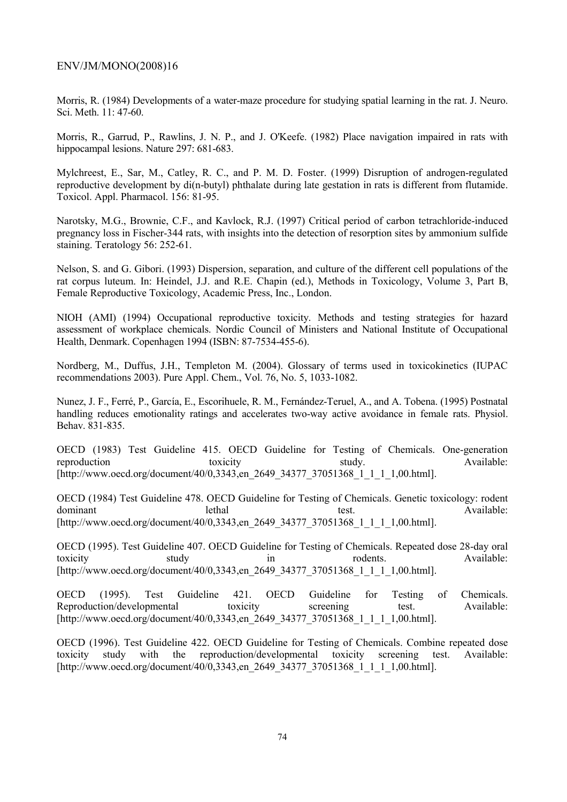Morris, R. (1984) Developments of a water-maze procedure for studying spatial learning in the rat. J. Neuro. Sci. Meth. 11: 47-60.

Morris, R., Garrud, P., Rawlins, J. N. P., and J. O'Keefe. (1982) Place navigation impaired in rats with hippocampal lesions. Nature 297: 681-683.

Mylchreest, E., Sar, M., Catley, R. C., and P. M. D. Foster. (1999) Disruption of androgen-regulated reproductive development by di(n-butyl) phthalate during late gestation in rats is different from flutamide. Toxicol. Appl. Pharmacol. 156: 81-95.

Narotsky, M.G., Brownie, C.F., and Kavlock, R.J. (1997) Critical period of carbon tetrachloride-induced pregnancy loss in Fischer-344 rats, with insights into the detection of resorption sites by ammonium sulfide staining. Teratology 56: 252-61.

Nelson, S. and G. Gibori. (1993) Dispersion, separation, and culture of the different cell populations of the rat corpus luteum. In: Heindel, J.J. and R.E. Chapin (ed.), Methods in Toxicology, Volume 3, Part B, Female Reproductive Toxicology, Academic Press, Inc., London.

NIOH (AMI) (1994) Occupational reproductive toxicity. Methods and testing strategies for hazard assessment of workplace chemicals. Nordic Council of Ministers and National Institute of Occupational Health, Denmark. Copenhagen 1994 (ISBN: 87-7534-455-6).

Nordberg, M., Duffus, J.H., Templeton M. (2004). Glossary of terms used in toxicokinetics (IUPAC recommendations 2003). Pure Appl. Chem., Vol. 76, No. 5, 1033-1082.

Nunez, J. F., Ferré, P., García, E., Escorihuele, R. M., Fernández-Teruel, A., and A. Tobena. (1995) Postnatal handling reduces emotionality ratings and accelerates two-way active avoidance in female rats. Physiol. Behav. 831-835.

OECD (1983) Test Guideline 415. OECD Guideline for Testing of Chemicals. One-generation reproduction toxicity toxicity study. Available: [http://www.oecd.org/document/40/0,3343,en\_2649\_34377\_37051368\_1\_1\_1\_1,00.html].

OECD (1984) Test Guideline 478. OECD Guideline for Testing of Chemicals. Genetic toxicology: rodent dominant lethal lethal test. Available: [http://www.oecd.org/document/40/0,3343,en\_2649\_34377\_37051368\_1\_1\_1\_1,00.html].

OECD (1995). Test Guideline 407. OECD Guideline for Testing of Chemicals. Repeated dose 28-day oral toxicity study in rodents. Available: [http://www.oecd.org/document/40/0,3343,en\_2649\_34377\_37051368\_1\_1\_1\_1,00.html].

OECD (1995). Test Guideline 421. OECD Guideline for Testing of Chemicals. Reproduction/developmental toxicity screening test. Available: [http://www.oecd.org/document/40/0,3343,en\_2649\_34377\_37051368\_1\_1\_1\_1,00.html].

OECD (1996). Test Guideline 422. OECD Guideline for Testing of Chemicals. Combine repeated dose toxicity study with the reproduction/developmental toxicity screening test. Available: [http://www.oecd.org/document/40/0,3343,en\_2649\_34377\_37051368\_1\_1\_1\_1,00.html].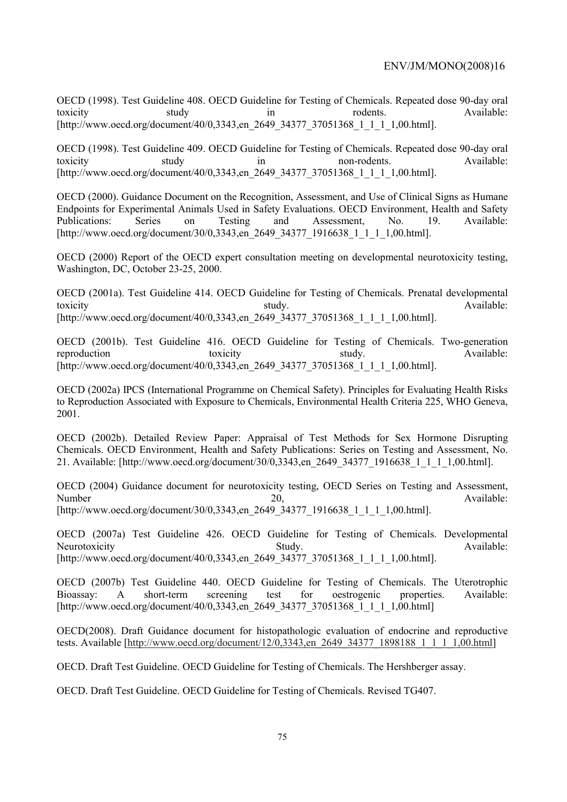OECD (1998). Test Guideline 408. OECD Guideline for Testing of Chemicals. Repeated dose 90-day oral toxicity study in rodents. Available: [http://www.oecd.org/document/40/0,3343,en\_2649\_34377\_37051368\_1\_1\_1\_1,00.html].

OECD (1998). Test Guideline 409. OECD Guideline for Testing of Chemicals. Repeated dose 90-day oral toxicity study in non-rodents. Available: [http://www.oecd.org/document/40/0,3343,en\_2649\_34377\_37051368\_1\_1\_1\_1,00.html].

OECD (2000). Guidance Document on the Recognition, Assessment, and Use of Clinical Signs as Humane Endpoints for Experimental Animals Used in Safety Evaluations. OECD Environment, Health and Safety Publications: Series on Testing and Assessment, No. 19. Available: [http://www.oecd.org/document/30/0,3343,en\_2649\_34377\_1916638\_1\_1\_1\_1,00.html].

OECD (2000) Report of the OECD expert consultation meeting on developmental neurotoxicity testing, Washington, DC, October 23-25, 2000.

OECD (2001a). Test Guideline 414. OECD Guideline for Testing of Chemicals. Prenatal developmental toxicity **study**. Available: [http://www.oecd.org/document/40/0,3343,en\_2649\_34377\_37051368\_1\_1\_1\_1,00.html].

OECD (2001b). Test Guideline 416. OECD Guideline for Testing of Chemicals. Two-generation reproduction toxicity toxicity study. Available: [http://www.oecd.org/document/40/0,3343,en\_2649\_34377\_37051368\_1\_1\_1\_1,00.html].

OECD (2002a) IPCS (International Programme on Chemical Safety). Principles for Evaluating Health Risks to Reproduction Associated with Exposure to Chemicals, Environmental Health Criteria 225, WHO Geneva, 2001.

OECD (2002b). Detailed Review Paper: Appraisal of Test Methods for Sex Hormone Disrupting Chemicals. OECD Environment, Health and Safety Publications: Series on Testing and Assessment, No. 21. Available: [http://www.oecd.org/document/30/0,3343,en\_2649\_34377\_1916638\_1\_1\_1\_1,00.html].

OECD (2004) Guidance document for neurotoxicity testing, OECD Series on Testing and Assessment, Number 20, Available: [http://www.oecd.org/document/30/0,3343,en\_2649\_34377\_1916638\_1\_1\_1\_1,00.html].

OECD (2007a) Test Guideline 426. OECD Guideline for Testing of Chemicals. Developmental Neurotoxicity **Study.** Study. Available: [http://www.oecd.org/document/40/0,3343,en\_2649\_34377\_37051368\_1\_1\_1\_1,00.html].

OECD (2007b) Test Guideline 440. OECD Guideline for Testing of Chemicals. The Uterotrophic Bioassay: A short-term screening test for oestrogenic properties. Available: [http://www.oecd.org/document/40/0,3343, en\_2649\_34377\_37051368\_1\_1\_1\_1,00.html]

OECD(2008). Draft Guidance document for histopathologic evaluation of endocrine and reproductive tests. Available [http://www.oecd.org/document/12/0,3343,en\_2649\_34377\_1898188\_1\_1\_1\_1,00.html]

OECD. Draft Test Guideline. OECD Guideline for Testing of Chemicals. The Hershberger assay.

OECD. Draft Test Guideline. OECD Guideline for Testing of Chemicals. Revised TG407.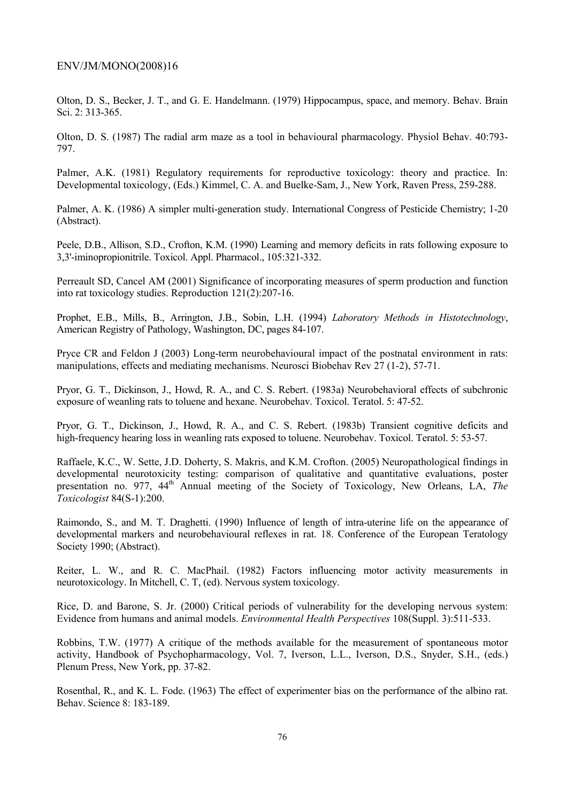Olton, D. S., Becker, J. T., and G. E. Handelmann. (1979) Hippocampus, space, and memory. Behav. Brain Sci. 2: 313-365.

Olton, D. S. (1987) The radial arm maze as a tool in behavioural pharmacology. Physiol Behav. 40:793- 797.

Palmer, A.K. (1981) Regulatory requirements for reproductive toxicology: theory and practice. In: Developmental toxicology, (Eds.) Kimmel, C. A. and Buelke-Sam, J., New York, Raven Press, 259-288.

Palmer, A. K. (1986) A simpler multi-generation study. International Congress of Pesticide Chemistry; 1-20 (Abstract).

Peele, D.B., Allison, S.D., Crofton, K.M. (1990) Learning and memory deficits in rats following exposure to 3,3'-iminopropionitrile. Toxicol. Appl. Pharmacol., 105:321-332.

Perreault SD, Cancel AM (2001) Significance of incorporating measures of sperm production and function into rat toxicology studies. Reproduction 121(2):207-16.

Prophet, E.B., Mills, B., Arrington, J.B., Sobin, L.H. (1994) *Laboratory Methods in Histotechnology*, American Registry of Pathology, Washington, DC, pages 84-107.

Pryce CR and Feldon J (2003) Long-term neurobehavioural impact of the postnatal environment in rats: manipulations, effects and mediating mechanisms. Neurosci Biobehav Rev 27 (1-2), 57-71.

Pryor, G. T., Dickinson, J., Howd, R. A., and C. S. Rebert. (1983a) Neurobehavioral effects of subchronic exposure of weanling rats to toluene and hexane. Neurobehav. Toxicol. Teratol. 5: 47-52.

Pryor, G. T., Dickinson, J., Howd, R. A., and C. S. Rebert. (1983b) Transient cognitive deficits and high-frequency hearing loss in weanling rats exposed to toluene. Neurobehav. Toxicol. Teratol. 5: 53-57.

Raffaele, K.C., W. Sette, J.D. Doherty, S. Makris, and K.M. Crofton. (2005) Neuropathological findings in developmental neurotoxicity testing: comparison of qualitative and quantitative evaluations, poster presentation no. 977, 44<sup>th</sup> Annual meeting of the Society of Toxicology, New Orleans, LA, The *Toxicologist* 84(S-1):200.

Raimondo, S., and M. T. Draghetti. (1990) Influence of length of intra-uterine life on the appearance of developmental markers and neurobehavioural reflexes in rat. 18. Conference of the European Teratology Society 1990; (Abstract).

Reiter, L. W., and R. C. MacPhail. (1982) Factors influencing motor activity measurements in neurotoxicology. In Mitchell, C. T, (ed). Nervous system toxicology.

Rice, D. and Barone, S. Jr. (2000) Critical periods of vulnerability for the developing nervous system: Evidence from humans and animal models. *Environmental Health Perspectives* 108(Suppl. 3):511-533.

Robbins, T.W. (1977) A critique of the methods available for the measurement of spontaneous motor activity, Handbook of Psychopharmacology, Vol. 7, Iverson, L.L., Iverson, D.S., Snyder, S.H., (eds.) Plenum Press, New York, pp. 37-82.

Rosenthal, R., and K. L. Fode. (1963) The effect of experimenter bias on the performance of the albino rat. Behav. Science 8: 183-189.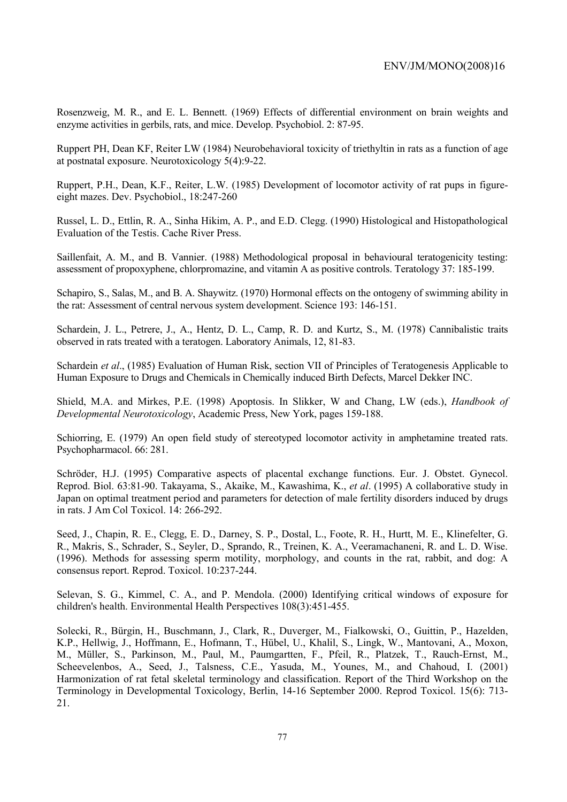Rosenzweig, M. R., and E. L. Bennett. (1969) Effects of differential environment on brain weights and enzyme activities in gerbils, rats, and mice. Develop. Psychobiol. 2: 87-95.

Ruppert PH, Dean KF, Reiter LW (1984) Neurobehavioral toxicity of triethyltin in rats as a function of age at postnatal exposure. Neurotoxicology 5(4):9-22.

Ruppert, P.H., Dean, K.F., Reiter, L.W. (1985) Development of locomotor activity of rat pups in figureeight mazes. Dev. Psychobiol., 18:247-260

Russel, L. D., Ettlin, R. A., Sinha Hikim, A. P., and E.D. Clegg. (1990) Histological and Histopathological Evaluation of the Testis. Cache River Press.

Saillenfait, A. M., and B. Vannier. (1988) Methodological proposal in behavioural teratogenicity testing: assessment of propoxyphene, chlorpromazine, and vitamin A as positive controls. Teratology 37: 185-199.

Schapiro, S., Salas, M., and B. A. Shaywitz. (1970) Hormonal effects on the ontogeny of swimming ability in the rat: Assessment of central nervous system development. Science 193: 146-151.

Schardein, J. L., Petrere, J., A., Hentz, D. L., Camp, R. D. and Kurtz, S., M. (1978) Cannibalistic traits observed in rats treated with a teratogen. Laboratory Animals, 12, 81-83.

Schardein *et al*., (1985) Evaluation of Human Risk, section VII of Principles of Teratogenesis Applicable to Human Exposure to Drugs and Chemicals in Chemically induced Birth Defects, Marcel Dekker INC.

Shield, M.A. and Mirkes, P.E. (1998) Apoptosis. In Slikker, W and Chang, LW (eds.), *Handbook of Developmental Neurotoxicology*, Academic Press, New York, pages 159-188.

Schiorring, E. (1979) An open field study of stereotyped locomotor activity in amphetamine treated rats. Psychopharmacol. 66: 281.

Schröder, H.J. (1995) Comparative aspects of placental exchange functions. Eur. J. Obstet. Gynecol. Reprod. Biol. 63:81-90. Takayama, S., Akaike, M., Kawashima, K., *et al*. (1995) A collaborative study in Japan on optimal treatment period and parameters for detection of male fertility disorders induced by drugs in rats. J Am Col Toxicol. 14: 266-292.

Seed, J., Chapin, R. E., Clegg, E. D., Darney, S. P., Dostal, L., Foote, R. H., Hurtt, M. E., Klinefelter, G. R., Makris, S., Schrader, S., Seyler, D., Sprando, R., Treinen, K. A., Veeramachaneni, R. and L. D. Wise. (1996). Methods for assessing sperm motility, morphology, and counts in the rat, rabbit, and dog: A consensus report. Reprod. Toxicol. 10:237-244.

Selevan, S. G., Kimmel, C. A., and P. Mendola. (2000) Identifying critical windows of exposure for children's health. Environmental Health Perspectives 108(3):451-455.

Solecki, R., Bürgin, H., Buschmann, J., Clark, R., Duverger, M., Fialkowski, O., Guittin, P., Hazelden, K.P., Hellwig, J., Hoffmann, E., Hofmann, T., Hübel, U., Khalil, S., Lingk, W., Mantovani, A., Moxon, M., Müller, S., Parkinson, M., Paul, M., Paumgartten, F., Pfeil, R., Platzek, T., Rauch-Ernst, M., Scheevelenbos, A., Seed, J., Talsness, C.E., Yasuda, M., Younes, M., and Chahoud, I. (2001) Harmonization of rat fetal skeletal terminology and classification. Report of the Third Workshop on the Terminology in Developmental Toxicology, Berlin, 14-16 September 2000. Reprod Toxicol. 15(6): 713- 21.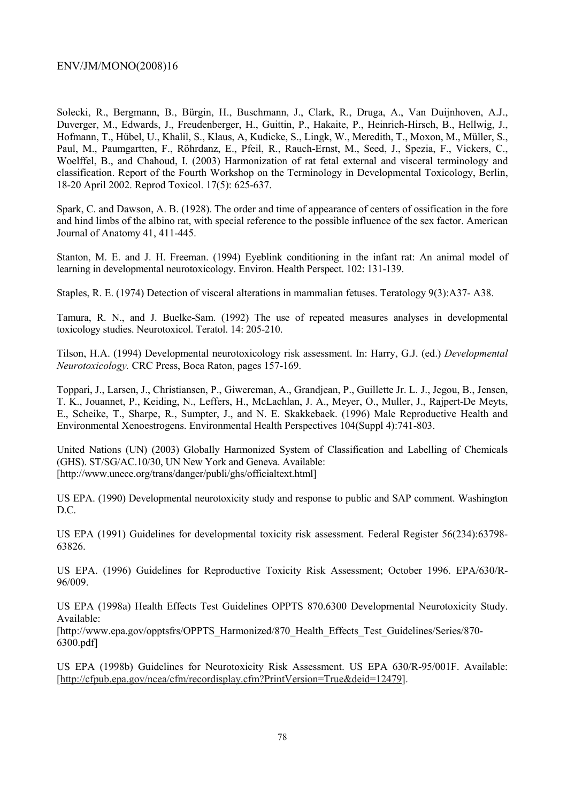Solecki, R., Bergmann, B., Bürgin, H., Buschmann, J., Clark, R., Druga, A., Van Duijnhoven, A.J., Duverger, M., Edwards, J., Freudenberger, H., Guittin, P., Hakaite, P., Heinrich-Hirsch, B., Hellwig, J., Hofmann, T., Hübel, U., Khalil, S., Klaus, A, Kudicke, S., Lingk, W., Meredith, T., Moxon, M., Müller, S., Paul, M., Paumgartten, F., Röhrdanz, E., Pfeil, R., Rauch-Ernst, M., Seed, J., Spezia, F., Vickers, C., Woelffel, B., and Chahoud, I. (2003) Harmonization of rat fetal external and visceral terminology and classification. Report of the Fourth Workshop on the Terminology in Developmental Toxicology, Berlin, 18-20 April 2002. Reprod Toxicol. 17(5): 625-637.

Spark, C. and Dawson, A. B. (1928). The order and time of appearance of centers of ossification in the fore and hind limbs of the albino rat, with special reference to the possible influence of the sex factor. American Journal of Anatomy 41, 411-445.

Stanton, M. E. and J. H. Freeman. (1994) Eyeblink conditioning in the infant rat: An animal model of learning in developmental neurotoxicology. Environ. Health Perspect. 102: 131-139.

Staples, R. E. (1974) Detection of visceral alterations in mammalian fetuses. Teratology 9(3):A37- A38.

Tamura, R. N., and J. Buelke-Sam. (1992) The use of repeated measures analyses in developmental toxicology studies. Neurotoxicol. Teratol. 14: 205-210.

Tilson, H.A. (1994) Developmental neurotoxicology risk assessment. In: Harry, G.J. (ed.) *Developmental Neurotoxicology.* CRC Press, Boca Raton, pages 157-169.

Toppari, J., Larsen, J., Christiansen, P., Giwercman, A., Grandjean, P., Guillette Jr. L. J., Jegou, B., Jensen, T. K., Jouannet, P., Keiding, N., Leffers, H., McLachlan, J. A., Meyer, O., Muller, J., Rajpert-De Meyts, E., Scheike, T., Sharpe, R., Sumpter, J., and N. E. Skakkebaek. (1996) Male Reproductive Health and Environmental Xenoestrogens. Environmental Health Perspectives 104(Suppl 4):741-803.

United Nations (UN) (2003) Globally Harmonized System of Classification and Labelling of Chemicals (GHS). ST/SG/AC.10/30, UN New York and Geneva. Available: [http://www.unece.org/trans/danger/publi/ghs/officialtext.html]

US EPA. (1990) Developmental neurotoxicity study and response to public and SAP comment. Washington  $DC$ 

US EPA (1991) Guidelines for developmental toxicity risk assessment. Federal Register 56(234):63798- 63826.

US EPA. (1996) Guidelines for Reproductive Toxicity Risk Assessment; October 1996. EPA/630/R-96/009.

US EPA (1998a) Health Effects Test Guidelines OPPTS 870.6300 Developmental Neurotoxicity Study. Available:

[http://www.epa.gov/opptsfrs/OPPTS\_Harmonized/870\_Health\_Effects\_Test\_Guidelines/Series/870- 6300.pdf]

US EPA (1998b) Guidelines for Neurotoxicity Risk Assessment. US EPA 630/R-95/001F. Available: [http://cfpub.epa.gov/ncea/cfm/recordisplay.cfm?PrintVersion=True&deid=12479].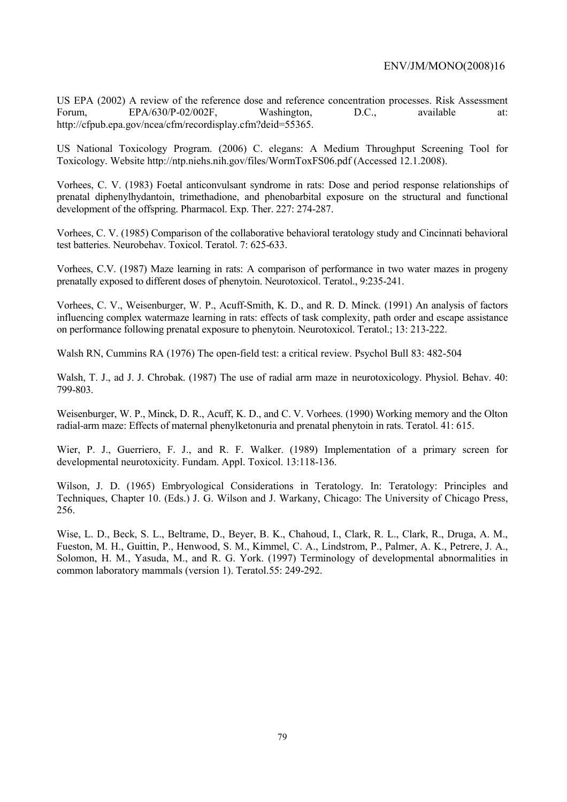US EPA (2002) A review of the reference dose and reference concentration processes. Risk Assessment Forum, EPA/630/P-02/002F, Washington, D.C., available at: http://cfpub.epa.gov/ncea/cfm/recordisplay.cfm?deid=55365.

US National Toxicology Program. (2006) C. elegans: A Medium Throughput Screening Tool for Toxicology. Website http://ntp.niehs.nih.gov/files/WormToxFS06.pdf (Accessed 12.1.2008).

Vorhees, C. V. (1983) Foetal anticonvulsant syndrome in rats: Dose and period response relationships of prenatal diphenylhydantoin, trimethadione, and phenobarbital exposure on the structural and functional development of the offspring. Pharmacol. Exp. Ther. 227: 274-287.

Vorhees, C. V. (1985) Comparison of the collaborative behavioral teratology study and Cincinnati behavioral test batteries. Neurobehav. Toxicol. Teratol. 7: 625-633.

Vorhees, C.V. (1987) Maze learning in rats: A comparison of performance in two water mazes in progeny prenatally exposed to different doses of phenytoin. Neurotoxicol. Teratol., 9:235-241.

Vorhees, C. V., Weisenburger, W. P., Acuff-Smith, K. D., and R. D. Minck. (1991) An analysis of factors influencing complex watermaze learning in rats: effects of task complexity, path order and escape assistance on performance following prenatal exposure to phenytoin. Neurotoxicol. Teratol.; 13: 213-222.

Walsh RN, Cummins RA (1976) The open-field test: a critical review. Psychol Bull 83: 482-504

Walsh, T. J., ad J. J. Chrobak. (1987) The use of radial arm maze in neurotoxicology. Physiol. Behav. 40: 799-803.

Weisenburger, W. P., Minck, D. R., Acuff, K. D., and C. V. Vorhees. (1990) Working memory and the Olton radial-arm maze: Effects of maternal phenylketonuria and prenatal phenytoin in rats. Teratol. 41: 615.

Wier, P. J., Guerriero, F. J., and R. F. Walker. (1989) Implementation of a primary screen for developmental neurotoxicity. Fundam. Appl. Toxicol. 13:118-136.

Wilson, J. D. (1965) Embryological Considerations in Teratology. In: Teratology: Principles and Techniques, Chapter 10. (Eds.) J. G. Wilson and J. Warkany, Chicago: The University of Chicago Press, 256.

Wise, L. D., Beck, S. L., Beltrame, D., Beyer, B. K., Chahoud, I., Clark, R. L., Clark, R., Druga, A. M., Fueston, M. H., Guittin, P., Henwood, S. M., Kimmel, C. A., Lindstrom, P., Palmer, A. K., Petrere, J. A., Solomon, H. M., Yasuda, M., and R. G. York. (1997) Terminology of developmental abnormalities in common laboratory mammals (version 1). Teratol.55: 249-292.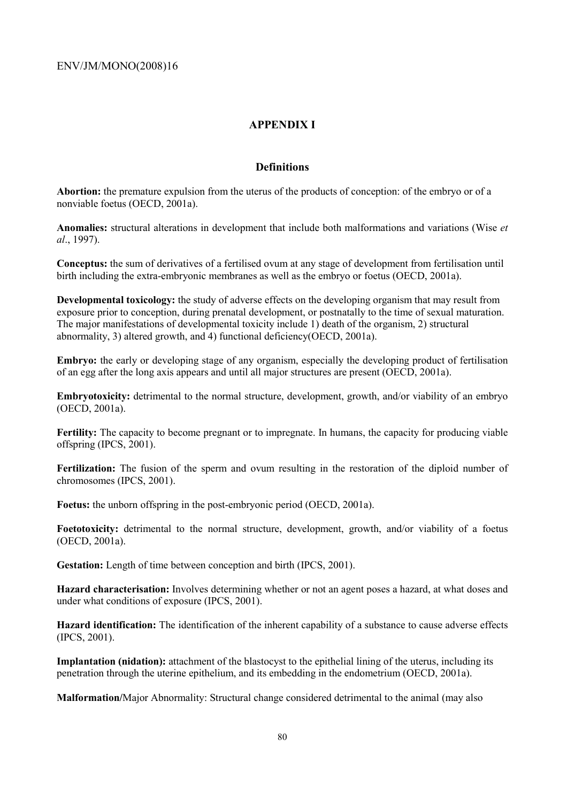## **APPENDIX I**

## **Definitions**

**Abortion:** the premature expulsion from the uterus of the products of conception: of the embryo or of a nonviable foetus (OECD, 2001a).

**Anomalies:** structural alterations in development that include both malformations and variations (Wise *et al*., 1997).

**Conceptus:** the sum of derivatives of a fertilised ovum at any stage of development from fertilisation until birth including the extra-embryonic membranes as well as the embryo or foetus (OECD, 2001a).

**Developmental toxicology:** the study of adverse effects on the developing organism that may result from exposure prior to conception, during prenatal development, or postnatally to the time of sexual maturation. The major manifestations of developmental toxicity include 1) death of the organism, 2) structural abnormality, 3) altered growth, and 4) functional deficiency(OECD, 2001a).

**Embryo:** the early or developing stage of any organism, especially the developing product of fertilisation of an egg after the long axis appears and until all major structures are present (OECD, 2001a).

**Embryotoxicity:** detrimental to the normal structure, development, growth, and/or viability of an embryo (OECD, 2001a).

**Fertility:** The capacity to become pregnant or to impregnate. In humans, the capacity for producing viable offspring (IPCS, 2001).

**Fertilization:** The fusion of the sperm and ovum resulting in the restoration of the diploid number of chromosomes (IPCS, 2001).

**Foetus:** the unborn offspring in the post-embryonic period (OECD, 2001a).

**Foetotoxicity:** detrimental to the normal structure, development, growth, and/or viability of a foetus (OECD, 2001a).

**Gestation:** Length of time between conception and birth (IPCS, 2001).

**Hazard characterisation:** Involves determining whether or not an agent poses a hazard, at what doses and under what conditions of exposure (IPCS, 2001).

**Hazard identification:** The identification of the inherent capability of a substance to cause adverse effects (IPCS, 2001).

**Implantation (nidation):** attachment of the blastocyst to the epithelial lining of the uterus, including its penetration through the uterine epithelium, and its embedding in the endometrium (OECD, 2001a).

**Malformation/**Major Abnormality: Structural change considered detrimental to the animal (may also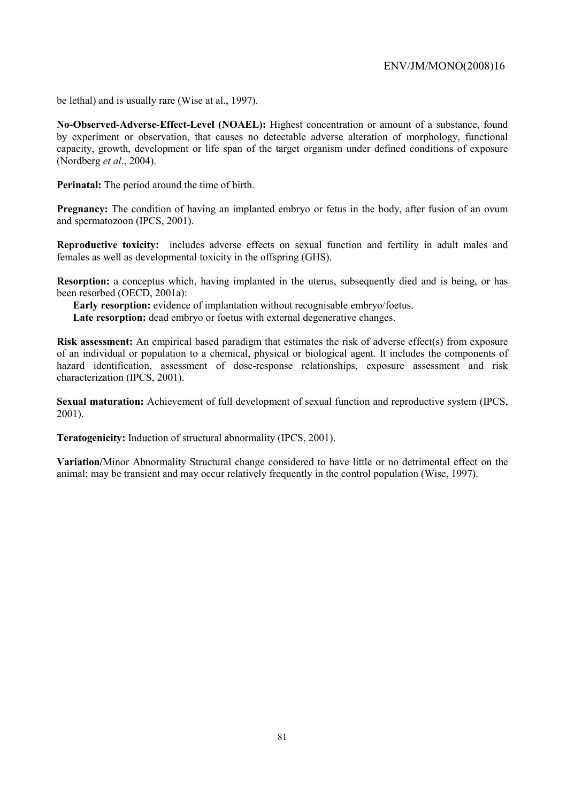be lethal) and is usually rare (Wise at al., 1997).

**No-Observed-Adverse-Effect-Level (NOAEL):** Highest concentration or amount of a substance, found by experiment or observation, that causes no detectable adverse alteration of morphology, functional capacity, growth, development or life span of the target organism under defined conditions of exposure (Nordberg *et al*., 2004).

**Perinatal:** The period around the time of birth.

**Pregnancy:** The condition of having an implanted embryo or fetus in the body, after fusion of an ovum and spermatozoon (IPCS, 2001).

**Reproductive toxicity:** includes adverse effects on sexual function and fertility in adult males and females as well as developmental toxicity in the offspring (GHS).

**Resorption:** a conceptus which, having implanted in the uterus, subsequently died and is being, or has been resorbed (OECD, 2001a):

**Early resorption:** evidence of implantation without recognisable embryo/foetus.

Late resorption: dead embryo or foetus with external degenerative changes.

**Risk assessment:** An empirical based paradigm that estimates the risk of adverse effect(s) from exposure of an individual or population to a chemical, physical or biological agent. It includes the components of hazard identification, assessment of dose-response relationships, exposure assessment and risk characterization (IPCS, 2001).

**Sexual maturation:** Achievement of full development of sexual function and reproductive system (IPCS, 2001).

**Teratogenicity:** Induction of structural abnormality (IPCS, 2001).

**Variation/**Minor Abnormality Structural change considered to have little or no detrimental effect on the animal; may be transient and may occur relatively frequently in the control population (Wise, 1997).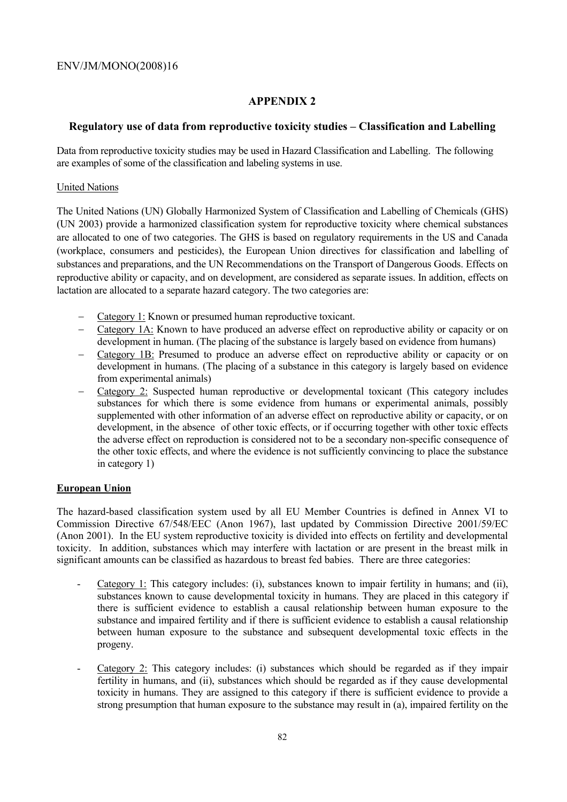# **APPENDIX 2**

## **Regulatory use of data from reproductive toxicity studies – Classification and Labelling**

Data from reproductive toxicity studies may be used in Hazard Classification and Labelling. The following are examples of some of the classification and labeling systems in use.

### United Nations

The United Nations (UN) Globally Harmonized System of Classification and Labelling of Chemicals (GHS) (UN 2003) provide a harmonized classification system for reproductive toxicity where chemical substances are allocated to one of two categories. The GHS is based on regulatory requirements in the US and Canada (workplace, consumers and pesticides), the European Union directives for classification and labelling of substances and preparations, and the UN Recommendations on the Transport of Dangerous Goods. Effects on reproductive ability or capacity, and on development, are considered as separate issues. In addition, effects on lactation are allocated to a separate hazard category. The two categories are:

- − Category 1: Known or presumed human reproductive toxicant.
- − Category 1A: Known to have produced an adverse effect on reproductive ability or capacity or on development in human. (The placing of the substance is largely based on evidence from humans)
- − Category 1B: Presumed to produce an adverse effect on reproductive ability or capacity or on development in humans. (The placing of a substance in this category is largely based on evidence from experimental animals)
- − Category 2: Suspected human reproductive or developmental toxicant (This category includes substances for which there is some evidence from humans or experimental animals, possibly supplemented with other information of an adverse effect on reproductive ability or capacity, or on development, in the absence of other toxic effects, or if occurring together with other toxic effects the adverse effect on reproduction is considered not to be a secondary non-specific consequence of the other toxic effects, and where the evidence is not sufficiently convincing to place the substance in category 1)

## **European Union**

The hazard-based classification system used by all EU Member Countries is defined in Annex VI to Commission Directive 67/548/EEC (Anon 1967), last updated by Commission Directive 2001/59/EC (Anon 2001). In the EU system reproductive toxicity is divided into effects on fertility and developmental toxicity. In addition, substances which may interfere with lactation or are present in the breast milk in significant amounts can be classified as hazardous to breast fed babies. There are three categories:

- Category 1: This category includes: (i), substances known to impair fertility in humans; and (ii), substances known to cause developmental toxicity in humans. They are placed in this category if there is sufficient evidence to establish a causal relationship between human exposure to the substance and impaired fertility and if there is sufficient evidence to establish a causal relationship between human exposure to the substance and subsequent developmental toxic effects in the progeny.
- Category  $2$ : This category includes: (i) substances which should be regarded as if they impair fertility in humans, and (ii), substances which should be regarded as if they cause developmental toxicity in humans. They are assigned to this category if there is sufficient evidence to provide a strong presumption that human exposure to the substance may result in (a), impaired fertility on the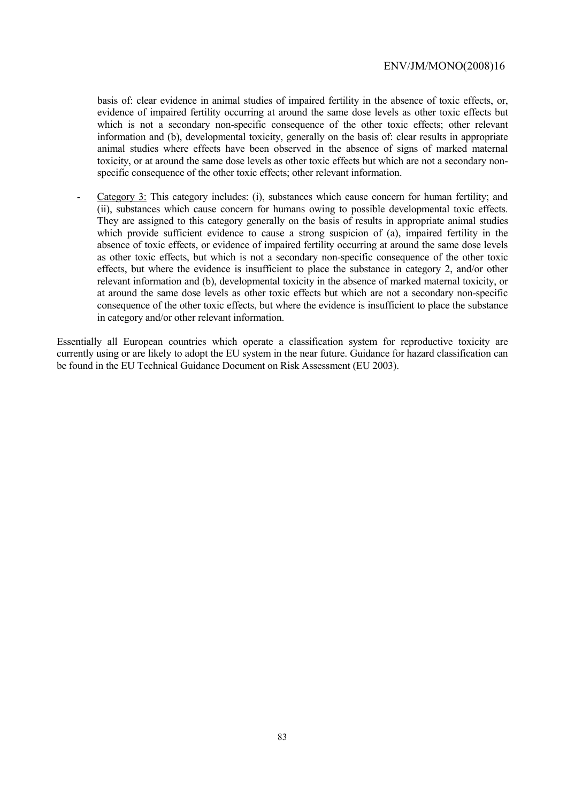basis of: clear evidence in animal studies of impaired fertility in the absence of toxic effects, or, evidence of impaired fertility occurring at around the same dose levels as other toxic effects but which is not a secondary non-specific consequence of the other toxic effects; other relevant information and (b), developmental toxicity, generally on the basis of: clear results in appropriate animal studies where effects have been observed in the absence of signs of marked maternal toxicity, or at around the same dose levels as other toxic effects but which are not a secondary nonspecific consequence of the other toxic effects; other relevant information.

Category 3: This category includes: (i), substances which cause concern for human fertility; and (ii), substances which cause concern for humans owing to possible developmental toxic effects. They are assigned to this category generally on the basis of results in appropriate animal studies which provide sufficient evidence to cause a strong suspicion of (a), impaired fertility in the absence of toxic effects, or evidence of impaired fertility occurring at around the same dose levels as other toxic effects, but which is not a secondary non-specific consequence of the other toxic effects, but where the evidence is insufficient to place the substance in category 2, and/or other relevant information and (b), developmental toxicity in the absence of marked maternal toxicity, or at around the same dose levels as other toxic effects but which are not a secondary non-specific consequence of the other toxic effects, but where the evidence is insufficient to place the substance in category and/or other relevant information.

Essentially all European countries which operate a classification system for reproductive toxicity are currently using or are likely to adopt the EU system in the near future. Guidance for hazard classification can be found in the EU Technical Guidance Document on Risk Assessment (EU 2003).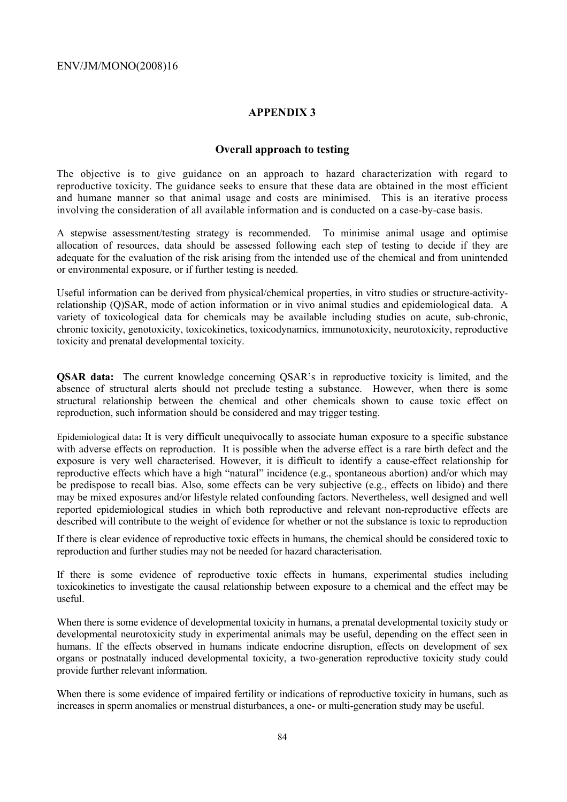### **APPENDIX 3**

### **Overall approach to testing**

The objective is to give guidance on an approach to hazard characterization with regard to reproductive toxicity. The guidance seeks to ensure that these data are obtained in the most efficient and humane manner so that animal usage and costs are minimised. This is an iterative process involving the consideration of all available information and is conducted on a case-by-case basis.

A stepwise assessment/testing strategy is recommended. To minimise animal usage and optimise allocation of resources, data should be assessed following each step of testing to decide if they are adequate for the evaluation of the risk arising from the intended use of the chemical and from unintended or environmental exposure, or if further testing is needed.

Useful information can be derived from physical/chemical properties, in vitro studies or structure-activityrelationship (Q)SAR, mode of action information or in vivo animal studies and epidemiological data. A variety of toxicological data for chemicals may be available including studies on acute, sub-chronic, chronic toxicity, genotoxicity, toxicokinetics, toxicodynamics, immunotoxicity, neurotoxicity, reproductive toxicity and prenatal developmental toxicity.

**QSAR data:** The current knowledge concerning QSAR's in reproductive toxicity is limited, and the absence of structural alerts should not preclude testing a substance. However, when there is some structural relationship between the chemical and other chemicals shown to cause toxic effect on reproduction, such information should be considered and may trigger testing.

Epidemiological data**:** It is very difficult unequivocally to associate human exposure to a specific substance with adverse effects on reproduction. It is possible when the adverse effect is a rare birth defect and the exposure is very well characterised. However, it is difficult to identify a cause-effect relationship for reproductive effects which have a high "natural" incidence (e.g., spontaneous abortion) and/or which may be predispose to recall bias. Also, some effects can be very subjective (e.g., effects on libido) and there may be mixed exposures and/or lifestyle related confounding factors. Nevertheless, well designed and well reported epidemiological studies in which both reproductive and relevant non-reproductive effects are described will contribute to the weight of evidence for whether or not the substance is toxic to reproduction

If there is clear evidence of reproductive toxic effects in humans, the chemical should be considered toxic to reproduction and further studies may not be needed for hazard characterisation.

If there is some evidence of reproductive toxic effects in humans, experimental studies including toxicokinetics to investigate the causal relationship between exposure to a chemical and the effect may be useful.

When there is some evidence of developmental toxicity in humans, a prenatal developmental toxicity study or developmental neurotoxicity study in experimental animals may be useful, depending on the effect seen in humans. If the effects observed in humans indicate endocrine disruption, effects on development of sex organs or postnatally induced developmental toxicity, a two-generation reproductive toxicity study could provide further relevant information.

When there is some evidence of impaired fertility or indications of reproductive toxicity in humans, such as increases in sperm anomalies or menstrual disturbances, a one- or multi-generation study may be useful.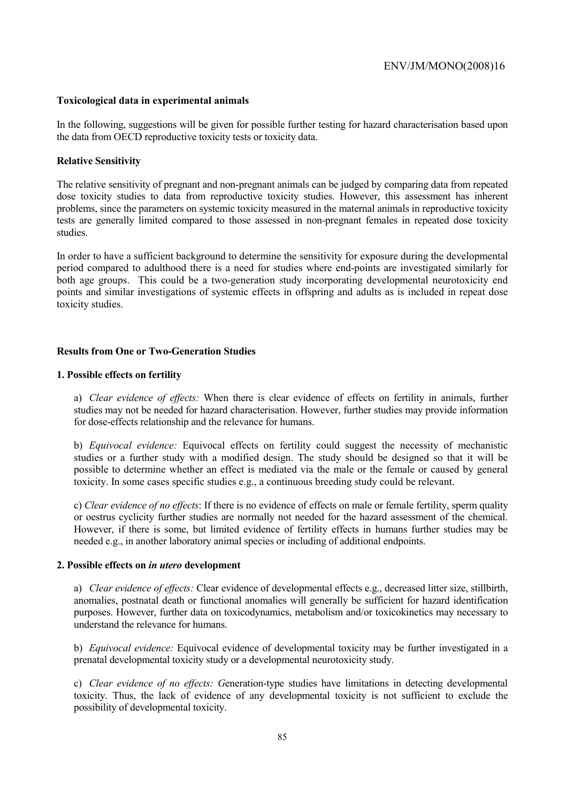### **Toxicological data in experimental animals**

In the following, suggestions will be given for possible further testing for hazard characterisation based upon the data from OECD reproductive toxicity tests or toxicity data.

#### **Relative Sensitivity**

The relative sensitivity of pregnant and non-pregnant animals can be judged by comparing data from repeated dose toxicity studies to data from reproductive toxicity studies. However, this assessment has inherent problems, since the parameters on systemic toxicity measured in the maternal animals in reproductive toxicity tests are generally limited compared to those assessed in non-pregnant females in repeated dose toxicity studies.

In order to have a sufficient background to determine the sensitivity for exposure during the developmental period compared to adulthood there is a need for studies where end-points are investigated similarly for both age groups. This could be a two-generation study incorporating developmental neurotoxicity end points and similar investigations of systemic effects in offspring and adults as is included in repeat dose toxicity studies.

### **Results from One or Two-Generation Studies**

### **1. Possible effects on fertility**

a) *Clear evidence of effects:* When there is clear evidence of effects on fertility in animals, further studies may not be needed for hazard characterisation. However, further studies may provide information for dose-effects relationship and the relevance for humans.

b) *Equivocal evidence:* Equivocal effects on fertility could suggest the necessity of mechanistic studies or a further study with a modified design. The study should be designed so that it will be possible to determine whether an effect is mediated via the male or the female or caused by general toxicity. In some cases specific studies e.g., a continuous breeding study could be relevant.

c) *Clear evidence of no effects*: If there is no evidence of effects on male or female fertility, sperm quality or oestrus cyclicity further studies are normally not needed for the hazard assessment of the chemical. However, if there is some, but limited evidence of fertility effects in humans further studies may be needed e.g., in another laboratory animal species or including of additional endpoints.

#### **2. Possible effects on** *in utero* **development**

a) *Clear evidence of effects:* Clear evidence of developmental effects e.g., decreased litter size, stillbirth, anomalies, postnatal death or functional anomalies will generally be sufficient for hazard identification purposes. However, further data on toxicodynamics, metabolism and/or toxicokinetics may necessary to understand the relevance for humans.

b) *Equivocal evidence:* Equivocal evidence of developmental toxicity may be further investigated in a prenatal developmental toxicity study or a developmental neurotoxicity study.

c) *Clear evidence of no effects: G*eneration-type studies have limitations in detecting developmental toxicity. Thus, the lack of evidence of any developmental toxicity is not sufficient to exclude the possibility of developmental toxicity.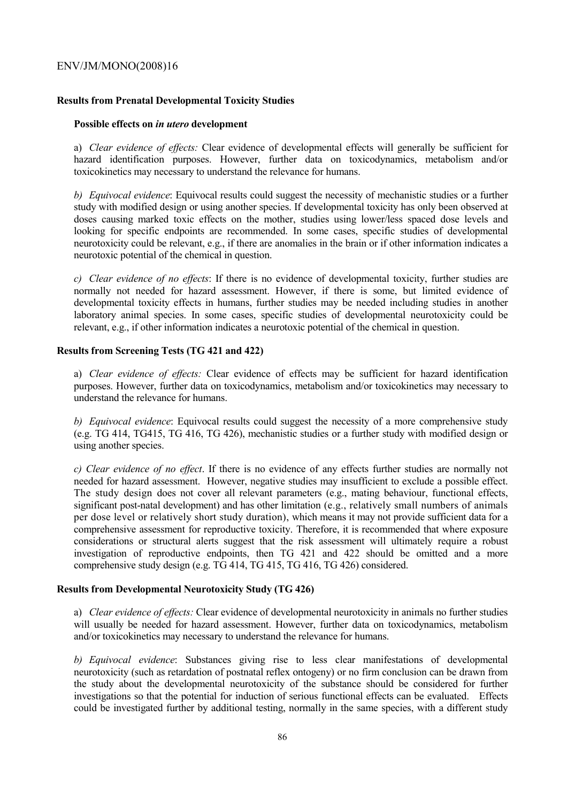### **Results from Prenatal Developmental Toxicity Studies**

#### **Possible effects on** *in utero* **development**

a) *Clear evidence of effects:* Clear evidence of developmental effects will generally be sufficient for hazard identification purposes. However, further data on toxicodynamics, metabolism and/or toxicokinetics may necessary to understand the relevance for humans.

*b) Equivocal evidence*: Equivocal results could suggest the necessity of mechanistic studies or a further study with modified design or using another species. If developmental toxicity has only been observed at doses causing marked toxic effects on the mother, studies using lower/less spaced dose levels and looking for specific endpoints are recommended. In some cases, specific studies of developmental neurotoxicity could be relevant, e.g., if there are anomalies in the brain or if other information indicates a neurotoxic potential of the chemical in question.

*c) Clear evidence of no effects*: If there is no evidence of developmental toxicity, further studies are normally not needed for hazard assessment. However, if there is some, but limited evidence of developmental toxicity effects in humans, further studies may be needed including studies in another laboratory animal species. In some cases, specific studies of developmental neurotoxicity could be relevant, e.g., if other information indicates a neurotoxic potential of the chemical in question.

### **Results from Screening Tests (TG 421 and 422)**

a) *Clear evidence of effects:* Clear evidence of effects may be sufficient for hazard identification purposes. However, further data on toxicodynamics, metabolism and/or toxicokinetics may necessary to understand the relevance for humans.

*b) Equivocal evidence*: Equivocal results could suggest the necessity of a more comprehensive study (e.g. TG 414, TG415, TG 416, TG 426), mechanistic studies or a further study with modified design or using another species.

*c) Clear evidence of no effect*. If there is no evidence of any effects further studies are normally not needed for hazard assessment. However, negative studies may insufficient to exclude a possible effect. The study design does not cover all relevant parameters (e.g., mating behaviour, functional effects, significant post-natal development) and has other limitation (e.g., relatively small numbers of animals per dose level or relatively short study duration), which means it may not provide sufficient data for a comprehensive assessment for reproductive toxicity. Therefore, it is recommended that where exposure considerations or structural alerts suggest that the risk assessment will ultimately require a robust investigation of reproductive endpoints, then TG 421 and 422 should be omitted and a more comprehensive study design (e.g. TG 414, TG 415, TG 416, TG 426) considered.

## **Results from Developmental Neurotoxicity Study (TG 426)**

a) *Clear evidence of effects:* Clear evidence of developmental neurotoxicity in animals no further studies will usually be needed for hazard assessment. However, further data on toxicodynamics, metabolism and/or toxicokinetics may necessary to understand the relevance for humans.

*b) Equivocal evidence*: Substances giving rise to less clear manifestations of developmental neurotoxicity (such as retardation of postnatal reflex ontogeny) or no firm conclusion can be drawn from the study about the developmental neurotoxicity of the substance should be considered for further investigations so that the potential for induction of serious functional effects can be evaluated. Effects could be investigated further by additional testing, normally in the same species, with a different study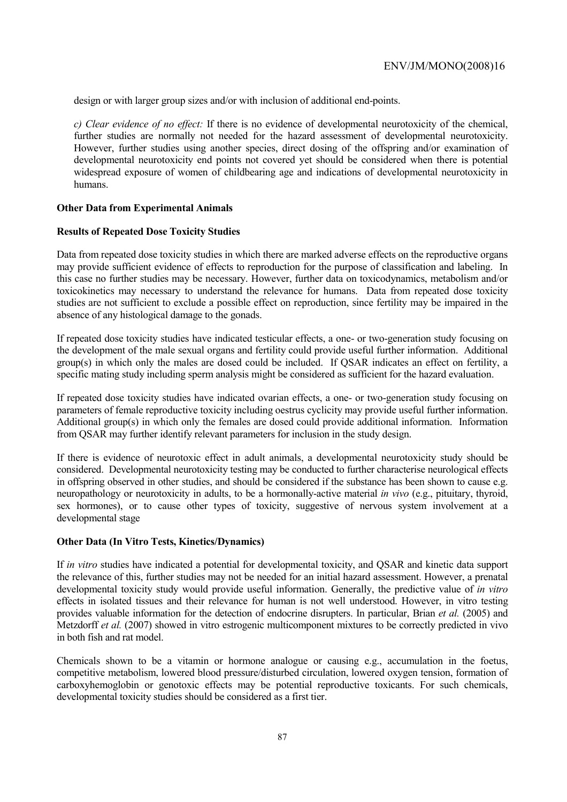design or with larger group sizes and/or with inclusion of additional end-points.

*c) Clear evidence of no effect:* If there is no evidence of developmental neurotoxicity of the chemical, further studies are normally not needed for the hazard assessment of developmental neurotoxicity. However, further studies using another species, direct dosing of the offspring and/or examination of developmental neurotoxicity end points not covered yet should be considered when there is potential widespread exposure of women of childbearing age and indications of developmental neurotoxicity in humans.

#### **Other Data from Experimental Animals**

#### **Results of Repeated Dose Toxicity Studies**

Data from repeated dose toxicity studies in which there are marked adverse effects on the reproductive organs may provide sufficient evidence of effects to reproduction for the purpose of classification and labeling. In this case no further studies may be necessary. However, further data on toxicodynamics, metabolism and/or toxicokinetics may necessary to understand the relevance for humans. Data from repeated dose toxicity studies are not sufficient to exclude a possible effect on reproduction, since fertility may be impaired in the absence of any histological damage to the gonads.

If repeated dose toxicity studies have indicated testicular effects, a one- or two-generation study focusing on the development of the male sexual organs and fertility could provide useful further information. Additional group(s) in which only the males are dosed could be included. If QSAR indicates an effect on fertility, a specific mating study including sperm analysis might be considered as sufficient for the hazard evaluation.

If repeated dose toxicity studies have indicated ovarian effects, a one- or two-generation study focusing on parameters of female reproductive toxicity including oestrus cyclicity may provide useful further information. Additional group(s) in which only the females are dosed could provide additional information. Information from QSAR may further identify relevant parameters for inclusion in the study design.

If there is evidence of neurotoxic effect in adult animals, a developmental neurotoxicity study should be considered. Developmental neurotoxicity testing may be conducted to further characterise neurological effects in offspring observed in other studies, and should be considered if the substance has been shown to cause e.g. neuropathology or neurotoxicity in adults, to be a hormonally-active material *in vivo* (e.g., pituitary, thyroid, sex hormones), or to cause other types of toxicity, suggestive of nervous system involvement at a developmental stage

#### **Other Data (In Vitro Tests, Kinetics/Dynamics)**

If *in vitro* studies have indicated a potential for developmental toxicity, and QSAR and kinetic data support the relevance of this, further studies may not be needed for an initial hazard assessment. However, a prenatal developmental toxicity study would provide useful information. Generally, the predictive value of *in vitro* effects in isolated tissues and their relevance for human is not well understood. However, in vitro testing provides valuable information for the detection of endocrine disrupters. In particular, Brian *et al.* (2005) and Metzdorff *et al.* (2007) showed in vitro estrogenic multicomponent mixtures to be correctly predicted in vivo in both fish and rat model.

Chemicals shown to be a vitamin or hormone analogue or causing e.g., accumulation in the foetus, competitive metabolism, lowered blood pressure/disturbed circulation, lowered oxygen tension, formation of carboxyhemoglobin or genotoxic effects may be potential reproductive toxicants. For such chemicals, developmental toxicity studies should be considered as a first tier.